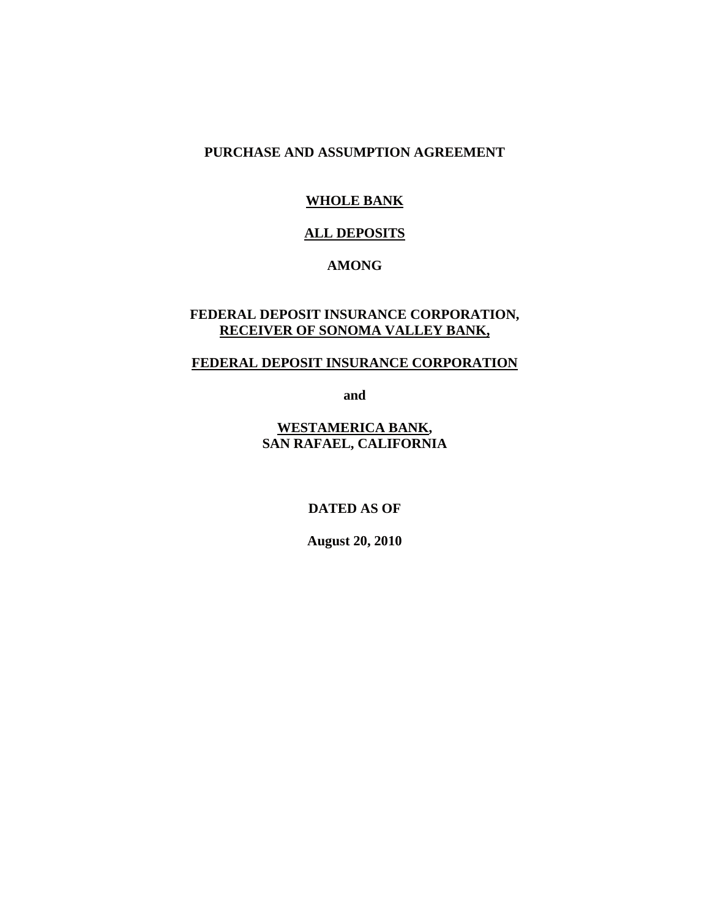#### **PURCHASE AND ASSUMPTION AGREEMENT**

## **WHOLE BANK**

#### **ALL DEPOSITS**

#### **AMONG**

#### **FEDERAL DEPOSIT INSURANCE CORPORATION, RECEIVER OF SONOMA VALLEY BANK,**

#### **FEDERAL DEPOSIT INSURANCE CORPORATION**

**and** 

**WESTAMERICA BANK, SAN RAFAEL, CALIFORNIA** 

**DATED AS OF**

**August 20, 2010**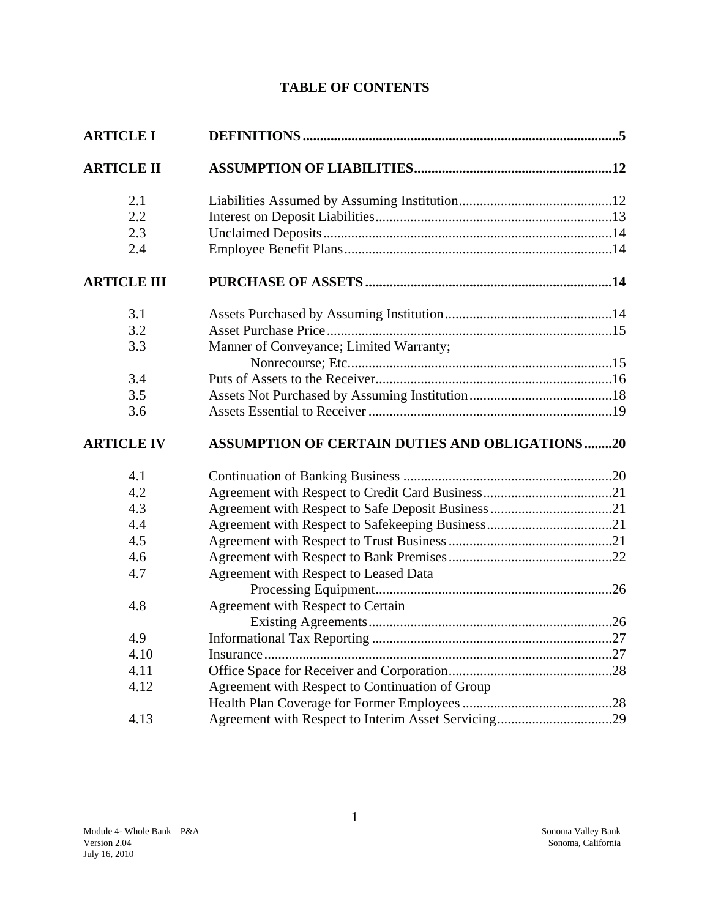# **TABLE OF CONTENTS**

| <b>ARTICLE I</b>   |                                                       |  |
|--------------------|-------------------------------------------------------|--|
| <b>ARTICLE II</b>  |                                                       |  |
| 2.1                |                                                       |  |
| 2.2                |                                                       |  |
| 2.3                |                                                       |  |
| 2.4                |                                                       |  |
| <b>ARTICLE III</b> |                                                       |  |
| 3.1                |                                                       |  |
| 3.2                |                                                       |  |
| 3.3                | Manner of Conveyance; Limited Warranty;               |  |
|                    |                                                       |  |
| 3.4                |                                                       |  |
| 3.5                |                                                       |  |
| 3.6                |                                                       |  |
| <b>ARTICLE IV</b>  | <b>ASSUMPTION OF CERTAIN DUTIES AND OBLIGATIONS20</b> |  |
| 4.1                |                                                       |  |
| 4.2                |                                                       |  |
| 4.3                |                                                       |  |
| 4.4                |                                                       |  |
| 4.5                |                                                       |  |
| 4.6                |                                                       |  |
| 4.7                | Agreement with Respect to Leased Data                 |  |
|                    |                                                       |  |
| 4.8                | Agreement with Respect to Certain                     |  |
|                    |                                                       |  |
| 4.9                |                                                       |  |
| 4.10               |                                                       |  |
| 4.11               |                                                       |  |
| 4.12               | Agreement with Respect to Continuation of Group       |  |
|                    |                                                       |  |
| 4.13               |                                                       |  |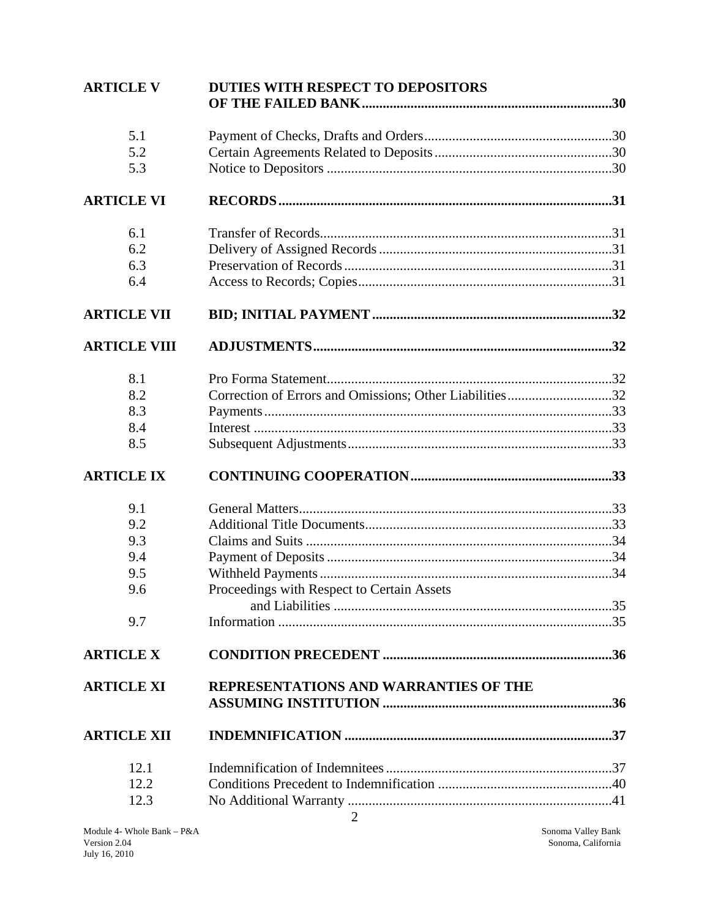| <b>ARTICLE V</b>    | <b>DUTIES WITH RESPECT TO DEPOSITORS</b>                |  |
|---------------------|---------------------------------------------------------|--|
| 5.1                 |                                                         |  |
| 5.2                 |                                                         |  |
| 5.3                 |                                                         |  |
| <b>ARTICLE VI</b>   |                                                         |  |
| 6.1                 |                                                         |  |
| 6.2                 |                                                         |  |
| 6.3                 |                                                         |  |
| 6.4                 |                                                         |  |
| <b>ARTICLE VII</b>  |                                                         |  |
| <b>ARTICLE VIII</b> |                                                         |  |
| 8.1                 |                                                         |  |
| 8.2                 | Correction of Errors and Omissions; Other Liabilities32 |  |
| 8.3                 |                                                         |  |
| 8.4                 |                                                         |  |
| 8.5                 |                                                         |  |
| <b>ARTICLE IX</b>   |                                                         |  |
| 9.1                 |                                                         |  |
| 9.2                 |                                                         |  |
| 9.3                 |                                                         |  |
| 9.4                 |                                                         |  |
| 9.5                 |                                                         |  |
| 9.6                 | Proceedings with Respect to Certain Assets              |  |
|                     |                                                         |  |
| 9.7                 |                                                         |  |
| <b>ARTICLE X</b>    |                                                         |  |
| <b>ARTICLE XI</b>   | REPRESENTATIONS AND WARRANTIES OF THE                   |  |
| <b>ARTICLE XII</b>  |                                                         |  |
| 12.1                |                                                         |  |
| 12.2                |                                                         |  |
| 12.3                |                                                         |  |
|                     | $\overline{2}$                                          |  |

Sonoma Valley Bank Sonoma, California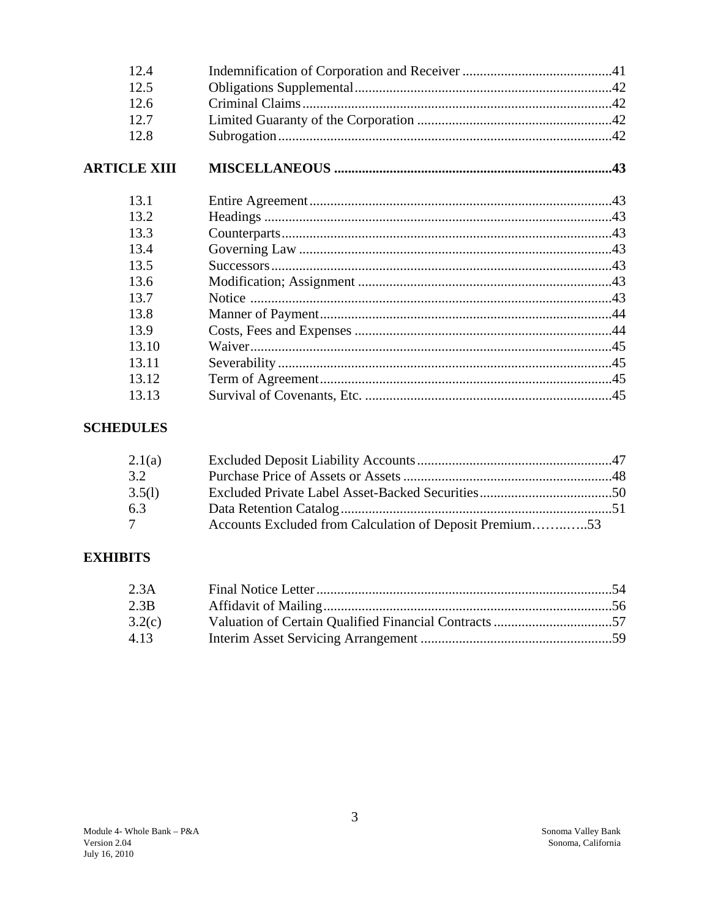| 12.4                |  |
|---------------------|--|
| 12.5                |  |
| 12.6                |  |
| 12.7                |  |
| 12.8                |  |
| <b>ARTICLE XIII</b> |  |
| 13.1                |  |
| 13.2                |  |
| 13.3                |  |
| 13.4                |  |
| 13.5                |  |
| 13.6                |  |
| 13.7                |  |
| 13.8                |  |
| 13.9                |  |
| 13.10               |  |
| 13.11               |  |
| 13.12               |  |
| 13.13               |  |

# **SCHEDULES**

| 2.1(a)          |                                                         |  |
|-----------------|---------------------------------------------------------|--|
| 3.2             |                                                         |  |
| 3.5(l)          |                                                         |  |
| 6.3             |                                                         |  |
| $7\phantom{.0}$ | Accounts Excluded from Calculation of Deposit Premium53 |  |

# **EXHIBITS**

| 2.3A   |  |
|--------|--|
| 2.3B   |  |
| 3.2(c) |  |
| 4.13   |  |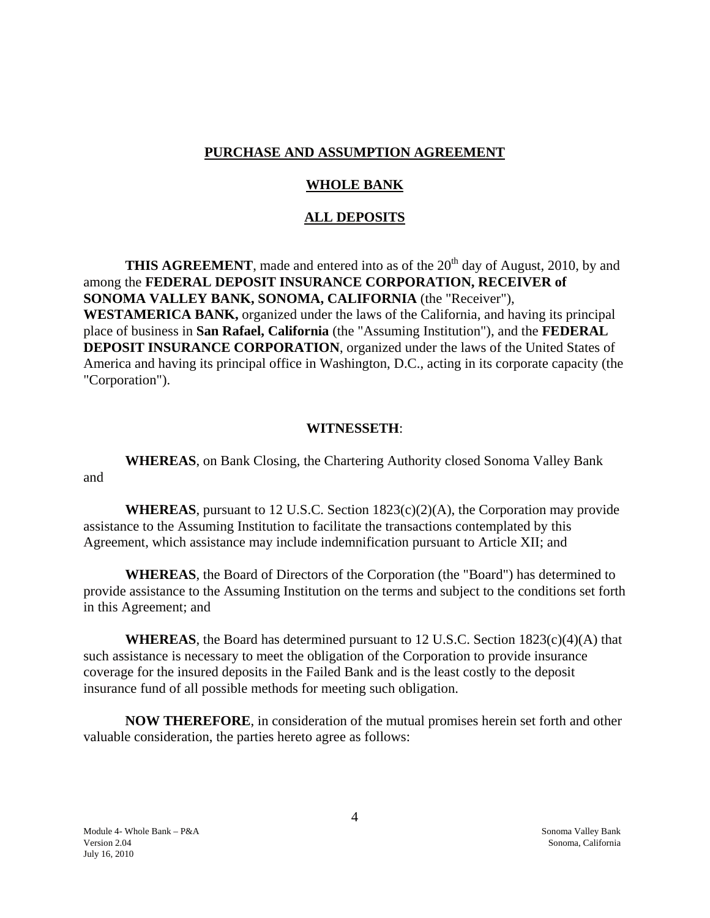#### **PURCHASE AND ASSUMPTION AGREEMENT**

#### **WHOLE BANK**

#### **ALL DEPOSITS**

**THIS AGREEMENT**, made and entered into as of the 20<sup>th</sup> day of August, 2010, by and among the **FEDERAL DEPOSIT INSURANCE CORPORATION, RECEIVER of SONOMA VALLEY BANK, SONOMA, CALIFORNIA** (the "Receiver"), **WESTAMERICA BANK,** organized under the laws of the California, and having its principal place of business in **San Rafael, California** (the "Assuming Institution"), and the **FEDERAL DEPOSIT INSURANCE CORPORATION**, organized under the laws of the United States of America and having its principal office in Washington, D.C., acting in its corporate capacity (the "Corporation").

#### **WITNESSETH**:

**WHEREAS**, on Bank Closing, the Chartering Authority closed Sonoma Valley Bank and

**WHEREAS**, pursuant to 12 U.S.C. Section  $1823(c)(2)(A)$ , the Corporation may provide assistance to the Assuming Institution to facilitate the transactions contemplated by this Agreement, which assistance may include indemnification pursuant to Article XII; and

**WHEREAS**, the Board of Directors of the Corporation (the "Board") has determined to provide assistance to the Assuming Institution on the terms and subject to the conditions set forth in this Agreement; and

**WHEREAS**, the Board has determined pursuant to 12 U.S.C. Section 1823(c)(4)(A) that such assistance is necessary to meet the obligation of the Corporation to provide insurance coverage for the insured deposits in the Failed Bank and is the least costly to the deposit insurance fund of all possible methods for meeting such obligation.

 **NOW THEREFORE**, in consideration of the mutual promises herein set forth and other valuable consideration, the parties hereto agree as follows: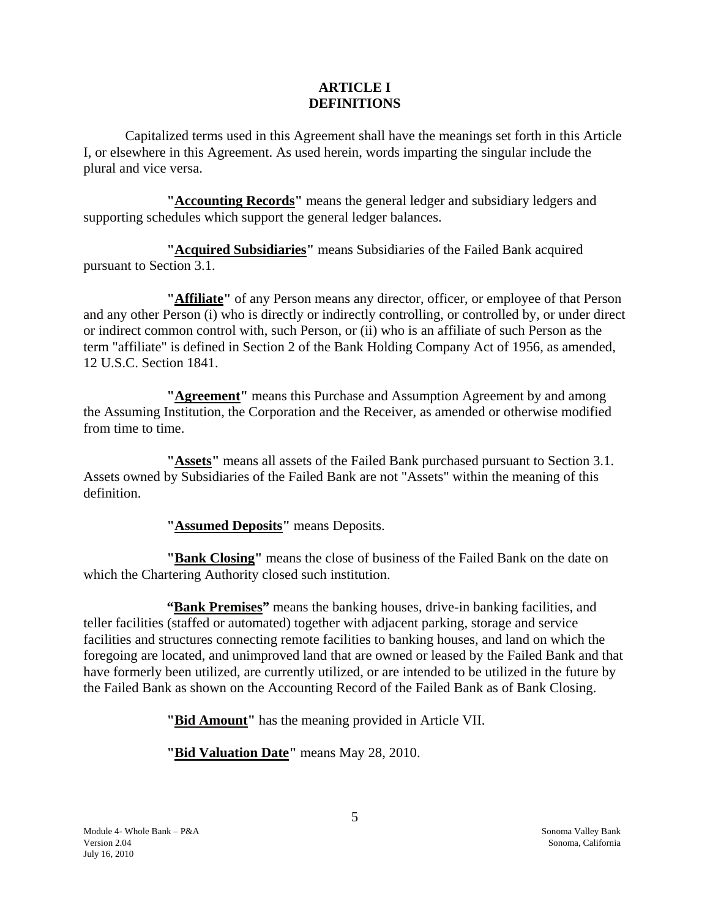#### **ARTICLE I DEFINITIONS**

Capitalized terms used in this Agreement shall have the meanings set forth in this Article I, or elsewhere in this Agreement. As used herein, words imparting the singular include the plural and vice versa.

**"Accounting Records"** means the general ledger and subsidiary ledgers and supporting schedules which support the general ledger balances.

**"Acquired Subsidiaries"** means Subsidiaries of the Failed Bank acquired pursuant to Section 3.1.

**"Affiliate"** of any Person means any director, officer, or employee of that Person and any other Person (i) who is directly or indirectly controlling, or controlled by, or under direct or indirect common control with, such Person, or (ii) who is an affiliate of such Person as the term "affiliate" is defined in Section 2 of the Bank Holding Company Act of 1956, as amended, 12 U.S.C. Section 1841.

**"Agreement"** means this Purchase and Assumption Agreement by and among the Assuming Institution, the Corporation and the Receiver, as amended or otherwise modified from time to time.

**"Assets"** means all assets of the Failed Bank purchased pursuant to Section 3.1. Assets owned by Subsidiaries of the Failed Bank are not "Assets" within the meaning of this definition.

**"Assumed Deposits"** means Deposits.

**"Bank Closing"** means the close of business of the Failed Bank on the date on which the Chartering Authority closed such institution.

**"Bank Premises"** means the banking houses, drive-in banking facilities, and teller facilities (staffed or automated) together with adjacent parking, storage and service facilities and structures connecting remote facilities to banking houses, and land on which the foregoing are located, and unimproved land that are owned or leased by the Failed Bank and that have formerly been utilized, are currently utilized, or are intended to be utilized in the future by the Failed Bank as shown on the Accounting Record of the Failed Bank as of Bank Closing.

**"Bid Amount"** has the meaning provided in Article VII.

**"Bid Valuation Date"** means May 28, 2010.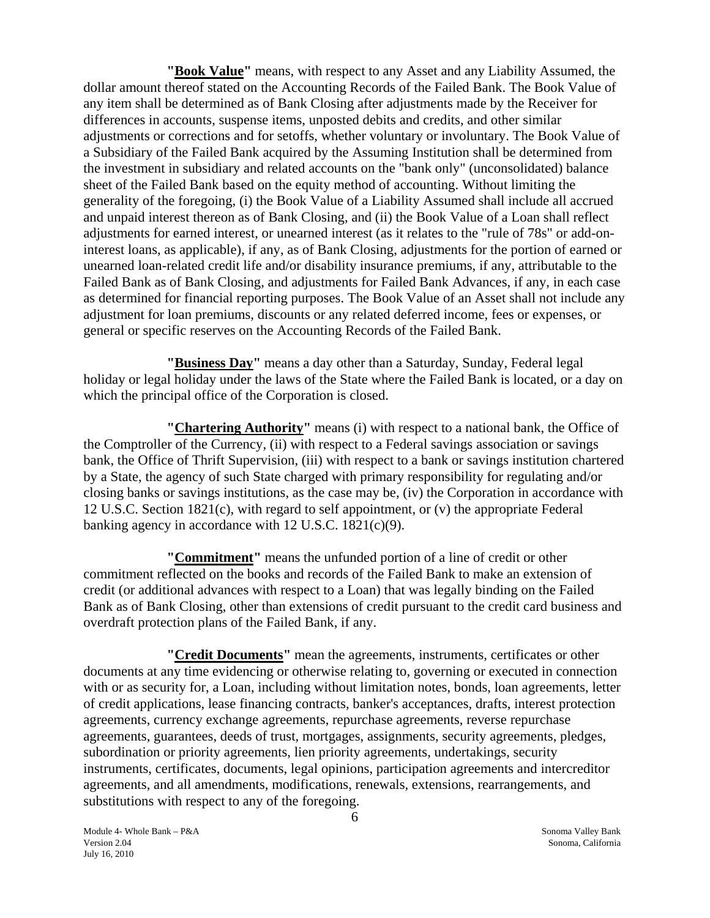**"Book Value"** means, with respect to any Asset and any Liability Assumed, the dollar amount thereof stated on the Accounting Records of the Failed Bank. The Book Value of any item shall be determined as of Bank Closing after adjustments made by the Receiver for differences in accounts, suspense items, unposted debits and credits, and other similar adjustments or corrections and for setoffs, whether voluntary or involuntary. The Book Value of a Subsidiary of the Failed Bank acquired by the Assuming Institution shall be determined from the investment in subsidiary and related accounts on the "bank only" (unconsolidated) balance sheet of the Failed Bank based on the equity method of accounting. Without limiting the generality of the foregoing, (i) the Book Value of a Liability Assumed shall include all accrued and unpaid interest thereon as of Bank Closing, and (ii) the Book Value of a Loan shall reflect adjustments for earned interest, or unearned interest (as it relates to the "rule of 78s" or add-oninterest loans, as applicable), if any, as of Bank Closing, adjustments for the portion of earned or unearned loan-related credit life and/or disability insurance premiums, if any, attributable to the Failed Bank as of Bank Closing, and adjustments for Failed Bank Advances, if any, in each case as determined for financial reporting purposes. The Book Value of an Asset shall not include any adjustment for loan premiums, discounts or any related deferred income, fees or expenses, or general or specific reserves on the Accounting Records of the Failed Bank.

**"Business Day"** means a day other than a Saturday, Sunday, Federal legal holiday or legal holiday under the laws of the State where the Failed Bank is located, or a day on which the principal office of the Corporation is closed.

**"Chartering Authority"** means (i) with respect to a national bank, the Office of the Comptroller of the Currency, (ii) with respect to a Federal savings association or savings bank, the Office of Thrift Supervision, (iii) with respect to a bank or savings institution chartered by a State, the agency of such State charged with primary responsibility for regulating and/or closing banks or savings institutions, as the case may be, (iv) the Corporation in accordance with 12 U.S.C. Section 1821(c), with regard to self appointment, or (v) the appropriate Federal banking agency in accordance with 12 U.S.C. 1821(c)(9).

**"Commitment"** means the unfunded portion of a line of credit or other commitment reflected on the books and records of the Failed Bank to make an extension of credit (or additional advances with respect to a Loan) that was legally binding on the Failed Bank as of Bank Closing, other than extensions of credit pursuant to the credit card business and overdraft protection plans of the Failed Bank, if any.

**"Credit Documents"** mean the agreements, instruments, certificates or other documents at any time evidencing or otherwise relating to, governing or executed in connection with or as security for, a Loan, including without limitation notes, bonds, loan agreements, letter of credit applications, lease financing contracts, banker's acceptances, drafts, interest protection agreements, currency exchange agreements, repurchase agreements, reverse repurchase agreements, guarantees, deeds of trust, mortgages, assignments, security agreements, pledges, subordination or priority agreements, lien priority agreements, undertakings, security instruments, certificates, documents, legal opinions, participation agreements and intercreditor agreements, and all amendments, modifications, renewals, extensions, rearrangements, and substitutions with respect to any of the foregoing.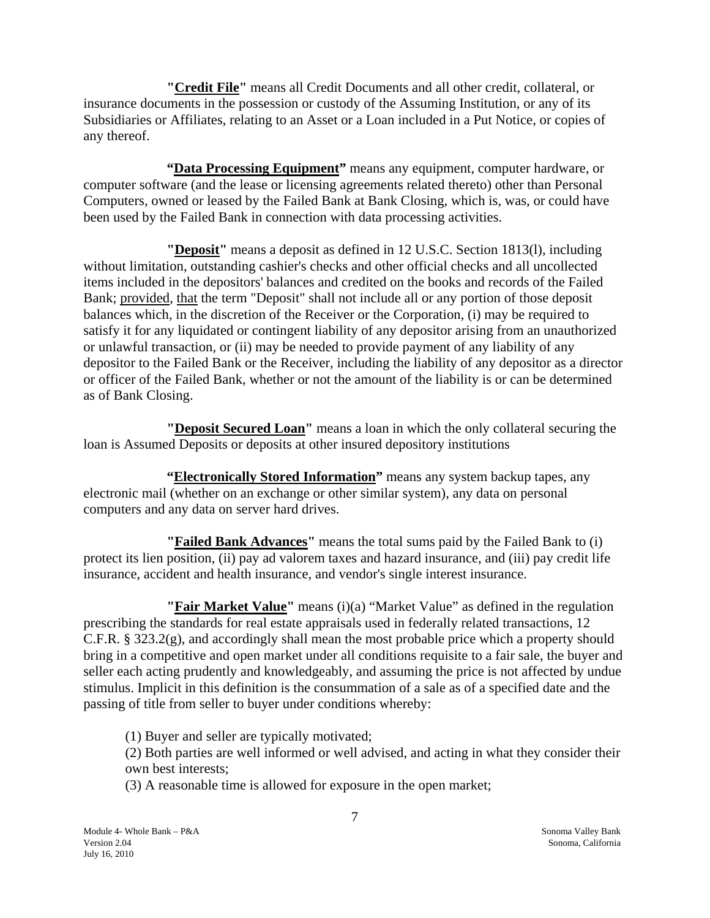**"Credit File"** means all Credit Documents and all other credit, collateral, or insurance documents in the possession or custody of the Assuming Institution, or any of its Subsidiaries or Affiliates, relating to an Asset or a Loan included in a Put Notice, or copies of any thereof.

**"Data Processing Equipment"** means any equipment, computer hardware, or computer software (and the lease or licensing agreements related thereto) other than Personal Computers, owned or leased by the Failed Bank at Bank Closing, which is, was, or could have been used by the Failed Bank in connection with data processing activities.

**"Deposit"** means a deposit as defined in 12 U.S.C. Section 1813(l), including without limitation, outstanding cashier's checks and other official checks and all uncollected items included in the depositors' balances and credited on the books and records of the Failed Bank; provided, that the term "Deposit" shall not include all or any portion of those deposit balances which, in the discretion of the Receiver or the Corporation, (i) may be required to satisfy it for any liquidated or contingent liability of any depositor arising from an unauthorized or unlawful transaction, or (ii) may be needed to provide payment of any liability of any depositor to the Failed Bank or the Receiver, including the liability of any depositor as a director or officer of the Failed Bank, whether or not the amount of the liability is or can be determined as of Bank Closing.

**"Deposit Secured Loan"** means a loan in which the only collateral securing the loan is Assumed Deposits or deposits at other insured depository institutions

"**Electronically Stored Information**" means any system backup tapes, any electronic mail (whether on an exchange or other similar system), any data on personal computers and any data on server hard drives.

**"Failed Bank Advances"** means the total sums paid by the Failed Bank to (i) protect its lien position, (ii) pay ad valorem taxes and hazard insurance, and (iii) pay credit life insurance, accident and health insurance, and vendor's single interest insurance.

**"Fair Market Value"** means (i)(a) "Market Value" as defined in the regulation prescribing the standards for real estate appraisals used in federally related transactions, 12 C.F.R. § 323.2(g), and accordingly shall mean the most probable price which a property should bring in a competitive and open market under all conditions requisite to a fair sale, the buyer and seller each acting prudently and knowledgeably, and assuming the price is not affected by undue stimulus. Implicit in this definition is the consummation of a sale as of a specified date and the passing of title from seller to buyer under conditions whereby:

(1) Buyer and seller are typically motivated;

(2) Both parties are well informed or well advised, and acting in what they consider their own best interests;

(3) A reasonable time is allowed for exposure in the open market;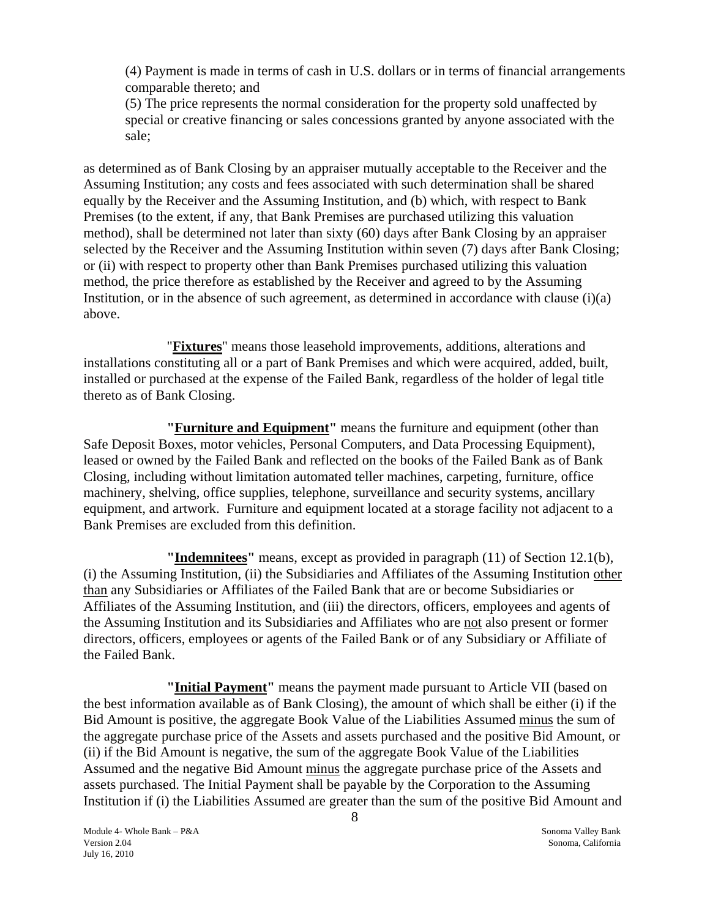(4) Payment is made in terms of cash in U.S. dollars or in terms of financial arrangements comparable thereto; and

(5) The price represents the normal consideration for the property sold unaffected by special or creative financing or sales concessions granted by anyone associated with the sale;

as determined as of Bank Closing by an appraiser mutually acceptable to the Receiver and the Assuming Institution; any costs and fees associated with such determination shall be shared equally by the Receiver and the Assuming Institution, and (b) which, with respect to Bank Premises (to the extent, if any, that Bank Premises are purchased utilizing this valuation method), shall be determined not later than sixty (60) days after Bank Closing by an appraiser selected by the Receiver and the Assuming Institution within seven (7) days after Bank Closing; or (ii) with respect to property other than Bank Premises purchased utilizing this valuation method, the price therefore as established by the Receiver and agreed to by the Assuming Institution, or in the absence of such agreement, as determined in accordance with clause (i)(a) above.

"**Fixtures**" means those leasehold improvements, additions, alterations and installations constituting all or a part of Bank Premises and which were acquired, added, built, installed or purchased at the expense of the Failed Bank, regardless of the holder of legal title thereto as of Bank Closing.

**"Furniture and Equipment"** means the furniture and equipment (other than Safe Deposit Boxes, motor vehicles, Personal Computers, and Data Processing Equipment), leased or owned by the Failed Bank and reflected on the books of the Failed Bank as of Bank Closing, including without limitation automated teller machines, carpeting, furniture, office machinery, shelving, office supplies, telephone, surveillance and security systems, ancillary equipment, and artwork. Furniture and equipment located at a storage facility not adjacent to a Bank Premises are excluded from this definition.

**"Indemnitees"** means, except as provided in paragraph (11) of Section 12.1(b), (i) the Assuming Institution, (ii) the Subsidiaries and Affiliates of the Assuming Institution other than any Subsidiaries or Affiliates of the Failed Bank that are or become Subsidiaries or Affiliates of the Assuming Institution, and (iii) the directors, officers, employees and agents of the Assuming Institution and its Subsidiaries and Affiliates who are not also present or former directors, officers, employees or agents of the Failed Bank or of any Subsidiary or Affiliate of the Failed Bank.

**"Initial Payment"** means the payment made pursuant to Article VII (based on the best information available as of Bank Closing), the amount of which shall be either (i) if the Bid Amount is positive, the aggregate Book Value of the Liabilities Assumed minus the sum of the aggregate purchase price of the Assets and assets purchased and the positive Bid Amount, or (ii) if the Bid Amount is negative, the sum of the aggregate Book Value of the Liabilities Assumed and the negative Bid Amount minus the aggregate purchase price of the Assets and assets purchased. The Initial Payment shall be payable by the Corporation to the Assuming Institution if (i) the Liabilities Assumed are greater than the sum of the positive Bid Amount and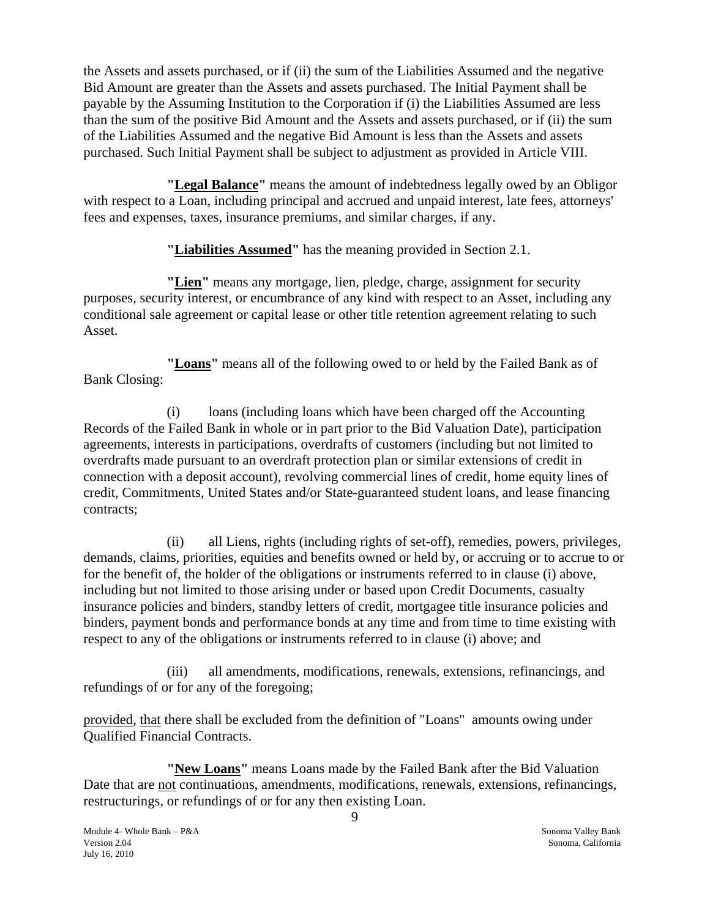the Assets and assets purchased, or if (ii) the sum of the Liabilities Assumed and the negative Bid Amount are greater than the Assets and assets purchased. The Initial Payment shall be payable by the Assuming Institution to the Corporation if (i) the Liabilities Assumed are less than the sum of the positive Bid Amount and the Assets and assets purchased, or if (ii) the sum of the Liabilities Assumed and the negative Bid Amount is less than the Assets and assets purchased. Such Initial Payment shall be subject to adjustment as provided in Article VIII.

**"Legal Balance"** means the amount of indebtedness legally owed by an Obligor with respect to a Loan, including principal and accrued and unpaid interest, late fees, attorneys' fees and expenses, taxes, insurance premiums, and similar charges, if any.

**"Liabilities Assumed"** has the meaning provided in Section 2.1.

**"Lien"** means any mortgage, lien, pledge, charge, assignment for security purposes, security interest, or encumbrance of any kind with respect to an Asset, including any conditional sale agreement or capital lease or other title retention agreement relating to such Asset.

**"Loans"** means all of the following owed to or held by the Failed Bank as of Bank Closing:

(i) loans (including loans which have been charged off the Accounting Records of the Failed Bank in whole or in part prior to the Bid Valuation Date), participation agreements, interests in participations, overdrafts of customers (including but not limited to overdrafts made pursuant to an overdraft protection plan or similar extensions of credit in connection with a deposit account), revolving commercial lines of credit, home equity lines of credit, Commitments, United States and/or State-guaranteed student loans, and lease financing contracts;

(ii) all Liens, rights (including rights of set-off), remedies, powers, privileges, demands, claims, priorities, equities and benefits owned or held by, or accruing or to accrue to or for the benefit of, the holder of the obligations or instruments referred to in clause (i) above, including but not limited to those arising under or based upon Credit Documents, casualty insurance policies and binders, standby letters of credit, mortgagee title insurance policies and binders, payment bonds and performance bonds at any time and from time to time existing with respect to any of the obligations or instruments referred to in clause (i) above; and

(iii) all amendments, modifications, renewals, extensions, refinancings, and refundings of or for any of the foregoing;

provided, that there shall be excluded from the definition of "Loans" amounts owing under Qualified Financial Contracts.

**"New Loans"** means Loans made by the Failed Bank after the Bid Valuation Date that are not continuations, amendments, modifications, renewals, extensions, refinancings, restructurings, or refundings of or for any then existing Loan.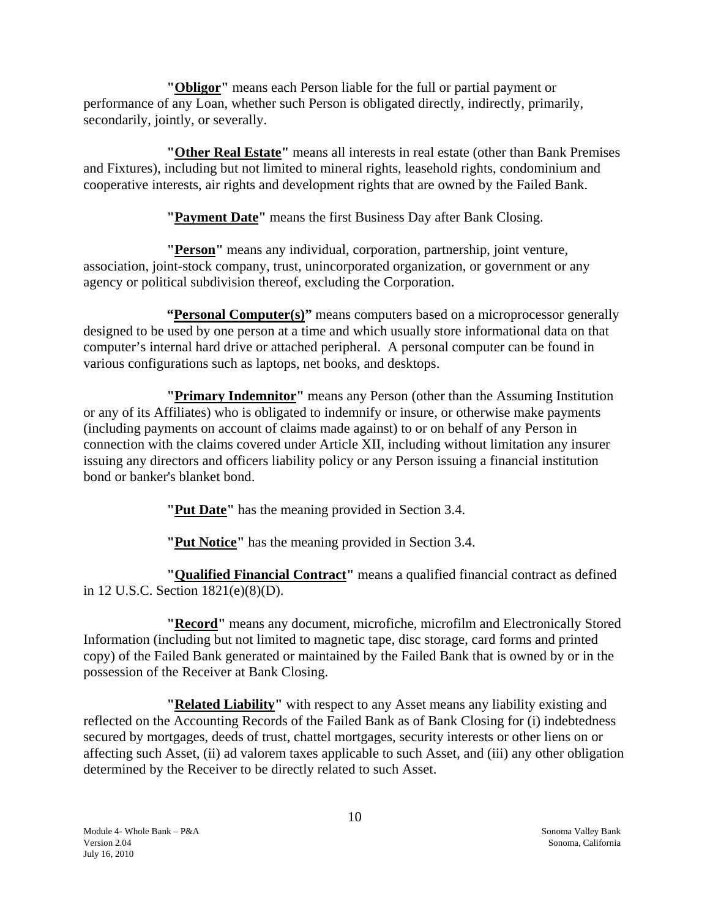**"Obligor"** means each Person liable for the full or partial payment or performance of any Loan, whether such Person is obligated directly, indirectly, primarily, secondarily, jointly, or severally.

**"Other Real Estate"** means all interests in real estate (other than Bank Premises and Fixtures), including but not limited to mineral rights, leasehold rights, condominium and cooperative interests, air rights and development rights that are owned by the Failed Bank.

**"Payment Date"** means the first Business Day after Bank Closing.

**"Person"** means any individual, corporation, partnership, joint venture, association, joint-stock company, trust, unincorporated organization, or government or any agency or political subdivision thereof, excluding the Corporation.

**"Personal Computer(s)"** means computers based on a microprocessor generally designed to be used by one person at a time and which usually store informational data on that computer's internal hard drive or attached peripheral. A personal computer can be found in various configurations such as laptops, net books, and desktops.

**"Primary Indemnitor"** means any Person (other than the Assuming Institution or any of its Affiliates) who is obligated to indemnify or insure, or otherwise make payments (including payments on account of claims made against) to or on behalf of any Person in connection with the claims covered under Article XII, including without limitation any insurer issuing any directors and officers liability policy or any Person issuing a financial institution bond or banker's blanket bond.

**"Put Date"** has the meaning provided in Section 3.4.

**"Put Notice"** has the meaning provided in Section 3.4.

**"Qualified Financial Contract"** means a qualified financial contract as defined in 12 U.S.C. Section 1821(e)(8)(D).

**"Record"** means any document, microfiche, microfilm and Electronically Stored Information (including but not limited to magnetic tape, disc storage, card forms and printed copy) of the Failed Bank generated or maintained by the Failed Bank that is owned by or in the possession of the Receiver at Bank Closing.

**"Related Liability"** with respect to any Asset means any liability existing and reflected on the Accounting Records of the Failed Bank as of Bank Closing for (i) indebtedness secured by mortgages, deeds of trust, chattel mortgages, security interests or other liens on or affecting such Asset, (ii) ad valorem taxes applicable to such Asset, and (iii) any other obligation determined by the Receiver to be directly related to such Asset.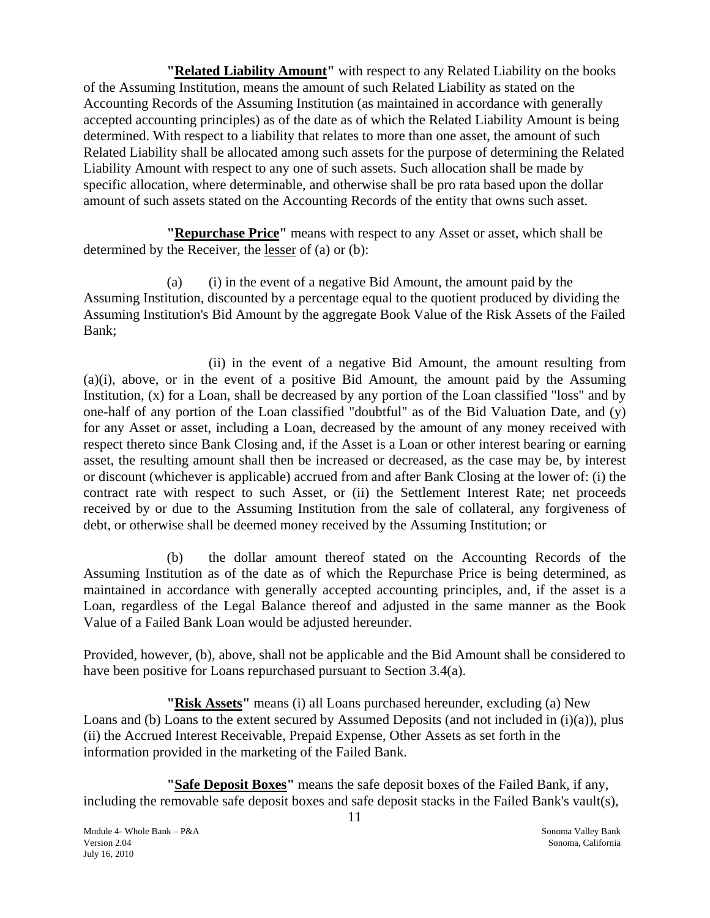**"Related Liability Amount"** with respect to any Related Liability on the books of the Assuming Institution, means the amount of such Related Liability as stated on the Accounting Records of the Assuming Institution (as maintained in accordance with generally accepted accounting principles) as of the date as of which the Related Liability Amount is being determined. With respect to a liability that relates to more than one asset, the amount of such Related Liability shall be allocated among such assets for the purpose of determining the Related Liability Amount with respect to any one of such assets. Such allocation shall be made by specific allocation, where determinable, and otherwise shall be pro rata based upon the dollar amount of such assets stated on the Accounting Records of the entity that owns such asset.

**"Repurchase Price"** means with respect to any Asset or asset, which shall be determined by the Receiver, the lesser of (a) or (b):

(a) (i) in the event of a negative Bid Amount, the amount paid by the Assuming Institution, discounted by a percentage equal to the quotient produced by dividing the Assuming Institution's Bid Amount by the aggregate Book Value of the Risk Assets of the Failed Bank;

(ii) in the event of a negative Bid Amount, the amount resulting from (a)(i), above, or in the event of a positive Bid Amount, the amount paid by the Assuming Institution, (x) for a Loan, shall be decreased by any portion of the Loan classified "loss" and by one-half of any portion of the Loan classified "doubtful" as of the Bid Valuation Date, and (y) for any Asset or asset, including a Loan, decreased by the amount of any money received with respect thereto since Bank Closing and, if the Asset is a Loan or other interest bearing or earning asset, the resulting amount shall then be increased or decreased, as the case may be, by interest or discount (whichever is applicable) accrued from and after Bank Closing at the lower of: (i) the contract rate with respect to such Asset, or (ii) the Settlement Interest Rate; net proceeds received by or due to the Assuming Institution from the sale of collateral, any forgiveness of debt, or otherwise shall be deemed money received by the Assuming Institution; or

(b) the dollar amount thereof stated on the Accounting Records of the Assuming Institution as of the date as of which the Repurchase Price is being determined, as maintained in accordance with generally accepted accounting principles, and, if the asset is a Loan, regardless of the Legal Balance thereof and adjusted in the same manner as the Book Value of a Failed Bank Loan would be adjusted hereunder.

Provided, however, (b), above, shall not be applicable and the Bid Amount shall be considered to have been positive for Loans repurchased pursuant to Section 3.4(a).

**"Risk Assets"** means (i) all Loans purchased hereunder, excluding (a) New Loans and (b) Loans to the extent secured by Assumed Deposits (and not included in (i)(a)), plus (ii) the Accrued Interest Receivable, Prepaid Expense, Other Assets as set forth in the information provided in the marketing of the Failed Bank.

**"Safe Deposit Boxes"** means the safe deposit boxes of the Failed Bank, if any, including the removable safe deposit boxes and safe deposit stacks in the Failed Bank's vault(s),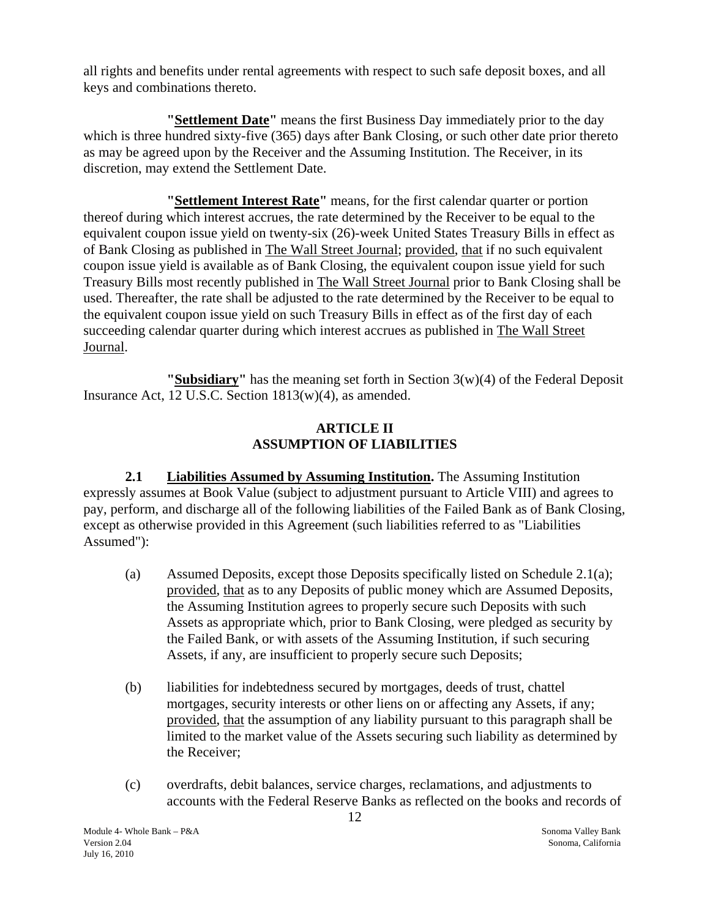all rights and benefits under rental agreements with respect to such safe deposit boxes, and all keys and combinations thereto.

**"Settlement Date"** means the first Business Day immediately prior to the day which is three hundred sixty-five (365) days after Bank Closing, or such other date prior thereto as may be agreed upon by the Receiver and the Assuming Institution. The Receiver, in its discretion, may extend the Settlement Date.

**"Settlement Interest Rate"** means, for the first calendar quarter or portion thereof during which interest accrues, the rate determined by the Receiver to be equal to the equivalent coupon issue yield on twenty-six (26)-week United States Treasury Bills in effect as of Bank Closing as published in The Wall Street Journal; provided, that if no such equivalent coupon issue yield is available as of Bank Closing, the equivalent coupon issue yield for such Treasury Bills most recently published in The Wall Street Journal prior to Bank Closing shall be used. Thereafter, the rate shall be adjusted to the rate determined by the Receiver to be equal to the equivalent coupon issue yield on such Treasury Bills in effect as of the first day of each succeeding calendar quarter during which interest accrues as published in The Wall Street Journal.

**"Subsidiary"** has the meaning set forth in Section 3(w)(4) of the Federal Deposit Insurance Act, 12 U.S.C. Section 1813(w)(4), as amended.

## **ARTICLE II ASSUMPTION OF LIABILITIES**

 **2.1 Liabilities Assumed by Assuming Institution.** The Assuming Institution expressly assumes at Book Value (subject to adjustment pursuant to Article VIII) and agrees to pay, perform, and discharge all of the following liabilities of the Failed Bank as of Bank Closing, except as otherwise provided in this Agreement (such liabilities referred to as "Liabilities Assumed"):

- (a) Assumed Deposits, except those Deposits specifically listed on Schedule 2.1(a); provided, that as to any Deposits of public money which are Assumed Deposits, the Assuming Institution agrees to properly secure such Deposits with such Assets as appropriate which, prior to Bank Closing, were pledged as security by the Failed Bank, or with assets of the Assuming Institution, if such securing Assets, if any, are insufficient to properly secure such Deposits;
- (b) liabilities for indebtedness secured by mortgages, deeds of trust, chattel mortgages, security interests or other liens on or affecting any Assets, if any; provided, that the assumption of any liability pursuant to this paragraph shall be limited to the market value of the Assets securing such liability as determined by the Receiver;
- (c) overdrafts, debit balances, service charges, reclamations, and adjustments to accounts with the Federal Reserve Banks as reflected on the books and records of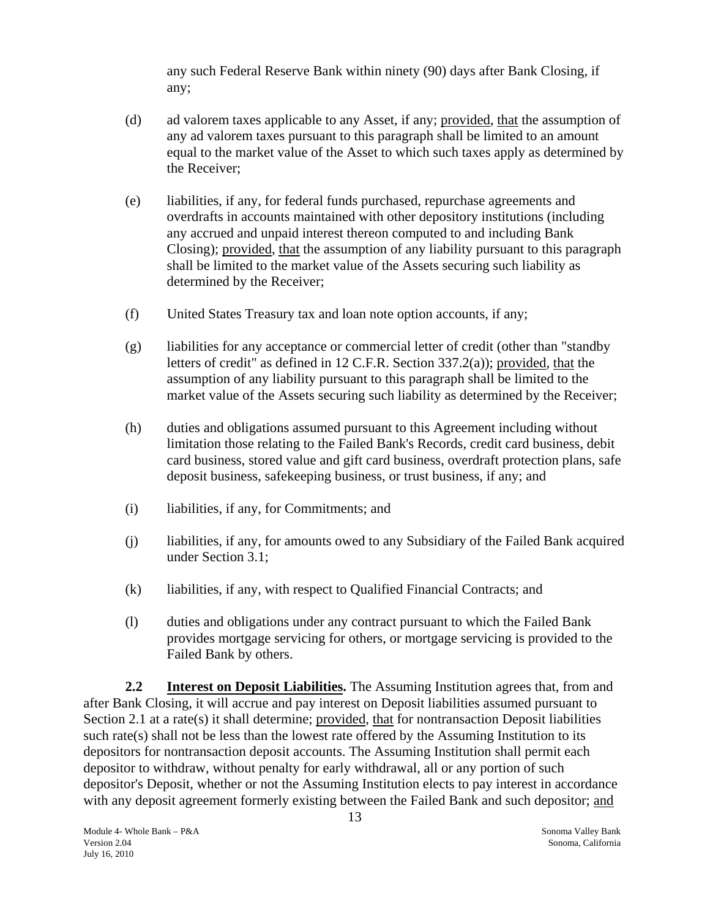any such Federal Reserve Bank within ninety (90) days after Bank Closing, if any;

- <span id="page-13-0"></span>(d) ad valorem taxes applicable to any Asset, if any; provided, that the assumption of any ad valorem taxes pursuant to this paragraph shall be limited to an amount equal to the market value of the Asset to which such taxes apply as determined by the Receiver;
- (e) liabilities, if any, for federal funds purchased, repurchase agreements and overdrafts in accounts maintained with other depository institutions (including any accrued and unpaid interest thereon computed to and including Bank Closing); provided, that the assumption of any liability pursuant to this paragraph shall be limited to the market value of the Assets securing such liability as determined by the Receiver;
- (f) United States Treasury tax and loan note option accounts, if any;
- (g) liabilities for any acceptance or commercial letter of credit (other than "standby letters of credit" as defined in 12 C.F.R. Section 337.2(a)); provided, that the assumption of any liability pursuant to this paragraph shall be limited to the market value of the Assets securing such liability as determined by the Receiver;
- (h) duties and obligations assumed pursuant to this Agreement including without limitation those relating to the Failed Bank's Records, credit card business, debit card business, stored value and gift card business, overdraft protection plans, safe deposit business, safekeeping business, or trust business, if any; and
- (i) liabilities, if any, for Commitments; and
- (j) liabilities, if any, for amounts owed to any Subsidiary of the Failed Bank acquired under Section 3.1;
- (k) liabilities, if any, with respect to Qualified Financial Contracts; and
- (l) duties and obligations under any contract pursuant to which the Failed Bank provides mortgage servicing for others, or mortgage servicing is provided to the Failed Bank by others.

**2.2 Interest on Deposit Liabilities.** The Assuming Institution agrees that, from and after Bank Closing, it will accrue and pay interest on Deposit liabilities assumed pursuant to Section 2.1 at a rate(s) it shall determine; provided, that for nontransaction Deposit liabilities such rate(s) shall not be less than the lowest rate offered by the Assuming Institution to its depositors for nontransaction deposit accounts. The Assuming Institution shall permit each depositor to withdraw, without penalty for early withdrawal, all or any portion of such depositor's Deposit, whether or not the Assuming Institution elects to pay interest in accordance with any deposit agreement formerly existing between the Failed Bank and such depositor; and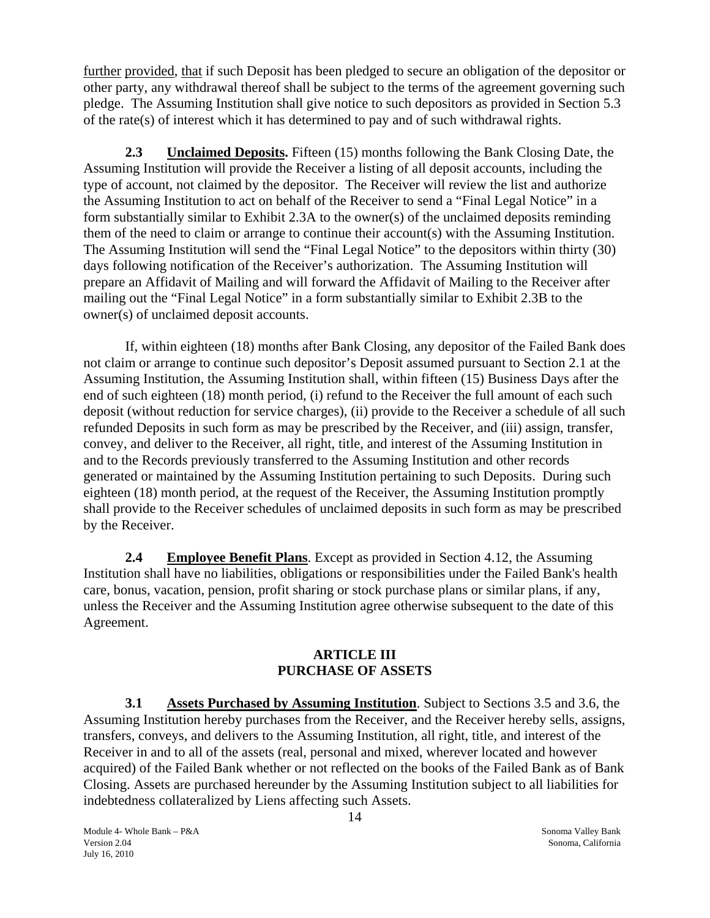<span id="page-14-0"></span>further provided, that if such Deposit has been pledged to secure an obligation of the depositor or other party, any withdrawal thereof shall be subject to the terms of the agreement governing such pledge. The Assuming Institution shall give notice to such depositors as provided in Section 5.3 of the rate(s) of interest which it has determined to pay and of such withdrawal rights.

**2.3 Unclaimed Deposits.** Fifteen (15) months following the Bank Closing Date, the Assuming Institution will provide the Receiver a listing of all deposit accounts, including the type of account, not claimed by the depositor. The Receiver will review the list and authorize the Assuming Institution to act on behalf of the Receiver to send a "Final Legal Notice" in a form substantially similar to Exhibit 2.3A to the owner(s) of the unclaimed deposits reminding them of the need to claim or arrange to continue their account(s) with the Assuming Institution. The Assuming Institution will send the "Final Legal Notice" to the depositors within thirty (30) days following notification of the Receiver's authorization. The Assuming Institution will prepare an Affidavit of Mailing and will forward the Affidavit of Mailing to the Receiver after mailing out the "Final Legal Notice" in a form substantially similar to Exhibit 2.3B to the owner(s) of unclaimed deposit accounts.

If, within eighteen (18) months after Bank Closing, any depositor of the Failed Bank does not claim or arrange to continue such depositor's Deposit assumed pursuant to Section 2.1 at the Assuming Institution, the Assuming Institution shall, within fifteen (15) Business Days after the end of such eighteen (18) month period, (i) refund to the Receiver the full amount of each such deposit (without reduction for service charges), (ii) provide to the Receiver a schedule of all such refunded Deposits in such form as may be prescribed by the Receiver, and (iii) assign, transfer, convey, and deliver to the Receiver, all right, title, and interest of the Assuming Institution in and to the Records previously transferred to the Assuming Institution and other records generated or maintained by the Assuming Institution pertaining to such Deposits. During such eighteen (18) month period, at the request of the Receiver, the Assuming Institution promptly shall provide to the Receiver schedules of unclaimed deposits in such form as may be prescribed by the Receiver.

**2.4 Employee Benefit Plans**. Except as provided in Section 4.12, the Assuming Institution shall have no liabilities, obligations or responsibilities under the Failed Bank's health care, bonus, vacation, pension, profit sharing or stock purchase plans or similar plans, if any, unless the Receiver and the Assuming Institution agree otherwise subsequent to the date of this Agreement.

#### **ARTICLE III PURCHASE OF ASSETS**

 **3.1 Assets Purchased by Assuming Institution**. Subject to Sections 3.5 and 3.6, the Assuming Institution hereby purchases from the Receiver, and the Receiver hereby sells, assigns, transfers, conveys, and delivers to the Assuming Institution, all right, title, and interest of the Receiver in and to all of the assets (real, personal and mixed, wherever located and however acquired) of the Failed Bank whether or not reflected on the books of the Failed Bank as of Bank Closing. Assets are purchased hereunder by the Assuming Institution subject to all liabilities for indebtedness collateralized by Liens affecting such Assets.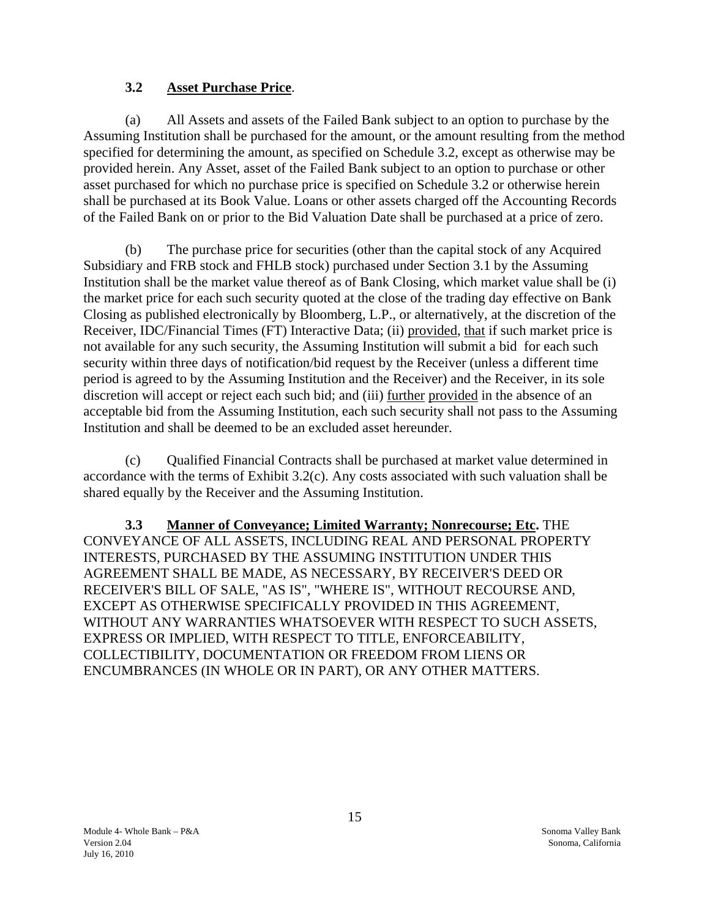## **3.2 Asset Purchase Price**.

<span id="page-15-0"></span>(a) All Assets and assets of the Failed Bank subject to an option to purchase by the Assuming Institution shall be purchased for the amount, or the amount resulting from the method specified for determining the amount, as specified on Schedule 3.2, except as otherwise may be provided herein. Any Asset, asset of the Failed Bank subject to an option to purchase or other asset purchased for which no purchase price is specified on Schedule 3.2 or otherwise herein shall be purchased at its Book Value. Loans or other assets charged off the Accounting Records of the Failed Bank on or prior to the Bid Valuation Date shall be purchased at a price of zero.

(b) The purchase price for securities (other than the capital stock of any Acquired Subsidiary and FRB stock and FHLB stock) purchased under Section 3.1 by the Assuming Institution shall be the market value thereof as of Bank Closing, which market value shall be (i) the market price for each such security quoted at the close of the trading day effective on Bank Closing as published electronically by Bloomberg, L.P., or alternatively, at the discretion of the Receiver, IDC/Financial Times (FT) Interactive Data; (ii) provided, that if such market price is not available for any such security, the Assuming Institution will submit a bid for each such security within three days of notification/bid request by the Receiver (unless a different time period is agreed to by the Assuming Institution and the Receiver) and the Receiver, in its sole discretion will accept or reject each such bid; and (iii) further provided in the absence of an acceptable bid from the Assuming Institution, each such security shall not pass to the Assuming Institution and shall be deemed to be an excluded asset hereunder.

(c) Qualified Financial Contracts shall be purchased at market value determined in accordance with the terms of Exhibit 3.2(c). Any costs associated with such valuation shall be shared equally by the Receiver and the Assuming Institution.

**3.3 Manner of Conveyance; Limited Warranty; Nonrecourse; Etc.** THE CONVEYANCE OF ALL ASSETS, INCLUDING REAL AND PERSONAL PROPERTY INTERESTS, PURCHASED BY THE ASSUMING INSTITUTION UNDER THIS AGREEMENT SHALL BE MADE, AS NECESSARY, BY RECEIVER'S DEED OR RECEIVER'S BILL OF SALE, "AS IS", "WHERE IS", WITHOUT RECOURSE AND, EXCEPT AS OTHERWISE SPECIFICALLY PROVIDED IN THIS AGREEMENT, WITHOUT ANY WARRANTIES WHATSOEVER WITH RESPECT TO SUCH ASSETS, EXPRESS OR IMPLIED, WITH RESPECT TO TITLE, ENFORCEABILITY, COLLECTIBILITY, DOCUMENTATION OR FREEDOM FROM LIENS OR ENCUMBRANCES (IN WHOLE OR IN PART), OR ANY OTHER MATTERS.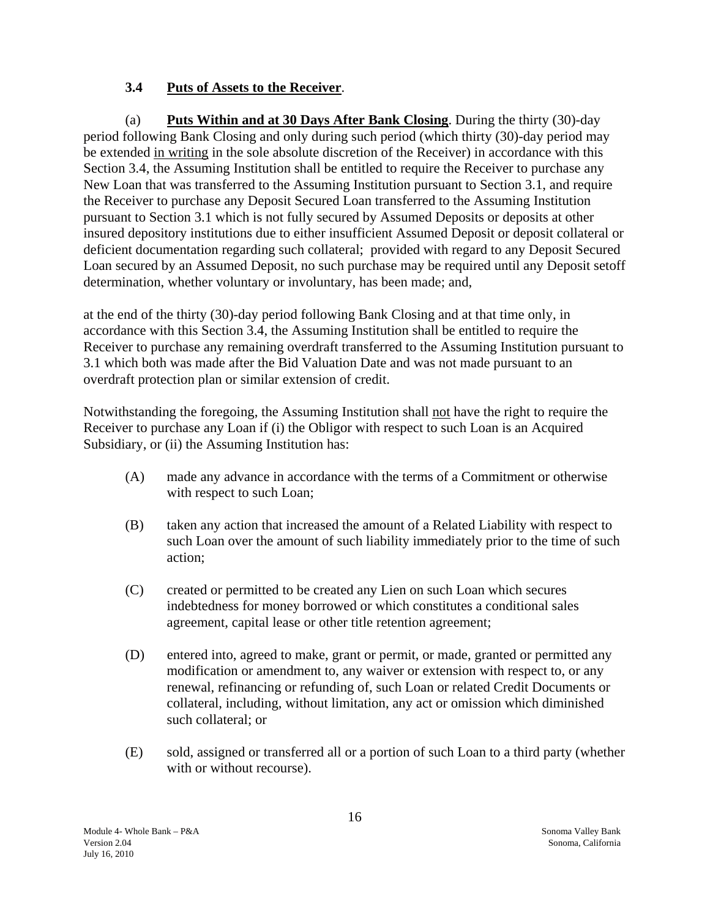# **3.4 Puts of Assets to the Receiver**.

<span id="page-16-0"></span>(a) **Puts Within and at 30 Days After Bank Closing**. During the thirty (30)-day period following Bank Closing and only during such period (which thirty (30)-day period may be extended in writing in the sole absolute discretion of the Receiver) in accordance with this Section 3.4, the Assuming Institution shall be entitled to require the Receiver to purchase any New Loan that was transferred to the Assuming Institution pursuant to Section 3.1, and require the Receiver to purchase any Deposit Secured Loan transferred to the Assuming Institution pursuant to Section 3.1 which is not fully secured by Assumed Deposits or deposits at other insured depository institutions due to either insufficient Assumed Deposit or deposit collateral or deficient documentation regarding such collateral; provided with regard to any Deposit Secured Loan secured by an Assumed Deposit, no such purchase may be required until any Deposit setoff determination, whether voluntary or involuntary, has been made; and,

at the end of the thirty (30)-day period following Bank Closing and at that time only, in accordance with this Section 3.4, the Assuming Institution shall be entitled to require the Receiver to purchase any remaining overdraft transferred to the Assuming Institution pursuant to 3.1 which both was made after the Bid Valuation Date and was not made pursuant to an overdraft protection plan or similar extension of credit.

Notwithstanding the foregoing, the Assuming Institution shall not have the right to require the Receiver to purchase any Loan if (i) the Obligor with respect to such Loan is an Acquired Subsidiary, or (ii) the Assuming Institution has:

- (A) made any advance in accordance with the terms of a Commitment or otherwise with respect to such Loan;
- (B) taken any action that increased the amount of a Related Liability with respect to such Loan over the amount of such liability immediately prior to the time of such action;
- (C) created or permitted to be created any Lien on such Loan which secures indebtedness for money borrowed or which constitutes a conditional sales agreement, capital lease or other title retention agreement;
- (D) entered into, agreed to make, grant or permit, or made, granted or permitted any modification or amendment to, any waiver or extension with respect to, or any renewal, refinancing or refunding of, such Loan or related Credit Documents or collateral, including, without limitation, any act or omission which diminished such collateral; or
- (E) sold, assigned or transferred all or a portion of such Loan to a third party (whether with or without recourse).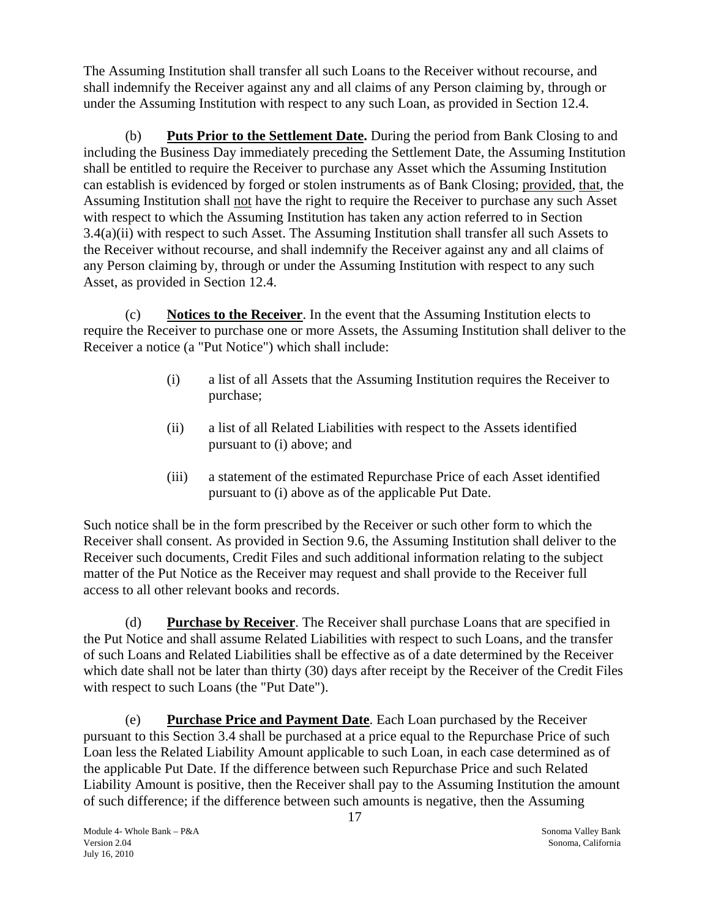The Assuming Institution shall transfer all such Loans to the Receiver without recourse, and shall indemnify the Receiver against any and all claims of any Person claiming by, through or under the Assuming Institution with respect to any such Loan, as provided in Section 12.4.

(b) **Puts Prior to the Settlement Date.** During the period from Bank Closing to and including the Business Day immediately preceding the Settlement Date, the Assuming Institution shall be entitled to require the Receiver to purchase any Asset which the Assuming Institution can establish is evidenced by forged or stolen instruments as of Bank Closing; provided, that, the Assuming Institution shall not have the right to require the Receiver to purchase any such Asset with respect to which the Assuming Institution has taken any action referred to in Section 3.4(a)(ii) with respect to such Asset. The Assuming Institution shall transfer all such Assets to the Receiver without recourse, and shall indemnify the Receiver against any and all claims of any Person claiming by, through or under the Assuming Institution with respect to any such Asset, as provided in Section 12.4.

(c) **Notices to the Receiver**. In the event that the Assuming Institution elects to require the Receiver to purchase one or more Assets, the Assuming Institution shall deliver to the Receiver a notice (a "Put Notice") which shall include:

- (i) a list of all Assets that the Assuming Institution requires the Receiver to purchase;
- (ii) a list of all Related Liabilities with respect to the Assets identified pursuant to (i) above; and
- (iii) a statement of the estimated Repurchase Price of each Asset identified pursuant to (i) above as of the applicable Put Date.

Such notice shall be in the form prescribed by the Receiver or such other form to which the Receiver shall consent. As provided in Section 9.6, the Assuming Institution shall deliver to the Receiver such documents, Credit Files and such additional information relating to the subject matter of the Put Notice as the Receiver may request and shall provide to the Receiver full access to all other relevant books and records.

(d) **Purchase by Receiver**. The Receiver shall purchase Loans that are specified in the Put Notice and shall assume Related Liabilities with respect to such Loans, and the transfer of such Loans and Related Liabilities shall be effective as of a date determined by the Receiver which date shall not be later than thirty (30) days after receipt by the Receiver of the Credit Files with respect to such Loans (the "Put Date").

(e) **Purchase Price and Payment Date**. Each Loan purchased by the Receiver pursuant to this Section 3.4 shall be purchased at a price equal to the Repurchase Price of such Loan less the Related Liability Amount applicable to such Loan, in each case determined as of the applicable Put Date. If the difference between such Repurchase Price and such Related Liability Amount is positive, then the Receiver shall pay to the Assuming Institution the amount of such difference; if the difference between such amounts is negative, then the Assuming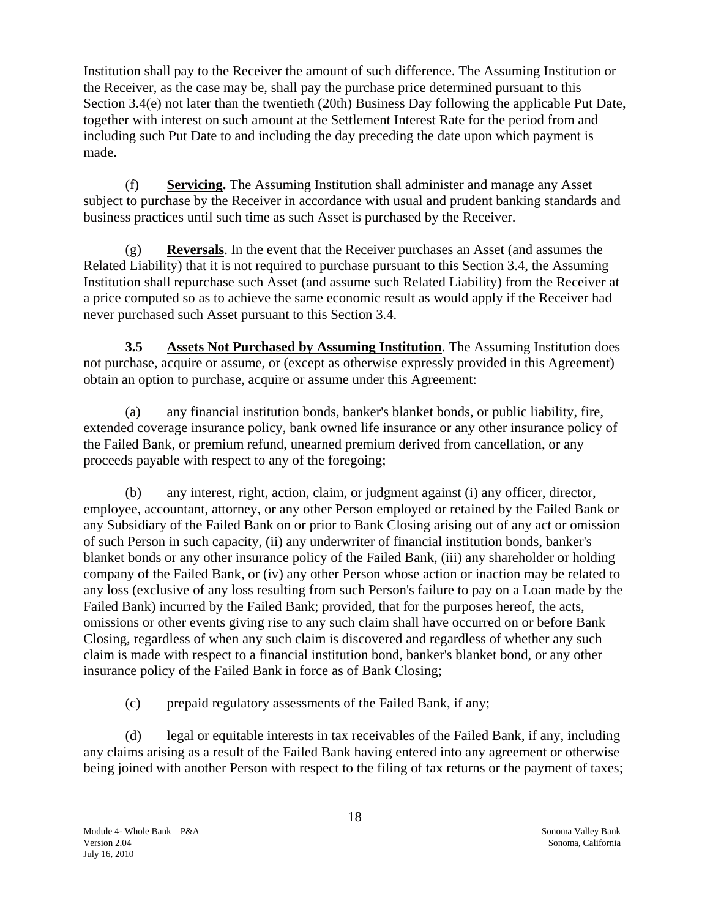<span id="page-18-0"></span>Institution shall pay to the Receiver the amount of such difference. The Assuming Institution or the Receiver, as the case may be, shall pay the purchase price determined pursuant to this Section 3.4(e) not later than the twentieth (20th) Business Day following the applicable Put Date, together with interest on such amount at the Settlement Interest Rate for the period from and including such Put Date to and including the day preceding the date upon which payment is made.

(f) **Servicing.** The Assuming Institution shall administer and manage any Asset subject to purchase by the Receiver in accordance with usual and prudent banking standards and business practices until such time as such Asset is purchased by the Receiver.

(g) **Reversals**. In the event that the Receiver purchases an Asset (and assumes the Related Liability) that it is not required to purchase pursuant to this Section 3.4, the Assuming Institution shall repurchase such Asset (and assume such Related Liability) from the Receiver at a price computed so as to achieve the same economic result as would apply if the Receiver had never purchased such Asset pursuant to this Section 3.4.

**3.5 Assets Not Purchased by Assuming Institution**. The Assuming Institution does not purchase, acquire or assume, or (except as otherwise expressly provided in this Agreement) obtain an option to purchase, acquire or assume under this Agreement:

(a) any financial institution bonds, banker's blanket bonds, or public liability, fire, extended coverage insurance policy, bank owned life insurance or any other insurance policy of the Failed Bank, or premium refund, unearned premium derived from cancellation, or any proceeds payable with respect to any of the foregoing;

(b) any interest, right, action, claim, or judgment against (i) any officer, director, employee, accountant, attorney, or any other Person employed or retained by the Failed Bank or any Subsidiary of the Failed Bank on or prior to Bank Closing arising out of any act or omission of such Person in such capacity, (ii) any underwriter of financial institution bonds, banker's blanket bonds or any other insurance policy of the Failed Bank, (iii) any shareholder or holding company of the Failed Bank, or (iv) any other Person whose action or inaction may be related to any loss (exclusive of any loss resulting from such Person's failure to pay on a Loan made by the Failed Bank) incurred by the Failed Bank; provided, that for the purposes hereof, the acts, omissions or other events giving rise to any such claim shall have occurred on or before Bank Closing, regardless of when any such claim is discovered and regardless of whether any such claim is made with respect to a financial institution bond, banker's blanket bond, or any other insurance policy of the Failed Bank in force as of Bank Closing;

(c) prepaid regulatory assessments of the Failed Bank, if any;

(d) legal or equitable interests in tax receivables of the Failed Bank, if any, including any claims arising as a result of the Failed Bank having entered into any agreement or otherwise being joined with another Person with respect to the filing of tax returns or the payment of taxes;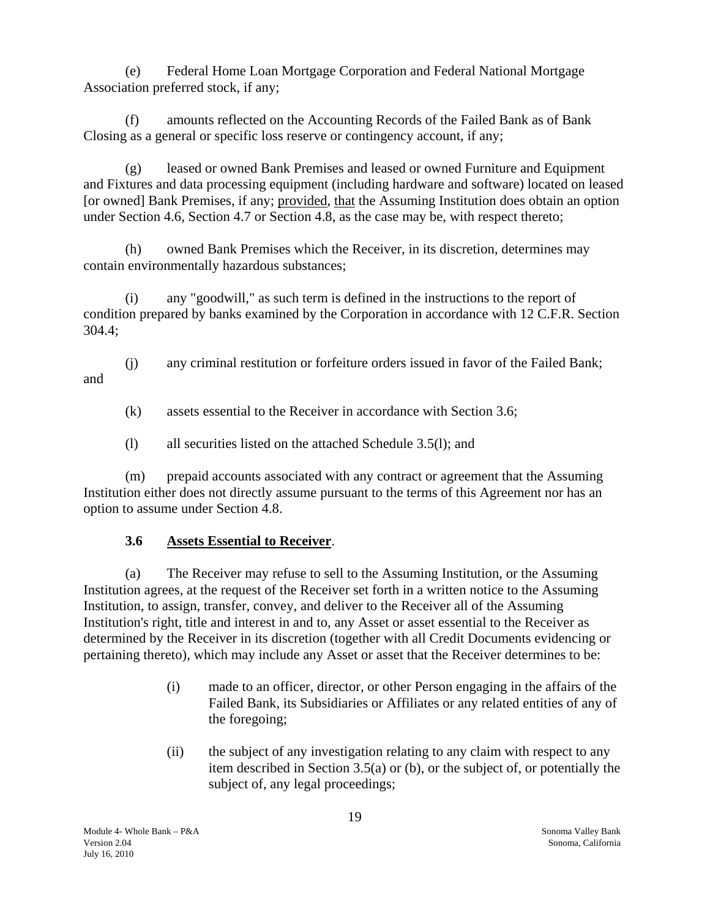(e) Federal Home Loan Mortgage Corporation and Federal National Mortgage Association preferred stock, if any;

(f) amounts reflected on the Accounting Records of the Failed Bank as of Bank Closing as a general or specific loss reserve or contingency account, if any;

(g) leased or owned Bank Premises and leased or owned Furniture and Equipment and Fixtures and data processing equipment (including hardware and software) located on leased [or owned] Bank Premises, if any; provided, that the Assuming Institution does obtain an option under Section 4.6, Section 4.7 or Section 4.8, as the case may be, with respect thereto;

(h) owned Bank Premises which the Receiver, in its discretion, determines may contain environmentally hazardous substances;

(i) any "goodwill," as such term is defined in the instructions to the report of condition prepared by banks examined by the Corporation in accordance with 12 C.F.R. Section 304.4;

(j) any criminal restitution or forfeiture orders issued in favor of the Failed Bank; and

(k) assets essential to the Receiver in accordance with Section 3.6;

(l) all securities listed on the attached Schedule 3.5(l); and

(m) prepaid accounts associated with any contract or agreement that the Assuming Institution either does not directly assume pursuant to the terms of this Agreement nor has an option to assume under Section 4.8.

# **3.6 Assets Essential to Receiver**.

(a) The Receiver may refuse to sell to the Assuming Institution, or the Assuming Institution agrees, at the request of the Receiver set forth in a written notice to the Assuming Institution, to assign, transfer, convey, and deliver to the Receiver all of the Assuming Institution's right, title and interest in and to, any Asset or asset essential to the Receiver as determined by the Receiver in its discretion (together with all Credit Documents evidencing or pertaining thereto), which may include any Asset or asset that the Receiver determines to be:

- (i) made to an officer, director, or other Person engaging in the affairs of the Failed Bank, its Subsidiaries or Affiliates or any related entities of any of the foregoing;
- (ii) the subject of any investigation relating to any claim with respect to any item described in Section 3.5(a) or (b), or the subject of, or potentially the subject of, any legal proceedings;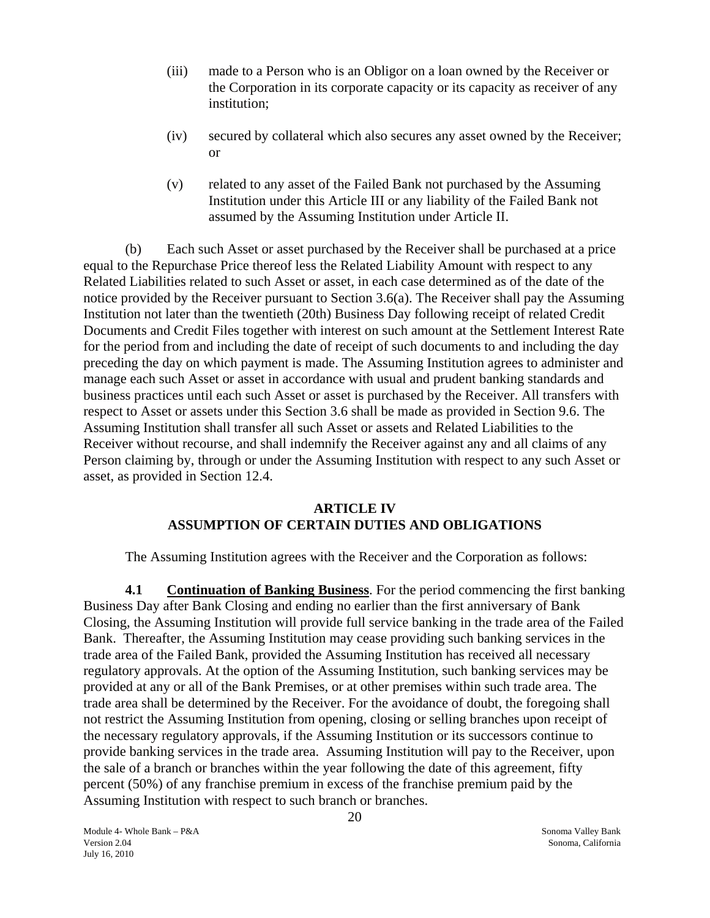- <span id="page-20-0"></span>(iii) made to a Person who is an Obligor on a loan owned by the Receiver or the Corporation in its corporate capacity or its capacity as receiver of any institution;
- (iv) secured by collateral which also secures any asset owned by the Receiver; or
- (v) related to any asset of the Failed Bank not purchased by the Assuming Institution under this Article III or any liability of the Failed Bank not assumed by the Assuming Institution under Article II.

(b) Each such Asset or asset purchased by the Receiver shall be purchased at a price equal to the Repurchase Price thereof less the Related Liability Amount with respect to any Related Liabilities related to such Asset or asset, in each case determined as of the date of the notice provided by the Receiver pursuant to Section 3.6(a). The Receiver shall pay the Assuming Institution not later than the twentieth (20th) Business Day following receipt of related Credit Documents and Credit Files together with interest on such amount at the Settlement Interest Rate for the period from and including the date of receipt of such documents to and including the day preceding the day on which payment is made. The Assuming Institution agrees to administer and manage each such Asset or asset in accordance with usual and prudent banking standards and business practices until each such Asset or asset is purchased by the Receiver. All transfers with respect to Asset or assets under this Section 3.6 shall be made as provided in Section 9.6. The Assuming Institution shall transfer all such Asset or assets and Related Liabilities to the Receiver without recourse, and shall indemnify the Receiver against any and all claims of any Person claiming by, through or under the Assuming Institution with respect to any such Asset or asset, as provided in Section 12.4.

# **ARTICLE IV ASSUMPTION OF CERTAIN DUTIES AND OBLIGATIONS**

The Assuming Institution agrees with the Receiver and the Corporation as follows:

**4.1 Continuation of Banking Business**. For the period commencing the first banking Business Day after Bank Closing and ending no earlier than the first anniversary of Bank Closing, the Assuming Institution will provide full service banking in the trade area of the Failed Bank. Thereafter, the Assuming Institution may cease providing such banking services in the trade area of the Failed Bank, provided the Assuming Institution has received all necessary regulatory approvals. At the option of the Assuming Institution, such banking services may be provided at any or all of the Bank Premises, or at other premises within such trade area. The trade area shall be determined by the Receiver. For the avoidance of doubt, the foregoing shall not restrict the Assuming Institution from opening, closing or selling branches upon receipt of the necessary regulatory approvals, if the Assuming Institution or its successors continue to provide banking services in the trade area. Assuming Institution will pay to the Receiver, upon the sale of a branch or branches within the year following the date of this agreement, fifty percent (50%) of any franchise premium in excess of the franchise premium paid by the Assuming Institution with respect to such branch or branches.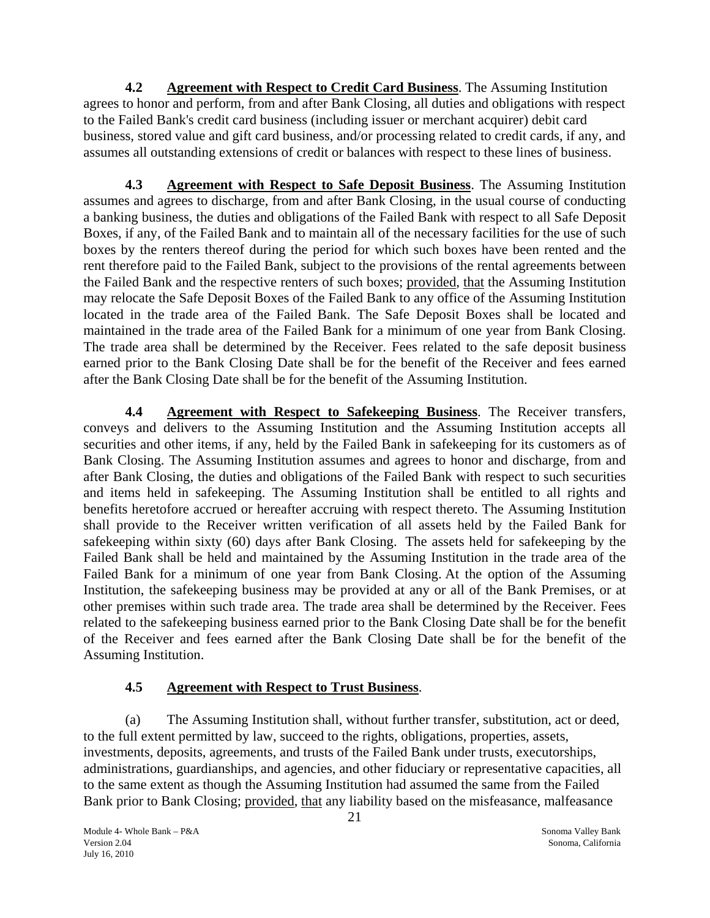<span id="page-21-0"></span> **4.2 Agreement with Respect to Credit Card Business**. The Assuming Institution agrees to honor and perform, from and after Bank Closing, all duties and obligations with respect to the Failed Bank's credit card business (including issuer or merchant acquirer) debit card business, stored value and gift card business, and/or processing related to credit cards, if any, and assumes all outstanding extensions of credit or balances with respect to these lines of business.

**4.3 Agreement with Respect to Safe Deposit Business**. The Assuming Institution assumes and agrees to discharge, from and after Bank Closing, in the usual course of conducting a banking business, the duties and obligations of the Failed Bank with respect to all Safe Deposit Boxes, if any, of the Failed Bank and to maintain all of the necessary facilities for the use of such boxes by the renters thereof during the period for which such boxes have been rented and the rent therefore paid to the Failed Bank, subject to the provisions of the rental agreements between the Failed Bank and the respective renters of such boxes; provided, that the Assuming Institution may relocate the Safe Deposit Boxes of the Failed Bank to any office of the Assuming Institution located in the trade area of the Failed Bank. The Safe Deposit Boxes shall be located and maintained in the trade area of the Failed Bank for a minimum of one year from Bank Closing. The trade area shall be determined by the Receiver. Fees related to the safe deposit business earned prior to the Bank Closing Date shall be for the benefit of the Receiver and fees earned after the Bank Closing Date shall be for the benefit of the Assuming Institution.

**4.4 Agreement with Respect to Safekeeping Business**. The Receiver transfers, conveys and delivers to the Assuming Institution and the Assuming Institution accepts all securities and other items, if any, held by the Failed Bank in safekeeping for its customers as of Bank Closing. The Assuming Institution assumes and agrees to honor and discharge, from and after Bank Closing, the duties and obligations of the Failed Bank with respect to such securities and items held in safekeeping. The Assuming Institution shall be entitled to all rights and benefits heretofore accrued or hereafter accruing with respect thereto. The Assuming Institution shall provide to the Receiver written verification of all assets held by the Failed Bank for safekeeping within sixty (60) days after Bank Closing. The assets held for safekeeping by the Failed Bank shall be held and maintained by the Assuming Institution in the trade area of the Failed Bank for a minimum of one year from Bank Closing. At the option of the Assuming Institution, the safekeeping business may be provided at any or all of the Bank Premises, or at other premises within such trade area. The trade area shall be determined by the Receiver. Fees related to the safekeeping business earned prior to the Bank Closing Date shall be for the benefit of the Receiver and fees earned after the Bank Closing Date shall be for the benefit of the Assuming Institution.

# **4.5 Agreement with Respect to Trust Business**.

(a) The Assuming Institution shall, without further transfer, substitution, act or deed, to the full extent permitted by law, succeed to the rights, obligations, properties, assets, investments, deposits, agreements, and trusts of the Failed Bank under trusts, executorships, administrations, guardianships, and agencies, and other fiduciary or representative capacities, all to the same extent as though the Assuming Institution had assumed the same from the Failed Bank prior to Bank Closing; provided, that any liability based on the misfeasance, malfeasance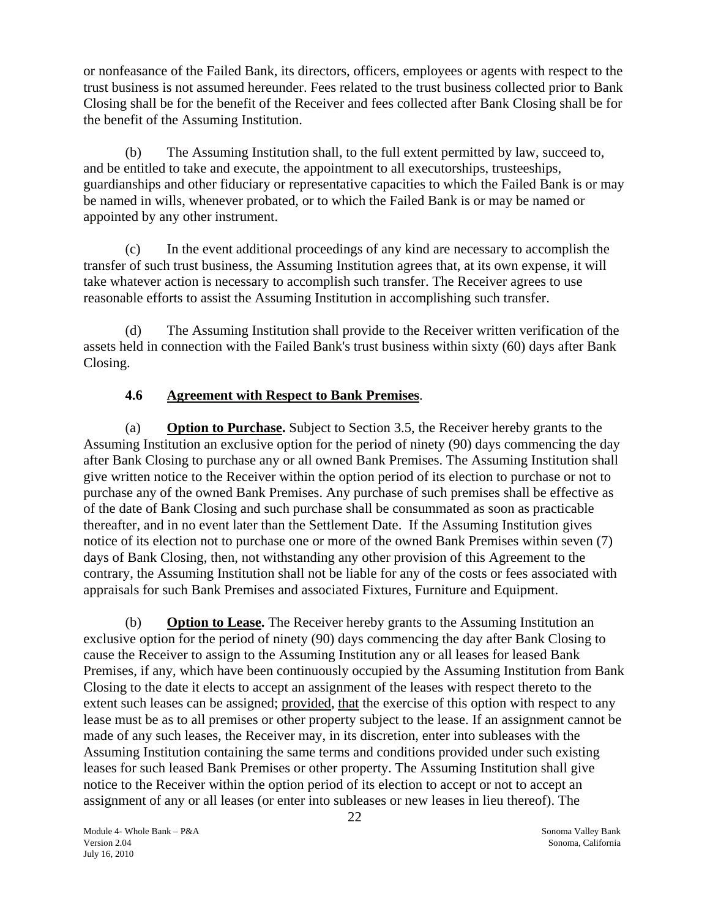<span id="page-22-0"></span>or nonfeasance of the Failed Bank, its directors, officers, employees or agents with respect to the trust business is not assumed hereunder. Fees related to the trust business collected prior to Bank Closing shall be for the benefit of the Receiver and fees collected after Bank Closing shall be for the benefit of the Assuming Institution.

(b) The Assuming Institution shall, to the full extent permitted by law, succeed to, and be entitled to take and execute, the appointment to all executorships, trusteeships, guardianships and other fiduciary or representative capacities to which the Failed Bank is or may be named in wills, whenever probated, or to which the Failed Bank is or may be named or appointed by any other instrument.

(c) In the event additional proceedings of any kind are necessary to accomplish the transfer of such trust business, the Assuming Institution agrees that, at its own expense, it will take whatever action is necessary to accomplish such transfer. The Receiver agrees to use reasonable efforts to assist the Assuming Institution in accomplishing such transfer.

(d) The Assuming Institution shall provide to the Receiver written verification of the assets held in connection with the Failed Bank's trust business within sixty (60) days after Bank Closing.

# **4.6 Agreement with Respect to Bank Premises**.

(a) **Option to Purchase.** Subject to Section 3.5, the Receiver hereby grants to the Assuming Institution an exclusive option for the period of ninety (90) days commencing the day after Bank Closing to purchase any or all owned Bank Premises. The Assuming Institution shall give written notice to the Receiver within the option period of its election to purchase or not to purchase any of the owned Bank Premises. Any purchase of such premises shall be effective as of the date of Bank Closing and such purchase shall be consummated as soon as practicable thereafter, and in no event later than the Settlement Date. If the Assuming Institution gives notice of its election not to purchase one or more of the owned Bank Premises within seven (7) days of Bank Closing, then, not withstanding any other provision of this Agreement to the contrary, the Assuming Institution shall not be liable for any of the costs or fees associated with appraisals for such Bank Premises and associated Fixtures, Furniture and Equipment.

(b) **Option to Lease.** The Receiver hereby grants to the Assuming Institution an exclusive option for the period of ninety (90) days commencing the day after Bank Closing to cause the Receiver to assign to the Assuming Institution any or all leases for leased Bank Premises, if any, which have been continuously occupied by the Assuming Institution from Bank Closing to the date it elects to accept an assignment of the leases with respect thereto to the extent such leases can be assigned; provided, that the exercise of this option with respect to any lease must be as to all premises or other property subject to the lease. If an assignment cannot be made of any such leases, the Receiver may, in its discretion, enter into subleases with the Assuming Institution containing the same terms and conditions provided under such existing leases for such leased Bank Premises or other property. The Assuming Institution shall give notice to the Receiver within the option period of its election to accept or not to accept an assignment of any or all leases (or enter into subleases or new leases in lieu thereof). The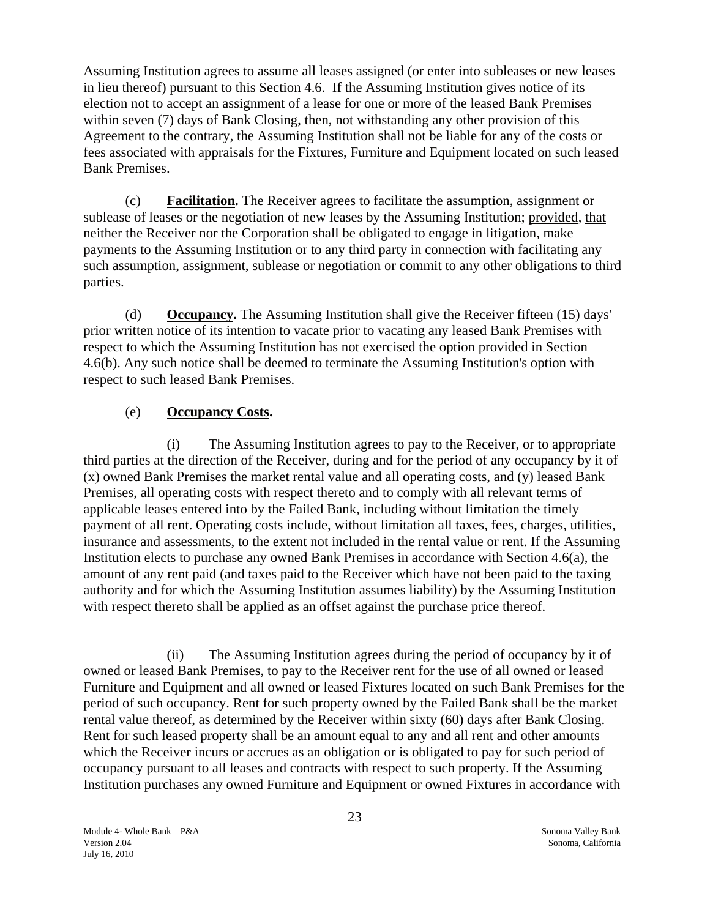Assuming Institution agrees to assume all leases assigned (or enter into subleases or new leases in lieu thereof) pursuant to this Section 4.6. If the Assuming Institution gives notice of its election not to accept an assignment of a lease for one or more of the leased Bank Premises within seven (7) days of Bank Closing, then, not withstanding any other provision of this Agreement to the contrary, the Assuming Institution shall not be liable for any of the costs or fees associated with appraisals for the Fixtures, Furniture and Equipment located on such leased Bank Premises.

(c) **Facilitation.** The Receiver agrees to facilitate the assumption, assignment or sublease of leases or the negotiation of new leases by the Assuming Institution; provided, that neither the Receiver nor the Corporation shall be obligated to engage in litigation, make payments to the Assuming Institution or to any third party in connection with facilitating any such assumption, assignment, sublease or negotiation or commit to any other obligations to third parties.

(d) **Occupancy.** The Assuming Institution shall give the Receiver fifteen (15) days' prior written notice of its intention to vacate prior to vacating any leased Bank Premises with respect to which the Assuming Institution has not exercised the option provided in Section 4.6(b). Any such notice shall be deemed to terminate the Assuming Institution's option with respect to such leased Bank Premises.

## (e) **Occupancy Costs.**

(i) The Assuming Institution agrees to pay to the Receiver, or to appropriate third parties at the direction of the Receiver, during and for the period of any occupancy by it of (x) owned Bank Premises the market rental value and all operating costs, and (y) leased Bank Premises, all operating costs with respect thereto and to comply with all relevant terms of applicable leases entered into by the Failed Bank, including without limitation the timely payment of all rent. Operating costs include, without limitation all taxes, fees, charges, utilities, insurance and assessments, to the extent not included in the rental value or rent. If the Assuming Institution elects to purchase any owned Bank Premises in accordance with Section 4.6(a), the amount of any rent paid (and taxes paid to the Receiver which have not been paid to the taxing authority and for which the Assuming Institution assumes liability) by the Assuming Institution with respect thereto shall be applied as an offset against the purchase price thereof.

(ii) The Assuming Institution agrees during the period of occupancy by it of owned or leased Bank Premises, to pay to the Receiver rent for the use of all owned or leased Furniture and Equipment and all owned or leased Fixtures located on such Bank Premises for the period of such occupancy. Rent for such property owned by the Failed Bank shall be the market rental value thereof, as determined by the Receiver within sixty (60) days after Bank Closing. Rent for such leased property shall be an amount equal to any and all rent and other amounts which the Receiver incurs or accrues as an obligation or is obligated to pay for such period of occupancy pursuant to all leases and contracts with respect to such property. If the Assuming Institution purchases any owned Furniture and Equipment or owned Fixtures in accordance with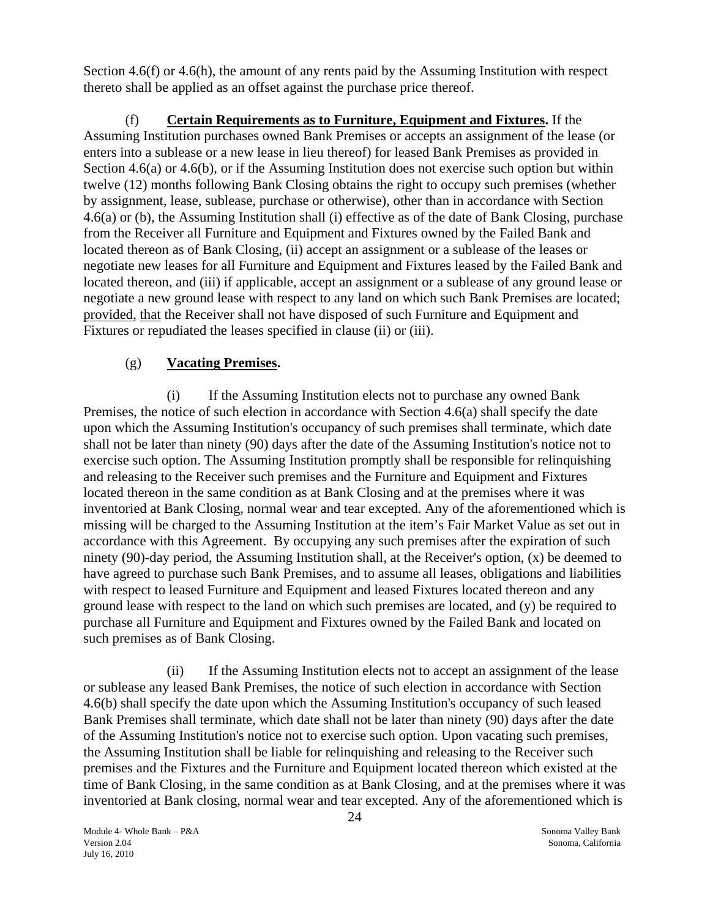Section 4.6(f) or 4.6(h), the amount of any rents paid by the Assuming Institution with respect thereto shall be applied as an offset against the purchase price thereof.

(f) **Certain Requirements as to Furniture, Equipment and Fixtures.** If the Assuming Institution purchases owned Bank Premises or accepts an assignment of the lease (or enters into a sublease or a new lease in lieu thereof) for leased Bank Premises as provided in Section 4.6(a) or 4.6(b), or if the Assuming Institution does not exercise such option but within twelve (12) months following Bank Closing obtains the right to occupy such premises (whether by assignment, lease, sublease, purchase or otherwise), other than in accordance with Section 4.6(a) or (b), the Assuming Institution shall (i) effective as of the date of Bank Closing, purchase from the Receiver all Furniture and Equipment and Fixtures owned by the Failed Bank and located thereon as of Bank Closing, (ii) accept an assignment or a sublease of the leases or negotiate new leases for all Furniture and Equipment and Fixtures leased by the Failed Bank and located thereon, and (iii) if applicable, accept an assignment or a sublease of any ground lease or negotiate a new ground lease with respect to any land on which such Bank Premises are located; provided, that the Receiver shall not have disposed of such Furniture and Equipment and Fixtures or repudiated the leases specified in clause (ii) or (iii).

# (g) **Vacating Premises.**

(i) If the Assuming Institution elects not to purchase any owned Bank Premises, the notice of such election in accordance with Section 4.6(a) shall specify the date upon which the Assuming Institution's occupancy of such premises shall terminate, which date shall not be later than ninety (90) days after the date of the Assuming Institution's notice not to exercise such option. The Assuming Institution promptly shall be responsible for relinquishing and releasing to the Receiver such premises and the Furniture and Equipment and Fixtures located thereon in the same condition as at Bank Closing and at the premises where it was inventoried at Bank Closing, normal wear and tear excepted. Any of the aforementioned which is missing will be charged to the Assuming Institution at the item's Fair Market Value as set out in accordance with this Agreement. By occupying any such premises after the expiration of such ninety (90)-day period, the Assuming Institution shall, at the Receiver's option, (x) be deemed to have agreed to purchase such Bank Premises, and to assume all leases, obligations and liabilities with respect to leased Furniture and Equipment and leased Fixtures located thereon and any ground lease with respect to the land on which such premises are located, and (y) be required to purchase all Furniture and Equipment and Fixtures owned by the Failed Bank and located on such premises as of Bank Closing.

(ii) If the Assuming Institution elects not to accept an assignment of the lease or sublease any leased Bank Premises, the notice of such election in accordance with Section 4.6(b) shall specify the date upon which the Assuming Institution's occupancy of such leased Bank Premises shall terminate, which date shall not be later than ninety (90) days after the date of the Assuming Institution's notice not to exercise such option. Upon vacating such premises, the Assuming Institution shall be liable for relinquishing and releasing to the Receiver such premises and the Fixtures and the Furniture and Equipment located thereon which existed at the time of Bank Closing, in the same condition as at Bank Closing, and at the premises where it was inventoried at Bank closing, normal wear and tear excepted. Any of the aforementioned which is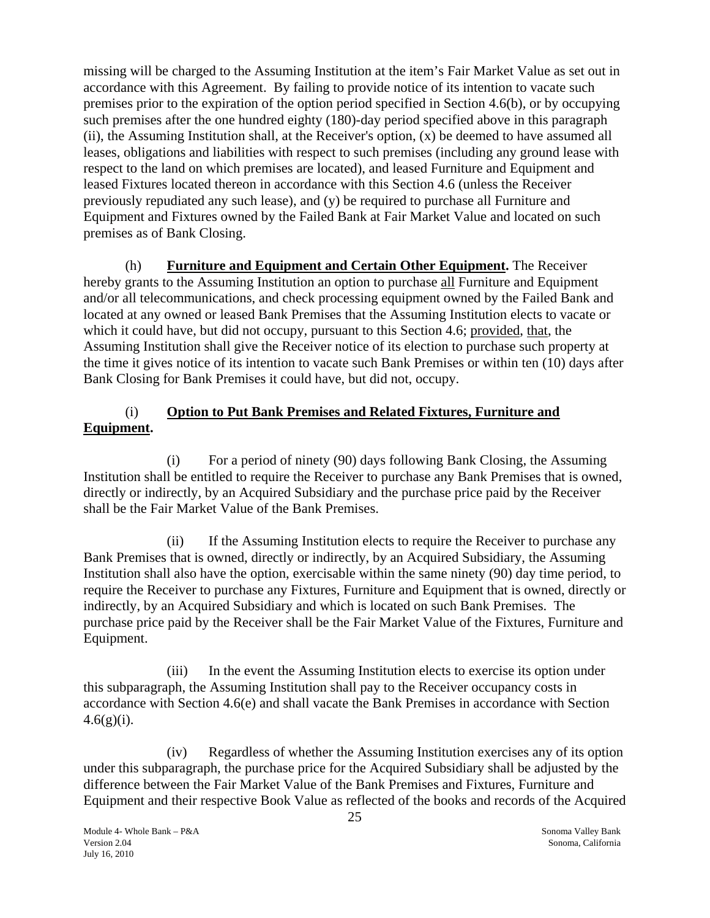missing will be charged to the Assuming Institution at the item's Fair Market Value as set out in accordance with this Agreement. By failing to provide notice of its intention to vacate such premises prior to the expiration of the option period specified in Section 4.6(b), or by occupying such premises after the one hundred eighty (180)-day period specified above in this paragraph  $(ii)$ , the Assuming Institution shall, at the Receiver's option,  $(x)$  be deemed to have assumed all leases, obligations and liabilities with respect to such premises (including any ground lease with respect to the land on which premises are located), and leased Furniture and Equipment and leased Fixtures located thereon in accordance with this Section 4.6 (unless the Receiver previously repudiated any such lease), and (y) be required to purchase all Furniture and Equipment and Fixtures owned by the Failed Bank at Fair Market Value and located on such premises as of Bank Closing.

(h) **Furniture and Equipment and Certain Other Equipment.** The Receiver hereby grants to the Assuming Institution an option to purchase all Furniture and Equipment and/or all telecommunications, and check processing equipment owned by the Failed Bank and located at any owned or leased Bank Premises that the Assuming Institution elects to vacate or which it could have, but did not occupy, pursuant to this Section 4.6; provided, that, the Assuming Institution shall give the Receiver notice of its election to purchase such property at the time it gives notice of its intention to vacate such Bank Premises or within ten (10) days after Bank Closing for Bank Premises it could have, but did not, occupy.

# (i) **Option to Put Bank Premises and Related Fixtures, Furniture and Equipment.**

(i) For a period of ninety (90) days following Bank Closing, the Assuming Institution shall be entitled to require the Receiver to purchase any Bank Premises that is owned, directly or indirectly, by an Acquired Subsidiary and the purchase price paid by the Receiver shall be the Fair Market Value of the Bank Premises.

(ii) If the Assuming Institution elects to require the Receiver to purchase any Bank Premises that is owned, directly or indirectly, by an Acquired Subsidiary, the Assuming Institution shall also have the option, exercisable within the same ninety (90) day time period, to require the Receiver to purchase any Fixtures, Furniture and Equipment that is owned, directly or indirectly, by an Acquired Subsidiary and which is located on such Bank Premises. The purchase price paid by the Receiver shall be the Fair Market Value of the Fixtures, Furniture and Equipment.

(iii) In the event the Assuming Institution elects to exercise its option under this subparagraph, the Assuming Institution shall pay to the Receiver occupancy costs in accordance with Section 4.6(e) and shall vacate the Bank Premises in accordance with Section  $4.6(g)(i)$ .

(iv) Regardless of whether the Assuming Institution exercises any of its option under this subparagraph, the purchase price for the Acquired Subsidiary shall be adjusted by the difference between the Fair Market Value of the Bank Premises and Fixtures, Furniture and Equipment and their respective Book Value as reflected of the books and records of the Acquired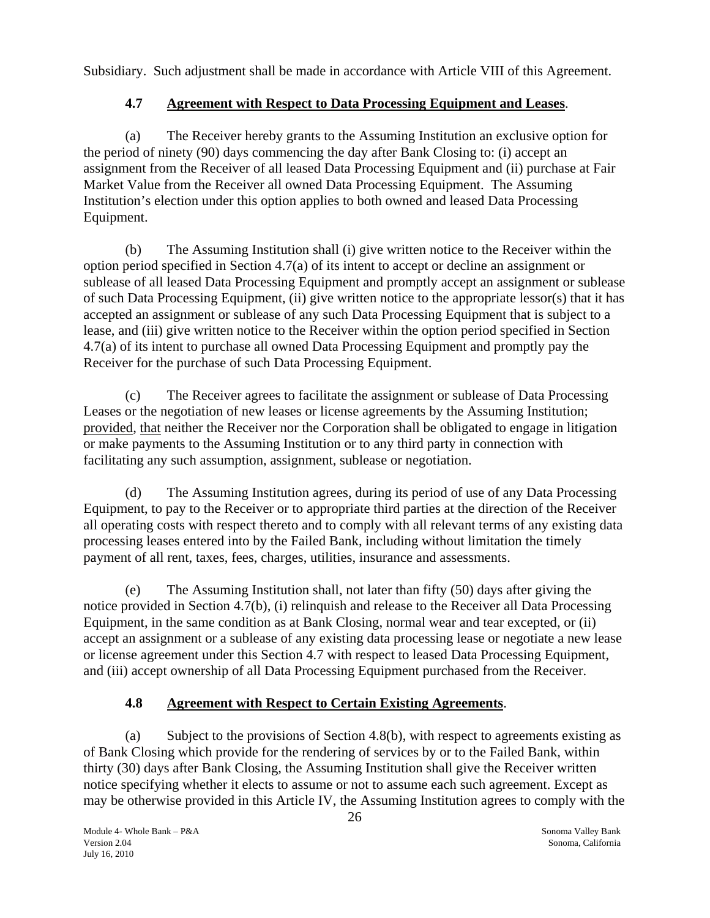<span id="page-26-0"></span>Subsidiary. Such adjustment shall be made in accordance with Article VIII of this Agreement.

# **4.7 Agreement with Respect to Data Processing Equipment and Leases**.

(a) The Receiver hereby grants to the Assuming Institution an exclusive option for the period of ninety (90) days commencing the day after Bank Closing to: (i) accept an assignment from the Receiver of all leased Data Processing Equipment and (ii) purchase at Fair Market Value from the Receiver all owned Data Processing Equipment. The Assuming Institution's election under this option applies to both owned and leased Data Processing Equipment.

(b) The Assuming Institution shall (i) give written notice to the Receiver within the option period specified in Section 4.7(a) of its intent to accept or decline an assignment or sublease of all leased Data Processing Equipment and promptly accept an assignment or sublease of such Data Processing Equipment, (ii) give written notice to the appropriate lessor(s) that it has accepted an assignment or sublease of any such Data Processing Equipment that is subject to a lease, and (iii) give written notice to the Receiver within the option period specified in Section 4.7(a) of its intent to purchase all owned Data Processing Equipment and promptly pay the Receiver for the purchase of such Data Processing Equipment.

(c) The Receiver agrees to facilitate the assignment or sublease of Data Processing Leases or the negotiation of new leases or license agreements by the Assuming Institution; provided, that neither the Receiver nor the Corporation shall be obligated to engage in litigation or make payments to the Assuming Institution or to any third party in connection with facilitating any such assumption, assignment, sublease or negotiation.

(d) The Assuming Institution agrees, during its period of use of any Data Processing Equipment, to pay to the Receiver or to appropriate third parties at the direction of the Receiver all operating costs with respect thereto and to comply with all relevant terms of any existing data processing leases entered into by the Failed Bank, including without limitation the timely payment of all rent, taxes, fees, charges, utilities, insurance and assessments.

(e) The Assuming Institution shall, not later than fifty (50) days after giving the notice provided in Section 4.7(b), (i) relinquish and release to the Receiver all Data Processing Equipment, in the same condition as at Bank Closing, normal wear and tear excepted, or (ii) accept an assignment or a sublease of any existing data processing lease or negotiate a new lease or license agreement under this Section 4.7 with respect to leased Data Processing Equipment, and (iii) accept ownership of all Data Processing Equipment purchased from the Receiver.

# **4.8 Agreement with Respect to Certain Existing Agreements**.

(a) Subject to the provisions of Section 4.8(b), with respect to agreements existing as of Bank Closing which provide for the rendering of services by or to the Failed Bank, within thirty (30) days after Bank Closing, the Assuming Institution shall give the Receiver written notice specifying whether it elects to assume or not to assume each such agreement. Except as may be otherwise provided in this Article IV, the Assuming Institution agrees to comply with the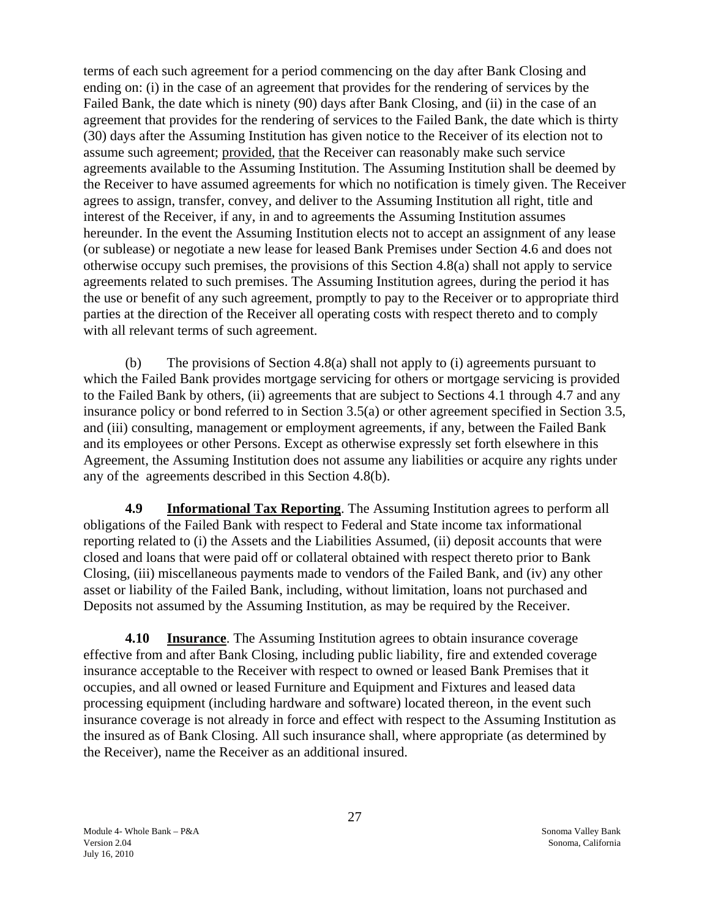<span id="page-27-0"></span>terms of each such agreement for a period commencing on the day after Bank Closing and ending on: (i) in the case of an agreement that provides for the rendering of services by the Failed Bank, the date which is ninety (90) days after Bank Closing, and (ii) in the case of an agreement that provides for the rendering of services to the Failed Bank, the date which is thirty (30) days after the Assuming Institution has given notice to the Receiver of its election not to assume such agreement; provided, that the Receiver can reasonably make such service agreements available to the Assuming Institution. The Assuming Institution shall be deemed by the Receiver to have assumed agreements for which no notification is timely given. The Receiver agrees to assign, transfer, convey, and deliver to the Assuming Institution all right, title and interest of the Receiver, if any, in and to agreements the Assuming Institution assumes hereunder. In the event the Assuming Institution elects not to accept an assignment of any lease (or sublease) or negotiate a new lease for leased Bank Premises under Section 4.6 and does not otherwise occupy such premises, the provisions of this Section 4.8(a) shall not apply to service agreements related to such premises. The Assuming Institution agrees, during the period it has the use or benefit of any such agreement, promptly to pay to the Receiver or to appropriate third parties at the direction of the Receiver all operating costs with respect thereto and to comply with all relevant terms of such agreement.

(b) The provisions of Section 4.8(a) shall not apply to (i) agreements pursuant to which the Failed Bank provides mortgage servicing for others or mortgage servicing is provided to the Failed Bank by others, (ii) agreements that are subject to Sections 4.1 through 4.7 and any insurance policy or bond referred to in Section 3.5(a) or other agreement specified in Section 3.5, and (iii) consulting, management or employment agreements, if any, between the Failed Bank and its employees or other Persons. Except as otherwise expressly set forth elsewhere in this Agreement, the Assuming Institution does not assume any liabilities or acquire any rights under any of the agreements described in this Section 4.8(b).

**4.9 Informational Tax Reporting**. The Assuming Institution agrees to perform all obligations of the Failed Bank with respect to Federal and State income tax informational reporting related to (i) the Assets and the Liabilities Assumed, (ii) deposit accounts that were closed and loans that were paid off or collateral obtained with respect thereto prior to Bank Closing, (iii) miscellaneous payments made to vendors of the Failed Bank, and (iv) any other asset or liability of the Failed Bank, including, without limitation, loans not purchased and Deposits not assumed by the Assuming Institution, as may be required by the Receiver.

**4.10 Insurance**. The Assuming Institution agrees to obtain insurance coverage effective from and after Bank Closing, including public liability, fire and extended coverage insurance acceptable to the Receiver with respect to owned or leased Bank Premises that it occupies, and all owned or leased Furniture and Equipment and Fixtures and leased data processing equipment (including hardware and software) located thereon, in the event such insurance coverage is not already in force and effect with respect to the Assuming Institution as the insured as of Bank Closing. All such insurance shall, where appropriate (as determined by the Receiver), name the Receiver as an additional insured.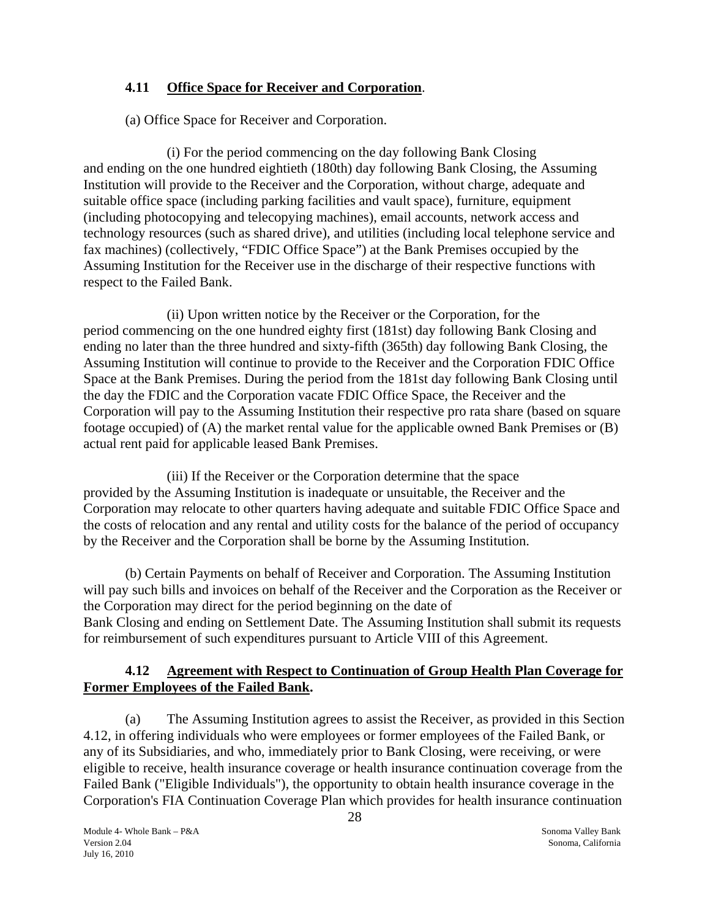# <span id="page-28-0"></span>**4.11 Office Space for Receiver and Corporation**.

(a) Office Space for Receiver and Corporation.

(i) For the period commencing on the day following Bank Closing and ending on the one hundred eightieth (180th) day following Bank Closing, the Assuming Institution will provide to the Receiver and the Corporation, without charge, adequate and suitable office space (including parking facilities and vault space), furniture, equipment (including photocopying and telecopying machines), email accounts, network access and technology resources (such as shared drive), and utilities (including local telephone service and fax machines) (collectively, "FDIC Office Space") at the Bank Premises occupied by the Assuming Institution for the Receiver use in the discharge of their respective functions with respect to the Failed Bank.

(ii) Upon written notice by the Receiver or the Corporation, for the period commencing on the one hundred eighty first (181st) day following Bank Closing and ending no later than the three hundred and sixty-fifth (365th) day following Bank Closing, the Assuming Institution will continue to provide to the Receiver and the Corporation FDIC Office Space at the Bank Premises. During the period from the 181st day following Bank Closing until the day the FDIC and the Corporation vacate FDIC Office Space, the Receiver and the Corporation will pay to the Assuming Institution their respective pro rata share (based on square footage occupied) of (A) the market rental value for the applicable owned Bank Premises or (B) actual rent paid for applicable leased Bank Premises.

(iii) If the Receiver or the Corporation determine that the space provided by the Assuming Institution is inadequate or unsuitable, the Receiver and the Corporation may relocate to other quarters having adequate and suitable FDIC Office Space and the costs of relocation and any rental and utility costs for the balance of the period of occupancy by the Receiver and the Corporation shall be borne by the Assuming Institution.

(b) Certain Payments on behalf of Receiver and Corporation. The Assuming Institution will pay such bills and invoices on behalf of the Receiver and the Corporation as the Receiver or the Corporation may direct for the period beginning on the date of Bank Closing and ending on Settlement Date. The Assuming Institution shall submit its requests for reimbursement of such expenditures pursuant to Article VIII of this Agreement.

## **4.12 Agreement with Respect to Continuation of Group Health Plan Coverage for Former Employees of the Failed Bank.**

(a) The Assuming Institution agrees to assist the Receiver, as provided in this Section 4.12, in offering individuals who were employees or former employees of the Failed Bank, or any of its Subsidiaries, and who, immediately prior to Bank Closing, were receiving, or were eligible to receive, health insurance coverage or health insurance continuation coverage from the Failed Bank ("Eligible Individuals"), the opportunity to obtain health insurance coverage in the Corporation's FIA Continuation Coverage Plan which provides for health insurance continuation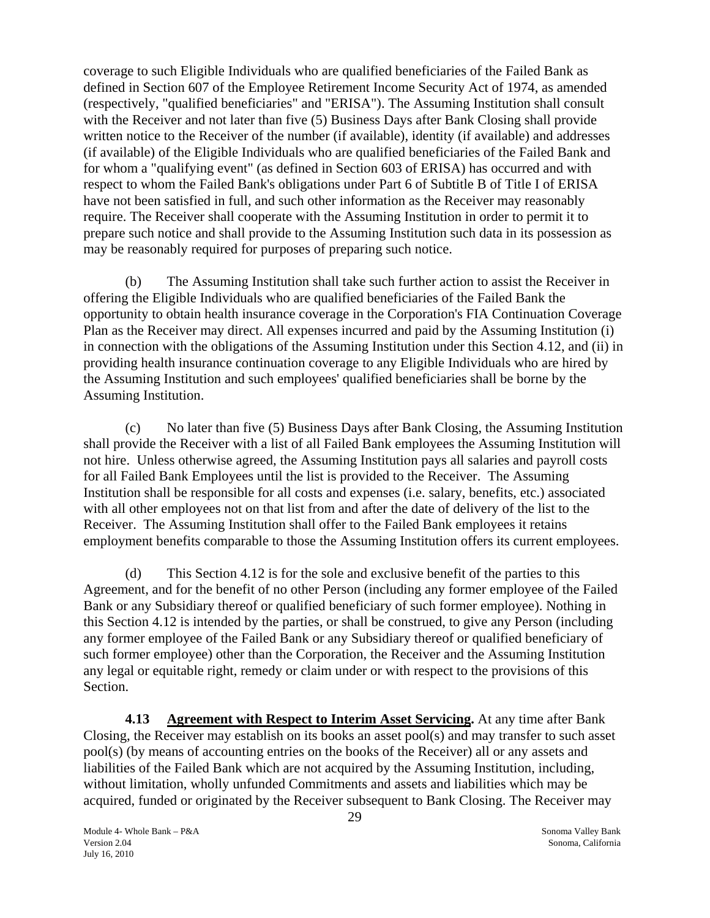<span id="page-29-0"></span>coverage to such Eligible Individuals who are qualified beneficiaries of the Failed Bank as defined in Section 607 of the Employee Retirement Income Security Act of 1974, as amended (respectively, "qualified beneficiaries" and "ERISA"). The Assuming Institution shall consult with the Receiver and not later than five (5) Business Days after Bank Closing shall provide written notice to the Receiver of the number (if available), identity (if available) and addresses (if available) of the Eligible Individuals who are qualified beneficiaries of the Failed Bank and for whom a "qualifying event" (as defined in Section 603 of ERISA) has occurred and with respect to whom the Failed Bank's obligations under Part 6 of Subtitle B of Title I of ERISA have not been satisfied in full, and such other information as the Receiver may reasonably require. The Receiver shall cooperate with the Assuming Institution in order to permit it to prepare such notice and shall provide to the Assuming Institution such data in its possession as may be reasonably required for purposes of preparing such notice.

(b) The Assuming Institution shall take such further action to assist the Receiver in offering the Eligible Individuals who are qualified beneficiaries of the Failed Bank the opportunity to obtain health insurance coverage in the Corporation's FIA Continuation Coverage Plan as the Receiver may direct. All expenses incurred and paid by the Assuming Institution (i) in connection with the obligations of the Assuming Institution under this Section 4.12, and (ii) in providing health insurance continuation coverage to any Eligible Individuals who are hired by the Assuming Institution and such employees' qualified beneficiaries shall be borne by the Assuming Institution.

(c) No later than five (5) Business Days after Bank Closing, the Assuming Institution shall provide the Receiver with a list of all Failed Bank employees the Assuming Institution will not hire. Unless otherwise agreed, the Assuming Institution pays all salaries and payroll costs for all Failed Bank Employees until the list is provided to the Receiver. The Assuming Institution shall be responsible for all costs and expenses (i.e. salary, benefits, etc.) associated with all other employees not on that list from and after the date of delivery of the list to the Receiver. The Assuming Institution shall offer to the Failed Bank employees it retains employment benefits comparable to those the Assuming Institution offers its current employees.

(d) This Section 4.12 is for the sole and exclusive benefit of the parties to this Agreement, and for the benefit of no other Person (including any former employee of the Failed Bank or any Subsidiary thereof or qualified beneficiary of such former employee). Nothing in this Section 4.12 is intended by the parties, or shall be construed, to give any Person (including any former employee of the Failed Bank or any Subsidiary thereof or qualified beneficiary of such former employee) other than the Corporation, the Receiver and the Assuming Institution any legal or equitable right, remedy or claim under or with respect to the provisions of this Section.

**4.13 Agreement with Respect to Interim Asset Servicing.** At any time after Bank Closing, the Receiver may establish on its books an asset pool(s) and may transfer to such asset pool(s) (by means of accounting entries on the books of the Receiver) all or any assets and liabilities of the Failed Bank which are not acquired by the Assuming Institution, including, without limitation, wholly unfunded Commitments and assets and liabilities which may be acquired, funded or originated by the Receiver subsequent to Bank Closing. The Receiver may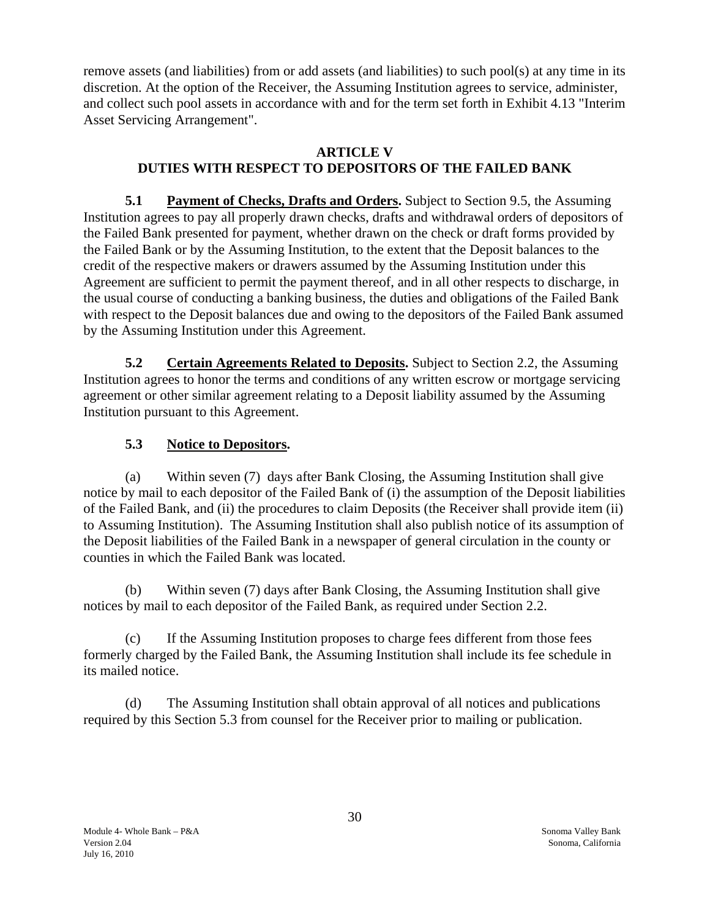<span id="page-30-0"></span>remove assets (and liabilities) from or add assets (and liabilities) to such pool(s) at any time in its discretion. At the option of the Receiver, the Assuming Institution agrees to service, administer, and collect such pool assets in accordance with and for the term set forth in Exhibit 4.13 "Interim Asset Servicing Arrangement".

## **ARTICLE V DUTIES WITH RESPECT TO DEPOSITORS OF THE FAILED BANK**

 **5.1 Payment of Checks, Drafts and Orders.** Subject to Section 9.5, the Assuming Institution agrees to pay all properly drawn checks, drafts and withdrawal orders of depositors of the Failed Bank presented for payment, whether drawn on the check or draft forms provided by the Failed Bank or by the Assuming Institution, to the extent that the Deposit balances to the credit of the respective makers or drawers assumed by the Assuming Institution under this Agreement are sufficient to permit the payment thereof, and in all other respects to discharge, in the usual course of conducting a banking business, the duties and obligations of the Failed Bank with respect to the Deposit balances due and owing to the depositors of the Failed Bank assumed by the Assuming Institution under this Agreement.

**5.2 Certain Agreements Related to Deposits.** Subject to Section 2.2, the Assuming Institution agrees to honor the terms and conditions of any written escrow or mortgage servicing agreement or other similar agreement relating to a Deposit liability assumed by the Assuming Institution pursuant to this Agreement.

# **5.3 Notice to Depositors.**

(a) Within seven (7) days after Bank Closing, the Assuming Institution shall give notice by mail to each depositor of the Failed Bank of (i) the assumption of the Deposit liabilities of the Failed Bank, and (ii) the procedures to claim Deposits (the Receiver shall provide item (ii) to Assuming Institution). The Assuming Institution shall also publish notice of its assumption of the Deposit liabilities of the Failed Bank in a newspaper of general circulation in the county or counties in which the Failed Bank was located.

(b) Within seven (7) days after Bank Closing, the Assuming Institution shall give notices by mail to each depositor of the Failed Bank, as required under Section 2.2.

(c) If the Assuming Institution proposes to charge fees different from those fees formerly charged by the Failed Bank, the Assuming Institution shall include its fee schedule in its mailed notice.

(d) The Assuming Institution shall obtain approval of all notices and publications required by this Section 5.3 from counsel for the Receiver prior to mailing or publication.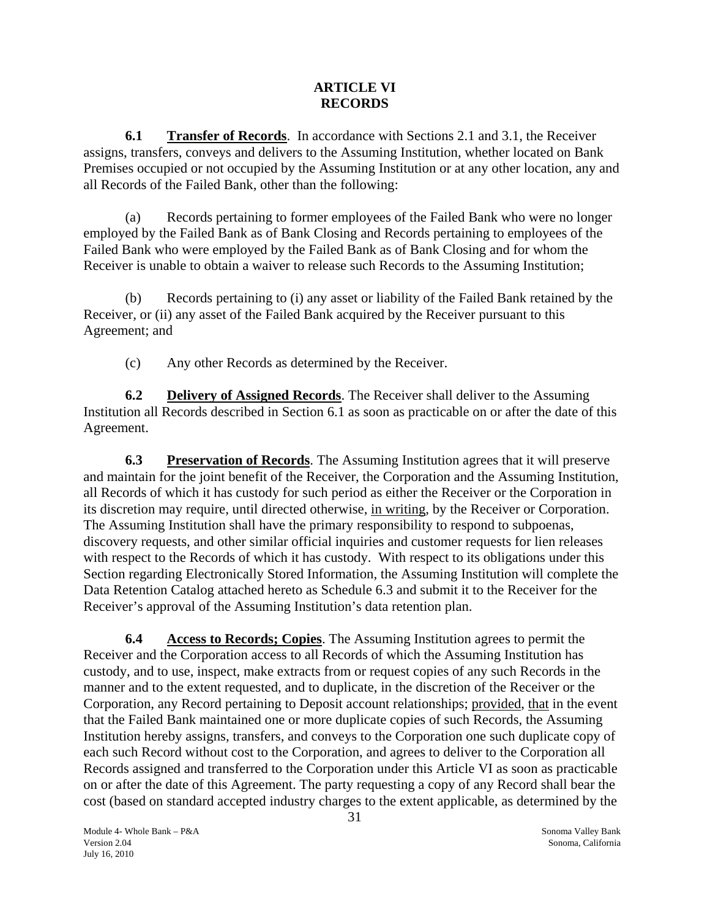## **ARTICLE VI RECORDS**

<span id="page-31-0"></span> **6.1 Transfer of Records**. In accordance with Sections 2.1 and 3.1, the Receiver assigns, transfers, conveys and delivers to the Assuming Institution, whether located on Bank Premises occupied or not occupied by the Assuming Institution or at any other location, any and all Records of the Failed Bank, other than the following:

(a) Records pertaining to former employees of the Failed Bank who were no longer employed by the Failed Bank as of Bank Closing and Records pertaining to employees of the Failed Bank who were employed by the Failed Bank as of Bank Closing and for whom the Receiver is unable to obtain a waiver to release such Records to the Assuming Institution;

(b) Records pertaining to (i) any asset or liability of the Failed Bank retained by the Receiver, or (ii) any asset of the Failed Bank acquired by the Receiver pursuant to this Agreement; and

(c) Any other Records as determined by the Receiver.

**6.2** Delivery of Assigned Records. The Receiver shall deliver to the Assuming Institution all Records described in Section 6.1 as soon as practicable on or after the date of this Agreement.

**6.3 Preservation of Records**. The Assuming Institution agrees that it will preserve and maintain for the joint benefit of the Receiver, the Corporation and the Assuming Institution, all Records of which it has custody for such period as either the Receiver or the Corporation in its discretion may require, until directed otherwise, in writing, by the Receiver or Corporation. The Assuming Institution shall have the primary responsibility to respond to subpoenas, discovery requests, and other similar official inquiries and customer requests for lien releases with respect to the Records of which it has custody. With respect to its obligations under this Section regarding Electronically Stored Information, the Assuming Institution will complete the Data Retention Catalog attached hereto as Schedule 6.3 and submit it to the Receiver for the Receiver's approval of the Assuming Institution's data retention plan.

**6.4 Access to Records; Copies**. The Assuming Institution agrees to permit the Receiver and the Corporation access to all Records of which the Assuming Institution has custody, and to use, inspect, make extracts from or request copies of any such Records in the manner and to the extent requested, and to duplicate, in the discretion of the Receiver or the Corporation, any Record pertaining to Deposit account relationships; provided, that in the event that the Failed Bank maintained one or more duplicate copies of such Records, the Assuming Institution hereby assigns, transfers, and conveys to the Corporation one such duplicate copy of each such Record without cost to the Corporation, and agrees to deliver to the Corporation all Records assigned and transferred to the Corporation under this Article VI as soon as practicable on or after the date of this Agreement. The party requesting a copy of any Record shall bear the cost (based on standard accepted industry charges to the extent applicable, as determined by the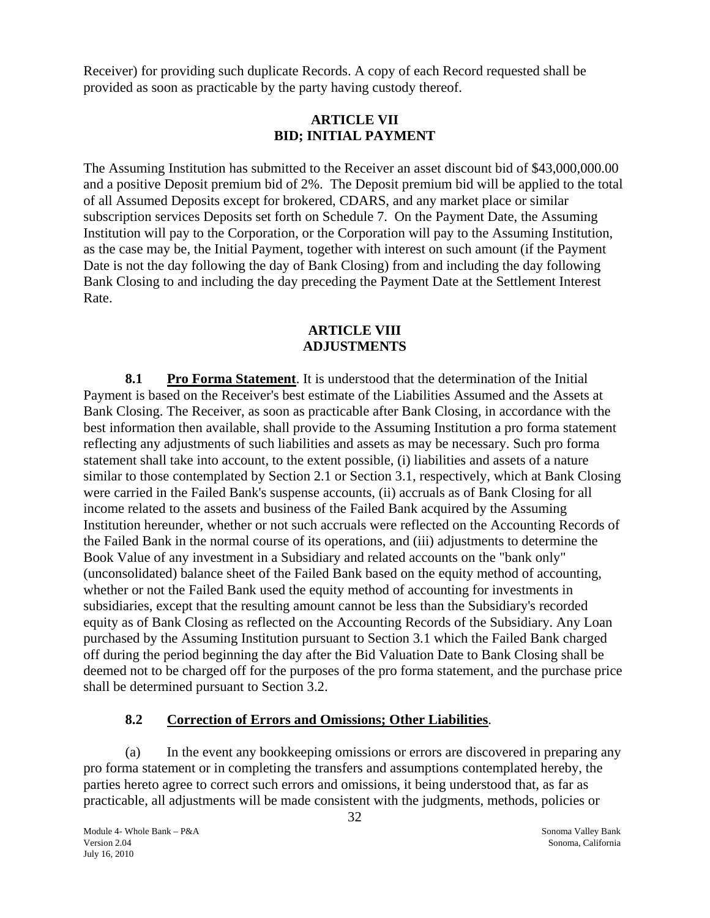<span id="page-32-0"></span>Receiver) for providing such duplicate Records. A copy of each Record requested shall be provided as soon as practicable by the party having custody thereof.

# **ARTICLE VII BID; INITIAL PAYMENT**

The Assuming Institution has submitted to the Receiver an asset discount bid of \$43,000,000.00 and a positive Deposit premium bid of 2%. The Deposit premium bid will be applied to the total of all Assumed Deposits except for brokered, CDARS, and any market place or similar subscription services Deposits set forth on Schedule 7. On the Payment Date, the Assuming Institution will pay to the Corporation, or the Corporation will pay to the Assuming Institution, as the case may be, the Initial Payment, together with interest on such amount (if the Payment Date is not the day following the day of Bank Closing) from and including the day following Bank Closing to and including the day preceding the Payment Date at the Settlement Interest Rate.

## **ARTICLE VIII ADJUSTMENTS**

**8.1 Pro Forma Statement**. It is understood that the determination of the Initial Payment is based on the Receiver's best estimate of the Liabilities Assumed and the Assets at Bank Closing. The Receiver, as soon as practicable after Bank Closing, in accordance with the best information then available, shall provide to the Assuming Institution a pro forma statement reflecting any adjustments of such liabilities and assets as may be necessary. Such pro forma statement shall take into account, to the extent possible, (i) liabilities and assets of a nature similar to those contemplated by Section 2.1 or Section 3.1, respectively, which at Bank Closing were carried in the Failed Bank's suspense accounts, (ii) accruals as of Bank Closing for all income related to the assets and business of the Failed Bank acquired by the Assuming Institution hereunder, whether or not such accruals were reflected on the Accounting Records of the Failed Bank in the normal course of its operations, and (iii) adjustments to determine the Book Value of any investment in a Subsidiary and related accounts on the "bank only" (unconsolidated) balance sheet of the Failed Bank based on the equity method of accounting, whether or not the Failed Bank used the equity method of accounting for investments in subsidiaries, except that the resulting amount cannot be less than the Subsidiary's recorded equity as of Bank Closing as reflected on the Accounting Records of the Subsidiary. Any Loan purchased by the Assuming Institution pursuant to Section 3.1 which the Failed Bank charged off during the period beginning the day after the Bid Valuation Date to Bank Closing shall be deemed not to be charged off for the purposes of the pro forma statement, and the purchase price shall be determined pursuant to Section 3.2.

# **8.2 Correction of Errors and Omissions; Other Liabilities**.

(a) In the event any bookkeeping omissions or errors are discovered in preparing any pro forma statement or in completing the transfers and assumptions contemplated hereby, the parties hereto agree to correct such errors and omissions, it being understood that, as far as practicable, all adjustments will be made consistent with the judgments, methods, policies or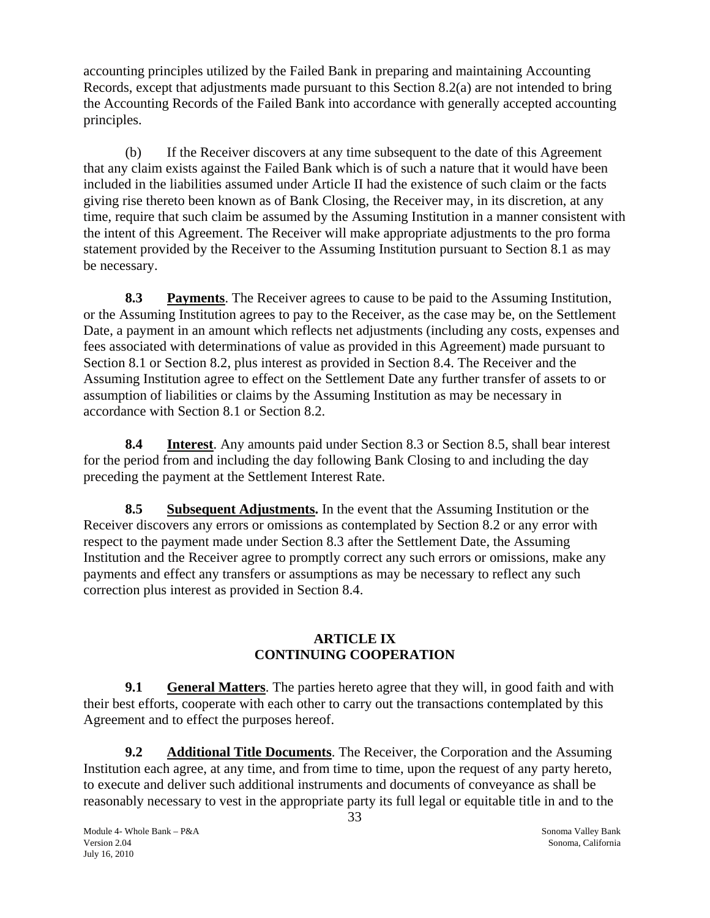<span id="page-33-0"></span>accounting principles utilized by the Failed Bank in preparing and maintaining Accounting Records, except that adjustments made pursuant to this Section 8.2(a) are not intended to bring the Accounting Records of the Failed Bank into accordance with generally accepted accounting principles.

(b) If the Receiver discovers at any time subsequent to the date of this Agreement that any claim exists against the Failed Bank which is of such a nature that it would have been included in the liabilities assumed under Article II had the existence of such claim or the facts giving rise thereto been known as of Bank Closing, the Receiver may, in its discretion, at any time, require that such claim be assumed by the Assuming Institution in a manner consistent with the intent of this Agreement. The Receiver will make appropriate adjustments to the pro forma statement provided by the Receiver to the Assuming Institution pursuant to Section 8.1 as may be necessary.

**8.3 Payments**. The Receiver agrees to cause to be paid to the Assuming Institution, or the Assuming Institution agrees to pay to the Receiver, as the case may be, on the Settlement Date, a payment in an amount which reflects net adjustments (including any costs, expenses and fees associated with determinations of value as provided in this Agreement) made pursuant to Section 8.1 or Section 8.2, plus interest as provided in Section 8.4. The Receiver and the Assuming Institution agree to effect on the Settlement Date any further transfer of assets to or assumption of liabilities or claims by the Assuming Institution as may be necessary in accordance with Section 8.1 or Section 8.2.

**8.4 Interest**. Any amounts paid under Section 8.3 or Section 8.5, shall bear interest for the period from and including the day following Bank Closing to and including the day preceding the payment at the Settlement Interest Rate.

**8.5 Subsequent Adjustments.** In the event that the Assuming Institution or the Receiver discovers any errors or omissions as contemplated by Section 8.2 or any error with respect to the payment made under Section 8.3 after the Settlement Date, the Assuming Institution and the Receiver agree to promptly correct any such errors or omissions, make any payments and effect any transfers or assumptions as may be necessary to reflect any such correction plus interest as provided in Section 8.4.

## **ARTICLE IX CONTINUING COOPERATION**

**9.1** General Matters. The parties hereto agree that they will, in good faith and with their best efforts, cooperate with each other to carry out the transactions contemplated by this Agreement and to effect the purposes hereof.

**9.2 Additional Title Documents**. The Receiver, the Corporation and the Assuming Institution each agree, at any time, and from time to time, upon the request of any party hereto, to execute and deliver such additional instruments and documents of conveyance as shall be reasonably necessary to vest in the appropriate party its full legal or equitable title in and to the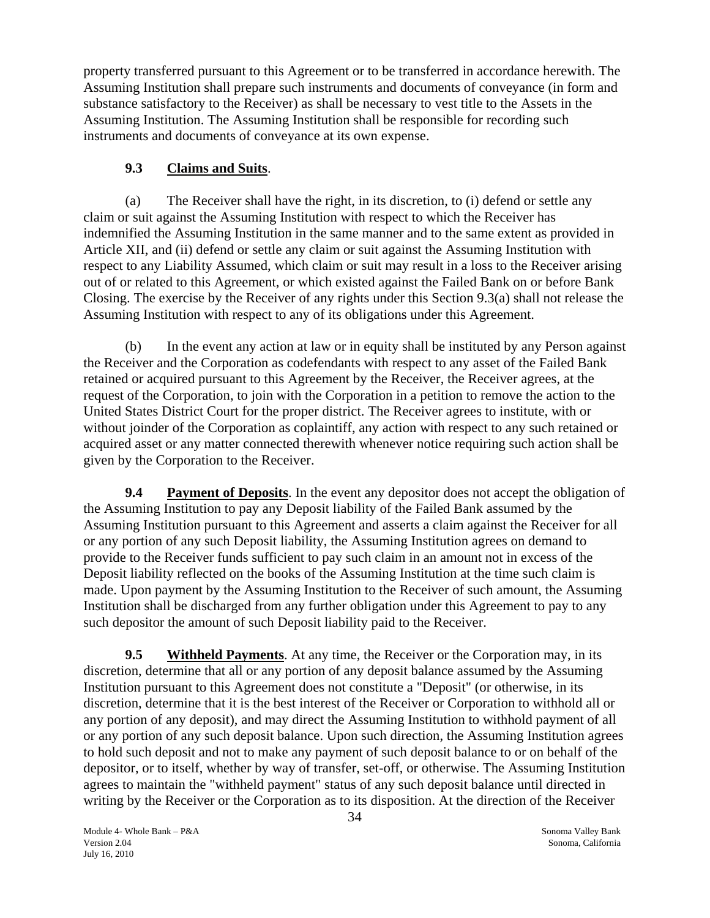<span id="page-34-0"></span>property transferred pursuant to this Agreement or to be transferred in accordance herewith. The Assuming Institution shall prepare such instruments and documents of conveyance (in form and substance satisfactory to the Receiver) as shall be necessary to vest title to the Assets in the Assuming Institution. The Assuming Institution shall be responsible for recording such instruments and documents of conveyance at its own expense.

# **9.3 Claims and Suits**.

(a) The Receiver shall have the right, in its discretion, to (i) defend or settle any claim or suit against the Assuming Institution with respect to which the Receiver has indemnified the Assuming Institution in the same manner and to the same extent as provided in Article XII, and (ii) defend or settle any claim or suit against the Assuming Institution with respect to any Liability Assumed, which claim or suit may result in a loss to the Receiver arising out of or related to this Agreement, or which existed against the Failed Bank on or before Bank Closing. The exercise by the Receiver of any rights under this Section 9.3(a) shall not release the Assuming Institution with respect to any of its obligations under this Agreement.

(b) In the event any action at law or in equity shall be instituted by any Person against the Receiver and the Corporation as codefendants with respect to any asset of the Failed Bank retained or acquired pursuant to this Agreement by the Receiver, the Receiver agrees, at the request of the Corporation, to join with the Corporation in a petition to remove the action to the United States District Court for the proper district. The Receiver agrees to institute, with or without joinder of the Corporation as coplaintiff, any action with respect to any such retained or acquired asset or any matter connected therewith whenever notice requiring such action shall be given by the Corporation to the Receiver.

**9.4 Payment of Deposits**. In the event any depositor does not accept the obligation of the Assuming Institution to pay any Deposit liability of the Failed Bank assumed by the Assuming Institution pursuant to this Agreement and asserts a claim against the Receiver for all or any portion of any such Deposit liability, the Assuming Institution agrees on demand to provide to the Receiver funds sufficient to pay such claim in an amount not in excess of the Deposit liability reflected on the books of the Assuming Institution at the time such claim is made. Upon payment by the Assuming Institution to the Receiver of such amount, the Assuming Institution shall be discharged from any further obligation under this Agreement to pay to any such depositor the amount of such Deposit liability paid to the Receiver.

**9.5 Withheld Payments**. At any time, the Receiver or the Corporation may, in its discretion, determine that all or any portion of any deposit balance assumed by the Assuming Institution pursuant to this Agreement does not constitute a "Deposit" (or otherwise, in its discretion, determine that it is the best interest of the Receiver or Corporation to withhold all or any portion of any deposit), and may direct the Assuming Institution to withhold payment of all or any portion of any such deposit balance. Upon such direction, the Assuming Institution agrees to hold such deposit and not to make any payment of such deposit balance to or on behalf of the depositor, or to itself, whether by way of transfer, set-off, or otherwise. The Assuming Institution agrees to maintain the "withheld payment" status of any such deposit balance until directed in writing by the Receiver or the Corporation as to its disposition. At the direction of the Receiver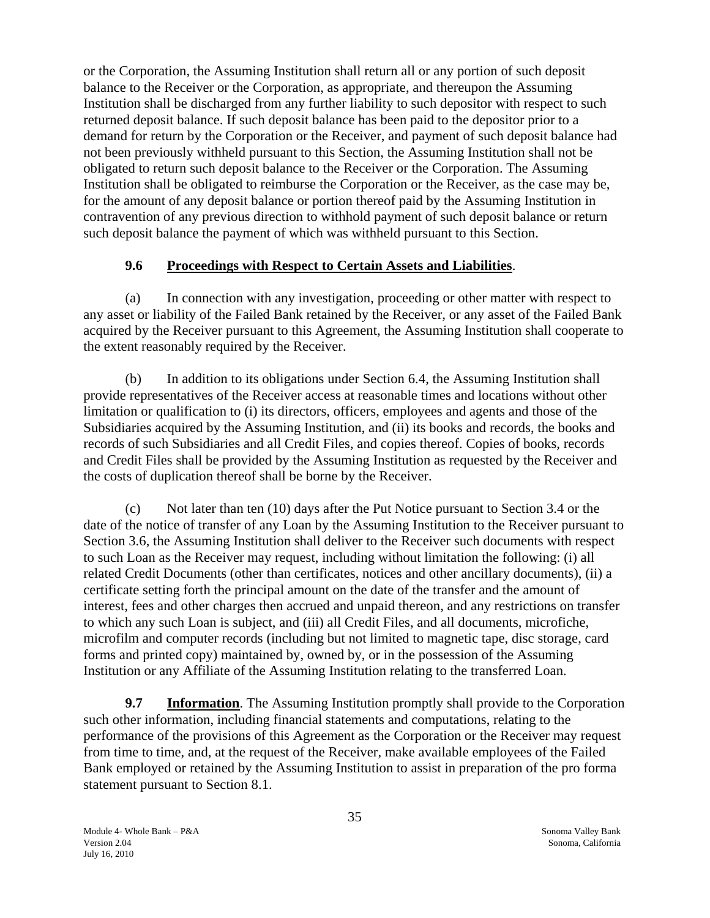<span id="page-35-0"></span>or the Corporation, the Assuming Institution shall return all or any portion of such deposit balance to the Receiver or the Corporation, as appropriate, and thereupon the Assuming Institution shall be discharged from any further liability to such depositor with respect to such returned deposit balance. If such deposit balance has been paid to the depositor prior to a demand for return by the Corporation or the Receiver, and payment of such deposit balance had not been previously withheld pursuant to this Section, the Assuming Institution shall not be obligated to return such deposit balance to the Receiver or the Corporation. The Assuming Institution shall be obligated to reimburse the Corporation or the Receiver, as the case may be, for the amount of any deposit balance or portion thereof paid by the Assuming Institution in contravention of any previous direction to withhold payment of such deposit balance or return such deposit balance the payment of which was withheld pursuant to this Section.

## **9.6 Proceedings with Respect to Certain Assets and Liabilities**.

(a) In connection with any investigation, proceeding or other matter with respect to any asset or liability of the Failed Bank retained by the Receiver, or any asset of the Failed Bank acquired by the Receiver pursuant to this Agreement, the Assuming Institution shall cooperate to the extent reasonably required by the Receiver.

(b) In addition to its obligations under Section 6.4, the Assuming Institution shall provide representatives of the Receiver access at reasonable times and locations without other limitation or qualification to (i) its directors, officers, employees and agents and those of the Subsidiaries acquired by the Assuming Institution, and (ii) its books and records, the books and records of such Subsidiaries and all Credit Files, and copies thereof. Copies of books, records and Credit Files shall be provided by the Assuming Institution as requested by the Receiver and the costs of duplication thereof shall be borne by the Receiver.

(c) Not later than ten (10) days after the Put Notice pursuant to Section 3.4 or the date of the notice of transfer of any Loan by the Assuming Institution to the Receiver pursuant to Section 3.6, the Assuming Institution shall deliver to the Receiver such documents with respect to such Loan as the Receiver may request, including without limitation the following: (i) all related Credit Documents (other than certificates, notices and other ancillary documents), (ii) a certificate setting forth the principal amount on the date of the transfer and the amount of interest, fees and other charges then accrued and unpaid thereon, and any restrictions on transfer to which any such Loan is subject, and (iii) all Credit Files, and all documents, microfiche, microfilm and computer records (including but not limited to magnetic tape, disc storage, card forms and printed copy) maintained by, owned by, or in the possession of the Assuming Institution or any Affiliate of the Assuming Institution relating to the transferred Loan.

**9.7** Information. The Assuming Institution promptly shall provide to the Corporation such other information, including financial statements and computations, relating to the performance of the provisions of this Agreement as the Corporation or the Receiver may request from time to time, and, at the request of the Receiver, make available employees of the Failed Bank employed or retained by the Assuming Institution to assist in preparation of the pro forma statement pursuant to Section 8.1.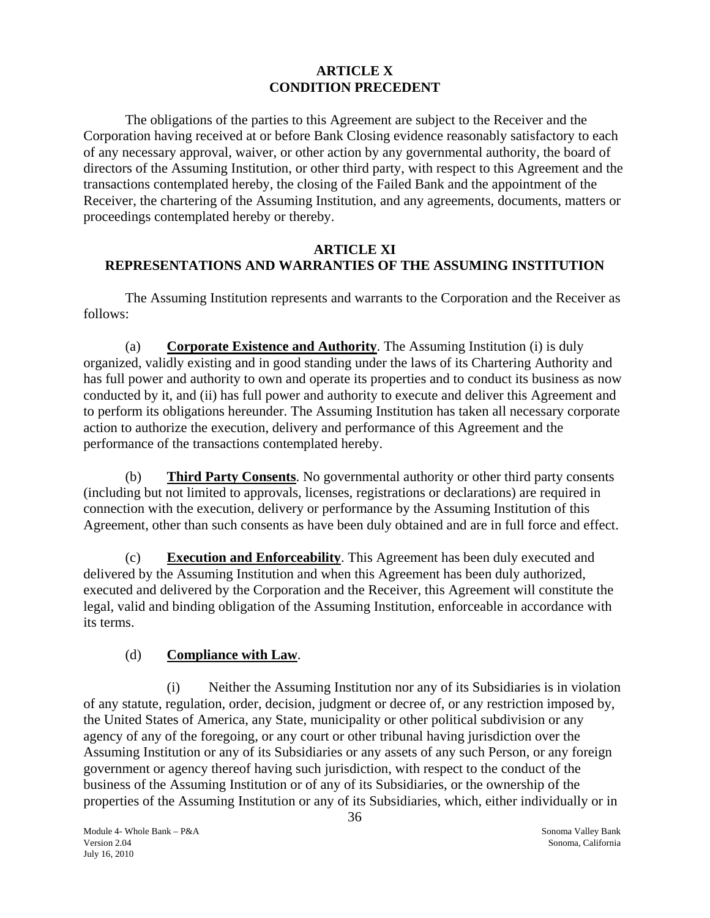## **ARTICLE X CONDITION PRECEDENT**

<span id="page-36-0"></span>The obligations of the parties to this Agreement are subject to the Receiver and the Corporation having received at or before Bank Closing evidence reasonably satisfactory to each of any necessary approval, waiver, or other action by any governmental authority, the board of directors of the Assuming Institution, or other third party, with respect to this Agreement and the transactions contemplated hereby, the closing of the Failed Bank and the appointment of the Receiver, the chartering of the Assuming Institution, and any agreements, documents, matters or proceedings contemplated hereby or thereby.

## **ARTICLE XI REPRESENTATIONS AND WARRANTIES OF THE ASSUMING INSTITUTION**

The Assuming Institution represents and warrants to the Corporation and the Receiver as follows:

(a) **Corporate Existence and Authority**. The Assuming Institution (i) is duly organized, validly existing and in good standing under the laws of its Chartering Authority and has full power and authority to own and operate its properties and to conduct its business as now conducted by it, and (ii) has full power and authority to execute and deliver this Agreement and to perform its obligations hereunder. The Assuming Institution has taken all necessary corporate action to authorize the execution, delivery and performance of this Agreement and the performance of the transactions contemplated hereby.

(b) **Third Party Consents**. No governmental authority or other third party consents (including but not limited to approvals, licenses, registrations or declarations) are required in connection with the execution, delivery or performance by the Assuming Institution of this Agreement, other than such consents as have been duly obtained and are in full force and effect.

(c) **Execution and Enforceability**. This Agreement has been duly executed and delivered by the Assuming Institution and when this Agreement has been duly authorized, executed and delivered by the Corporation and the Receiver, this Agreement will constitute the legal, valid and binding obligation of the Assuming Institution, enforceable in accordance with its terms.

## (d) **Compliance with Law**.

(i) Neither the Assuming Institution nor any of its Subsidiaries is in violation of any statute, regulation, order, decision, judgment or decree of, or any restriction imposed by, the United States of America, any State, municipality or other political subdivision or any agency of any of the foregoing, or any court or other tribunal having jurisdiction over the Assuming Institution or any of its Subsidiaries or any assets of any such Person, or any foreign government or agency thereof having such jurisdiction, with respect to the conduct of the business of the Assuming Institution or of any of its Subsidiaries, or the ownership of the properties of the Assuming Institution or any of its Subsidiaries, which, either individually or in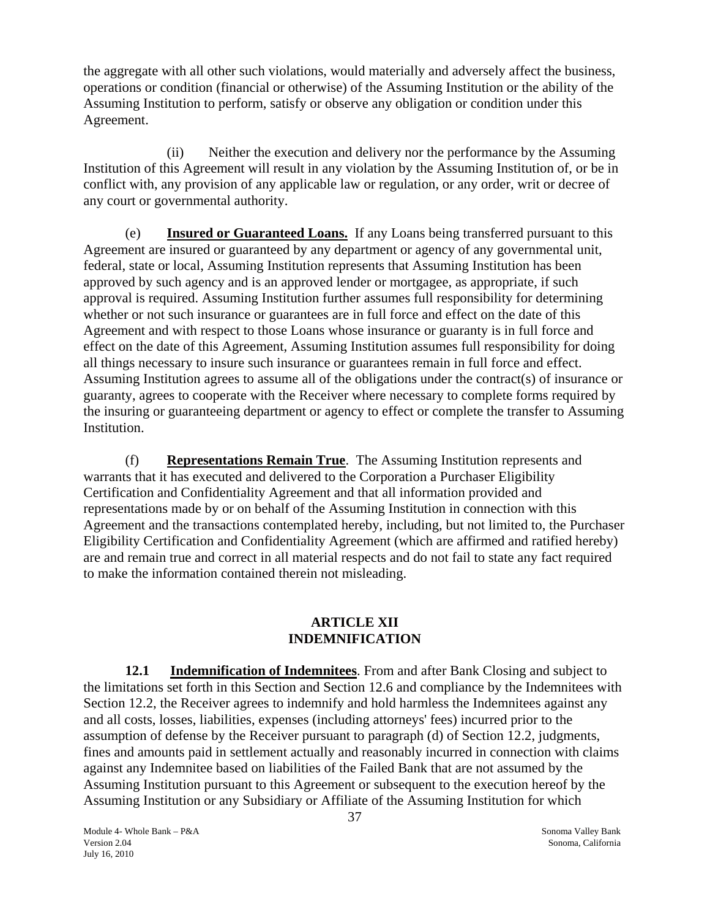<span id="page-37-0"></span>the aggregate with all other such violations, would materially and adversely affect the business, operations or condition (financial or otherwise) of the Assuming Institution or the ability of the Assuming Institution to perform, satisfy or observe any obligation or condition under this Agreement.

(ii) Neither the execution and delivery nor the performance by the Assuming Institution of this Agreement will result in any violation by the Assuming Institution of, or be in conflict with, any provision of any applicable law or regulation, or any order, writ or decree of any court or governmental authority.

(e) **Insured or Guaranteed Loans.** If any Loans being transferred pursuant to this Agreement are insured or guaranteed by any department or agency of any governmental unit, federal, state or local, Assuming Institution represents that Assuming Institution has been approved by such agency and is an approved lender or mortgagee, as appropriate, if such approval is required. Assuming Institution further assumes full responsibility for determining whether or not such insurance or guarantees are in full force and effect on the date of this Agreement and with respect to those Loans whose insurance or guaranty is in full force and effect on the date of this Agreement, Assuming Institution assumes full responsibility for doing all things necessary to insure such insurance or guarantees remain in full force and effect. Assuming Institution agrees to assume all of the obligations under the contract(s) of insurance or guaranty, agrees to cooperate with the Receiver where necessary to complete forms required by the insuring or guaranteeing department or agency to effect or complete the transfer to Assuming Institution.

(f) **Representations Remain True**. The Assuming Institution represents and warrants that it has executed and delivered to the Corporation a Purchaser Eligibility Certification and Confidentiality Agreement and that all information provided and representations made by or on behalf of the Assuming Institution in connection with this Agreement and the transactions contemplated hereby, including, but not limited to, the Purchaser Eligibility Certification and Confidentiality Agreement (which are affirmed and ratified hereby) are and remain true and correct in all material respects and do not fail to state any fact required to make the information contained therein not misleading.

#### **ARTICLE XII INDEMNIFICATION**

**12.1** Indemnification of Indemnitees. From and after Bank Closing and subject to the limitations set forth in this Section and Section 12.6 and compliance by the Indemnitees with Section 12.2, the Receiver agrees to indemnify and hold harmless the Indemnitees against any and all costs, losses, liabilities, expenses (including attorneys' fees) incurred prior to the assumption of defense by the Receiver pursuant to paragraph (d) of Section 12.2, judgments, fines and amounts paid in settlement actually and reasonably incurred in connection with claims against any Indemnitee based on liabilities of the Failed Bank that are not assumed by the Assuming Institution pursuant to this Agreement or subsequent to the execution hereof by the Assuming Institution or any Subsidiary or Affiliate of the Assuming Institution for which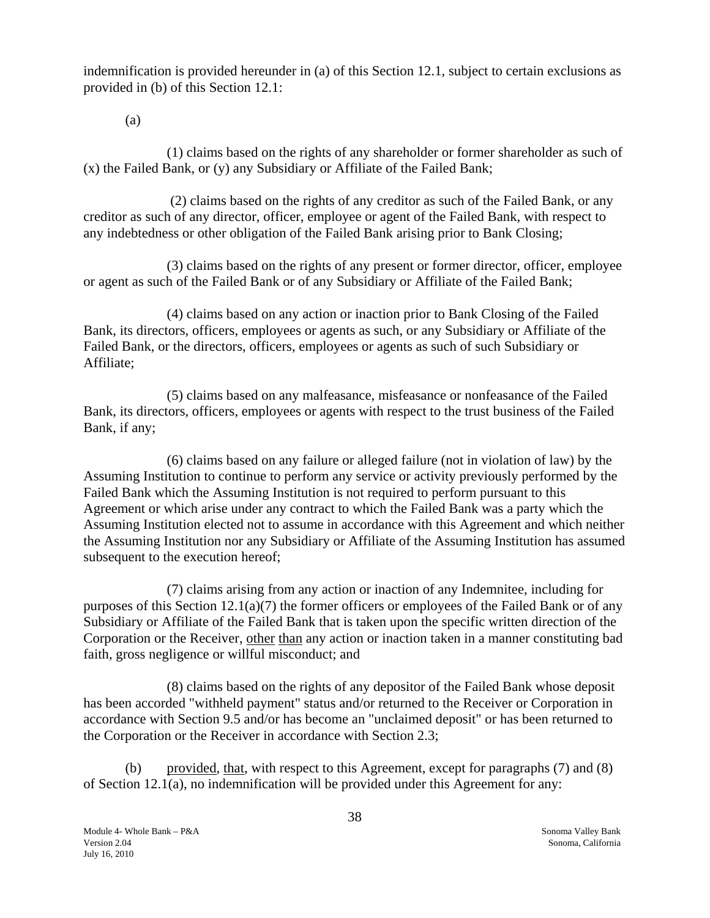indemnification is provided hereunder in (a) of this Section 12.1, subject to certain exclusions as provided in (b) of this Section 12.1:

(a)

(1) claims based on the rights of any shareholder or former shareholder as such of (x) the Failed Bank, or (y) any Subsidiary or Affiliate of the Failed Bank;

(2) claims based on the rights of any creditor as such of the Failed Bank, or any creditor as such of any director, officer, employee or agent of the Failed Bank, with respect to any indebtedness or other obligation of the Failed Bank arising prior to Bank Closing;

(3) claims based on the rights of any present or former director, officer, employee or agent as such of the Failed Bank or of any Subsidiary or Affiliate of the Failed Bank;

(4) claims based on any action or inaction prior to Bank Closing of the Failed Bank, its directors, officers, employees or agents as such, or any Subsidiary or Affiliate of the Failed Bank, or the directors, officers, employees or agents as such of such Subsidiary or Affiliate;

(5) claims based on any malfeasance, misfeasance or nonfeasance of the Failed Bank, its directors, officers, employees or agents with respect to the trust business of the Failed Bank, if any;

(6) claims based on any failure or alleged failure (not in violation of law) by the Assuming Institution to continue to perform any service or activity previously performed by the Failed Bank which the Assuming Institution is not required to perform pursuant to this Agreement or which arise under any contract to which the Failed Bank was a party which the Assuming Institution elected not to assume in accordance with this Agreement and which neither the Assuming Institution nor any Subsidiary or Affiliate of the Assuming Institution has assumed subsequent to the execution hereof;

(7) claims arising from any action or inaction of any Indemnitee, including for purposes of this Section 12.1(a)(7) the former officers or employees of the Failed Bank or of any Subsidiary or Affiliate of the Failed Bank that is taken upon the specific written direction of the Corporation or the Receiver, other than any action or inaction taken in a manner constituting bad faith, gross negligence or willful misconduct; and

(8) claims based on the rights of any depositor of the Failed Bank whose deposit has been accorded "withheld payment" status and/or returned to the Receiver or Corporation in accordance with Section 9.5 and/or has become an "unclaimed deposit" or has been returned to the Corporation or the Receiver in accordance with Section 2.3;

(b) provided, that, with respect to this Agreement, except for paragraphs (7) and (8) of Section 12.1(a), no indemnification will be provided under this Agreement for any: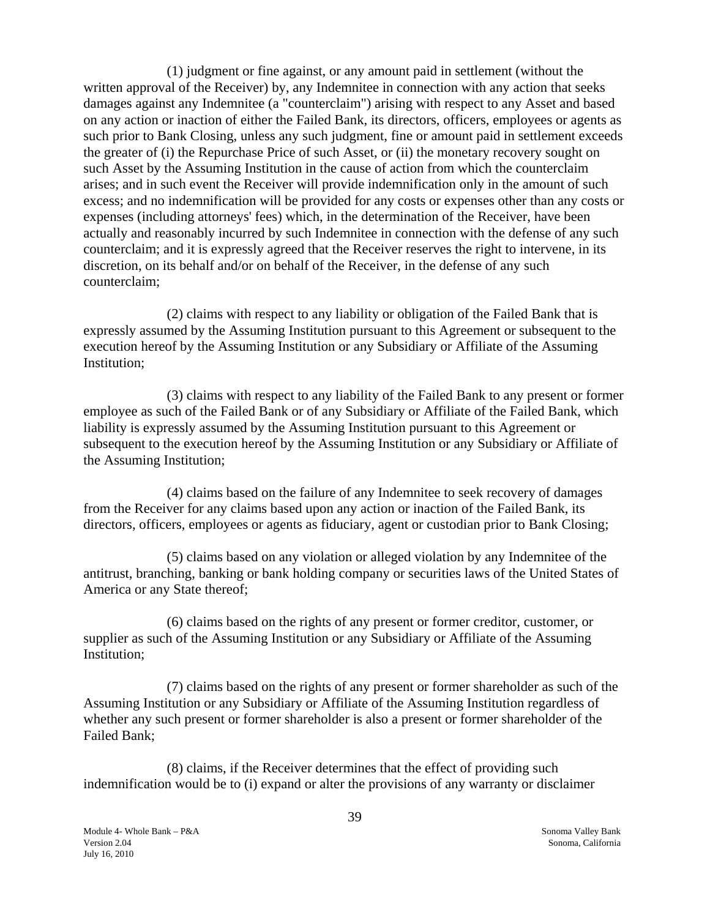(1) judgment or fine against, or any amount paid in settlement (without the written approval of the Receiver) by, any Indemnitee in connection with any action that seeks damages against any Indemnitee (a "counterclaim") arising with respect to any Asset and based on any action or inaction of either the Failed Bank, its directors, officers, employees or agents as such prior to Bank Closing, unless any such judgment, fine or amount paid in settlement exceeds the greater of (i) the Repurchase Price of such Asset, or (ii) the monetary recovery sought on such Asset by the Assuming Institution in the cause of action from which the counterclaim arises; and in such event the Receiver will provide indemnification only in the amount of such excess; and no indemnification will be provided for any costs or expenses other than any costs or expenses (including attorneys' fees) which, in the determination of the Receiver, have been actually and reasonably incurred by such Indemnitee in connection with the defense of any such counterclaim; and it is expressly agreed that the Receiver reserves the right to intervene, in its discretion, on its behalf and/or on behalf of the Receiver, in the defense of any such counterclaim;

(2) claims with respect to any liability or obligation of the Failed Bank that is expressly assumed by the Assuming Institution pursuant to this Agreement or subsequent to the execution hereof by the Assuming Institution or any Subsidiary or Affiliate of the Assuming Institution;

(3) claims with respect to any liability of the Failed Bank to any present or former employee as such of the Failed Bank or of any Subsidiary or Affiliate of the Failed Bank, which liability is expressly assumed by the Assuming Institution pursuant to this Agreement or subsequent to the execution hereof by the Assuming Institution or any Subsidiary or Affiliate of the Assuming Institution;

(4) claims based on the failure of any Indemnitee to seek recovery of damages from the Receiver for any claims based upon any action or inaction of the Failed Bank, its directors, officers, employees or agents as fiduciary, agent or custodian prior to Bank Closing;

(5) claims based on any violation or alleged violation by any Indemnitee of the antitrust, branching, banking or bank holding company or securities laws of the United States of America or any State thereof;

(6) claims based on the rights of any present or former creditor, customer, or supplier as such of the Assuming Institution or any Subsidiary or Affiliate of the Assuming Institution;

(7) claims based on the rights of any present or former shareholder as such of the Assuming Institution or any Subsidiary or Affiliate of the Assuming Institution regardless of whether any such present or former shareholder is also a present or former shareholder of the Failed Bank;

(8) claims, if the Receiver determines that the effect of providing such indemnification would be to (i) expand or alter the provisions of any warranty or disclaimer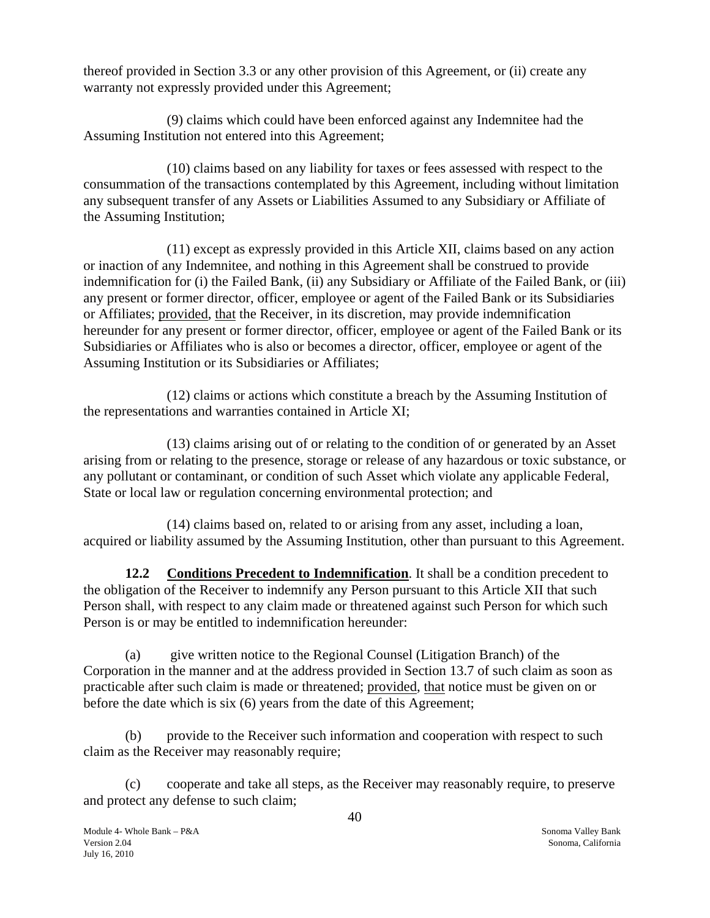thereof provided in Section 3.3 or any other provision of this Agreement, or (ii) create any warranty not expressly provided under this Agreement;

(9) claims which could have been enforced against any Indemnitee had the Assuming Institution not entered into this Agreement;

(10) claims based on any liability for taxes or fees assessed with respect to the consummation of the transactions contemplated by this Agreement, including without limitation any subsequent transfer of any Assets or Liabilities Assumed to any Subsidiary or Affiliate of the Assuming Institution;

(11) except as expressly provided in this Article XII, claims based on any action or inaction of any Indemnitee, and nothing in this Agreement shall be construed to provide indemnification for (i) the Failed Bank, (ii) any Subsidiary or Affiliate of the Failed Bank, or (iii) any present or former director, officer, employee or agent of the Failed Bank or its Subsidiaries or Affiliates; provided, that the Receiver, in its discretion, may provide indemnification hereunder for any present or former director, officer, employee or agent of the Failed Bank or its Subsidiaries or Affiliates who is also or becomes a director, officer, employee or agent of the Assuming Institution or its Subsidiaries or Affiliates;

(12) claims or actions which constitute a breach by the Assuming Institution of the representations and warranties contained in Article XI;

(13) claims arising out of or relating to the condition of or generated by an Asset arising from or relating to the presence, storage or release of any hazardous or toxic substance, or any pollutant or contaminant, or condition of such Asset which violate any applicable Federal, State or local law or regulation concerning environmental protection; and

(14) claims based on, related to or arising from any asset, including a loan, acquired or liability assumed by the Assuming Institution, other than pursuant to this Agreement.

**12.2 Conditions Precedent to Indemnification**. It shall be a condition precedent to the obligation of the Receiver to indemnify any Person pursuant to this Article XII that such Person shall, with respect to any claim made or threatened against such Person for which such Person is or may be entitled to indemnification hereunder:

(a) give written notice to the Regional Counsel (Litigation Branch) of the Corporation in the manner and at the address provided in Section 13.7 of such claim as soon as practicable after such claim is made or threatened; provided, that notice must be given on or before the date which is six (6) years from the date of this Agreement;

(b) provide to the Receiver such information and cooperation with respect to such claim as the Receiver may reasonably require;

(c) cooperate and take all steps, as the Receiver may reasonably require, to preserve and protect any defense to such claim;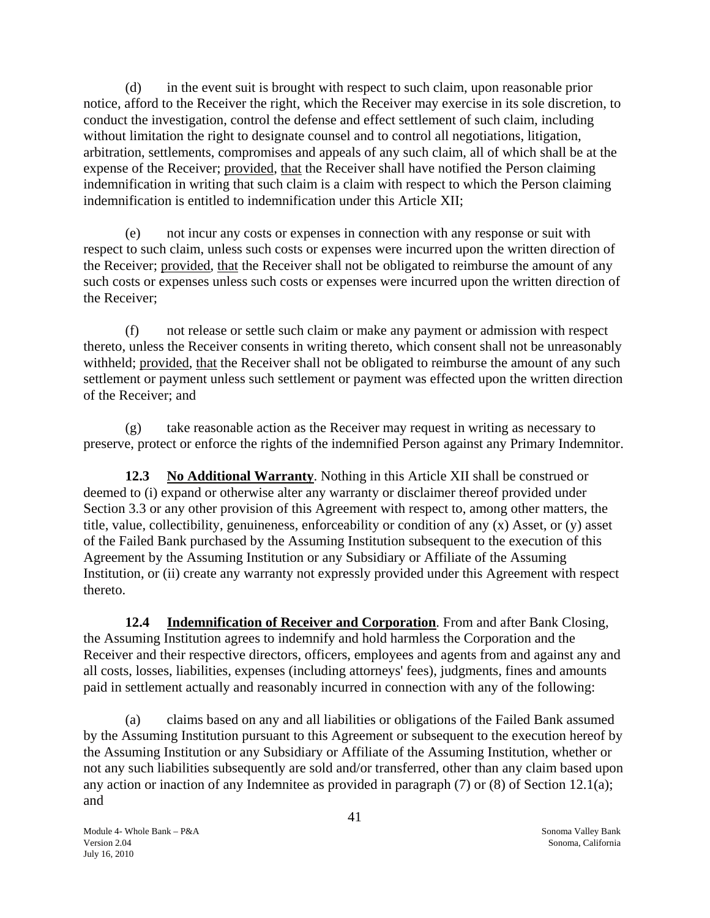<span id="page-41-0"></span>(d) in the event suit is brought with respect to such claim, upon reasonable prior notice, afford to the Receiver the right, which the Receiver may exercise in its sole discretion, to conduct the investigation, control the defense and effect settlement of such claim, including without limitation the right to designate counsel and to control all negotiations, litigation, arbitration, settlements, compromises and appeals of any such claim, all of which shall be at the expense of the Receiver; provided, that the Receiver shall have notified the Person claiming indemnification in writing that such claim is a claim with respect to which the Person claiming indemnification is entitled to indemnification under this Article XII;

(e) not incur any costs or expenses in connection with any response or suit with respect to such claim, unless such costs or expenses were incurred upon the written direction of the Receiver; provided, that the Receiver shall not be obligated to reimburse the amount of any such costs or expenses unless such costs or expenses were incurred upon the written direction of the Receiver;

(f) not release or settle such claim or make any payment or admission with respect thereto, unless the Receiver consents in writing thereto, which consent shall not be unreasonably withheld; provided, that the Receiver shall not be obligated to reimburse the amount of any such settlement or payment unless such settlement or payment was effected upon the written direction of the Receiver; and

(g) take reasonable action as the Receiver may request in writing as necessary to preserve, protect or enforce the rights of the indemnified Person against any Primary Indemnitor.

**12.3 No Additional Warranty**. Nothing in this Article XII shall be construed or deemed to (i) expand or otherwise alter any warranty or disclaimer thereof provided under Section 3.3 or any other provision of this Agreement with respect to, among other matters, the title, value, collectibility, genuineness, enforceability or condition of any (x) Asset, or (y) asset of the Failed Bank purchased by the Assuming Institution subsequent to the execution of this Agreement by the Assuming Institution or any Subsidiary or Affiliate of the Assuming Institution, or (ii) create any warranty not expressly provided under this Agreement with respect thereto.

**12.4 Indemnification of Receiver and Corporation**. From and after Bank Closing, the Assuming Institution agrees to indemnify and hold harmless the Corporation and the Receiver and their respective directors, officers, employees and agents from and against any and all costs, losses, liabilities, expenses (including attorneys' fees), judgments, fines and amounts paid in settlement actually and reasonably incurred in connection with any of the following:

(a) claims based on any and all liabilities or obligations of the Failed Bank assumed by the Assuming Institution pursuant to this Agreement or subsequent to the execution hereof by the Assuming Institution or any Subsidiary or Affiliate of the Assuming Institution, whether or not any such liabilities subsequently are sold and/or transferred, other than any claim based upon any action or inaction of any Indemnitee as provided in paragraph (7) or (8) of Section 12.1(a); and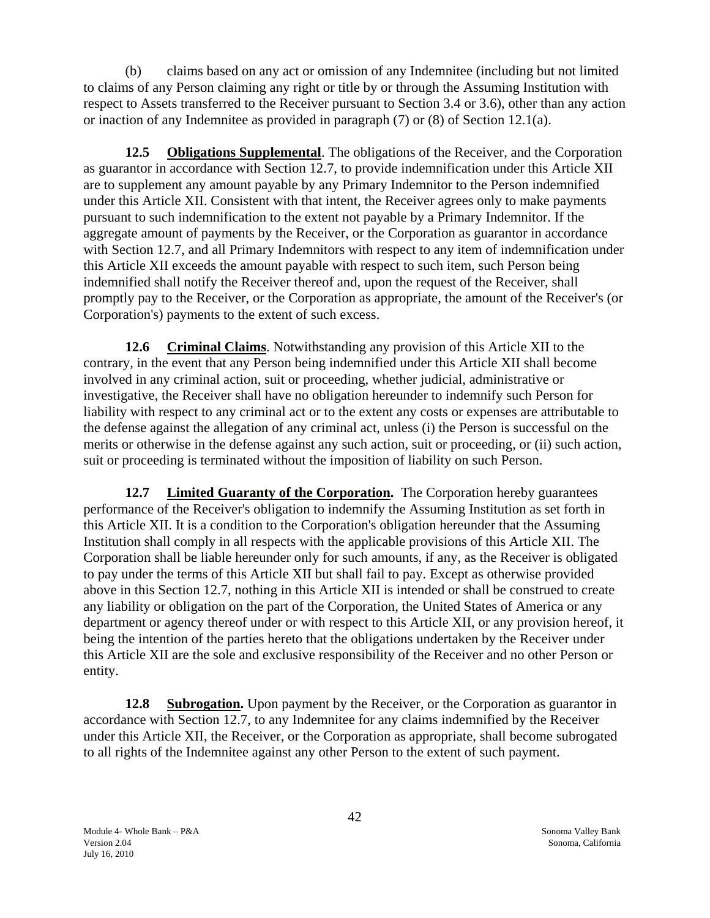<span id="page-42-0"></span>(b) claims based on any act or omission of any Indemnitee (including but not limited to claims of any Person claiming any right or title by or through the Assuming Institution with respect to Assets transferred to the Receiver pursuant to Section 3.4 or 3.6), other than any action or inaction of any Indemnitee as provided in paragraph (7) or (8) of Section 12.1(a).

**12.5 Obligations Supplemental**. The obligations of the Receiver, and the Corporation as guarantor in accordance with Section 12.7, to provide indemnification under this Article XII are to supplement any amount payable by any Primary Indemnitor to the Person indemnified under this Article XII. Consistent with that intent, the Receiver agrees only to make payments pursuant to such indemnification to the extent not payable by a Primary Indemnitor. If the aggregate amount of payments by the Receiver, or the Corporation as guarantor in accordance with Section 12.7, and all Primary Indemnitors with respect to any item of indemnification under this Article XII exceeds the amount payable with respect to such item, such Person being indemnified shall notify the Receiver thereof and, upon the request of the Receiver, shall promptly pay to the Receiver, or the Corporation as appropriate, the amount of the Receiver's (or Corporation's) payments to the extent of such excess.

**12.6 Criminal Claims**. Notwithstanding any provision of this Article XII to the contrary, in the event that any Person being indemnified under this Article XII shall become involved in any criminal action, suit or proceeding, whether judicial, administrative or investigative, the Receiver shall have no obligation hereunder to indemnify such Person for liability with respect to any criminal act or to the extent any costs or expenses are attributable to the defense against the allegation of any criminal act, unless (i) the Person is successful on the merits or otherwise in the defense against any such action, suit or proceeding, or (ii) such action, suit or proceeding is terminated without the imposition of liability on such Person.

**12.7** Limited Guaranty of the Corporation. The Corporation hereby guarantees performance of the Receiver's obligation to indemnify the Assuming Institution as set forth in this Article XII. It is a condition to the Corporation's obligation hereunder that the Assuming Institution shall comply in all respects with the applicable provisions of this Article XII. The Corporation shall be liable hereunder only for such amounts, if any, as the Receiver is obligated to pay under the terms of this Article XII but shall fail to pay. Except as otherwise provided above in this Section 12.7, nothing in this Article XII is intended or shall be construed to create any liability or obligation on the part of the Corporation, the United States of America or any department or agency thereof under or with respect to this Article XII, or any provision hereof, it being the intention of the parties hereto that the obligations undertaken by the Receiver under this Article XII are the sole and exclusive responsibility of the Receiver and no other Person or entity.

**12.8 Subrogation.** Upon payment by the Receiver, or the Corporation as guarantor in accordance with Section 12.7, to any Indemnitee for any claims indemnified by the Receiver under this Article XII, the Receiver, or the Corporation as appropriate, shall become subrogated to all rights of the Indemnitee against any other Person to the extent of such payment.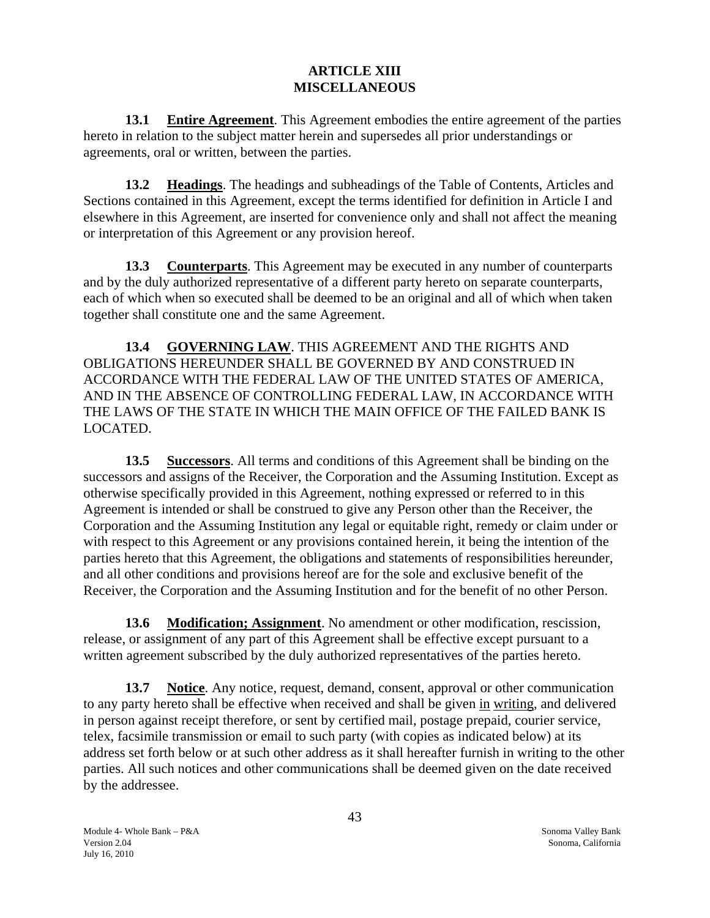## **ARTICLE XIII MISCELLANEOUS**

<span id="page-43-0"></span>**13.1 Entire Agreement**. This Agreement embodies the entire agreement of the parties hereto in relation to the subject matter herein and supersedes all prior understandings or agreements, oral or written, between the parties.

**13.2 Headings**. The headings and subheadings of the Table of Contents, Articles and Sections contained in this Agreement, except the terms identified for definition in Article I and elsewhere in this Agreement, are inserted for convenience only and shall not affect the meaning or interpretation of this Agreement or any provision hereof.

**13.3 Counterparts**. This Agreement may be executed in any number of counterparts and by the duly authorized representative of a different party hereto on separate counterparts, each of which when so executed shall be deemed to be an original and all of which when taken together shall constitute one and the same Agreement.

**13.4 GOVERNING LAW**. THIS AGREEMENT AND THE RIGHTS AND OBLIGATIONS HEREUNDER SHALL BE GOVERNED BY AND CONSTRUED IN ACCORDANCE WITH THE FEDERAL LAW OF THE UNITED STATES OF AMERICA, AND IN THE ABSENCE OF CONTROLLING FEDERAL LAW, IN ACCORDANCE WITH THE LAWS OF THE STATE IN WHICH THE MAIN OFFICE OF THE FAILED BANK IS LOCATED.

**13.5 Successors**. All terms and conditions of this Agreement shall be binding on the successors and assigns of the Receiver, the Corporation and the Assuming Institution. Except as otherwise specifically provided in this Agreement, nothing expressed or referred to in this Agreement is intended or shall be construed to give any Person other than the Receiver, the Corporation and the Assuming Institution any legal or equitable right, remedy or claim under or with respect to this Agreement or any provisions contained herein, it being the intention of the parties hereto that this Agreement, the obligations and statements of responsibilities hereunder, and all other conditions and provisions hereof are for the sole and exclusive benefit of the Receiver, the Corporation and the Assuming Institution and for the benefit of no other Person.

**13.6 Modification; Assignment**. No amendment or other modification, rescission, release, or assignment of any part of this Agreement shall be effective except pursuant to a written agreement subscribed by the duly authorized representatives of the parties hereto.

**13.7 Notice**. Any notice, request, demand, consent, approval or other communication to any party hereto shall be effective when received and shall be given in writing, and delivered in person against receipt therefore, or sent by certified mail, postage prepaid, courier service, telex, facsimile transmission or email to such party (with copies as indicated below) at its address set forth below or at such other address as it shall hereafter furnish in writing to the other parties. All such notices and other communications shall be deemed given on the date received by the addressee.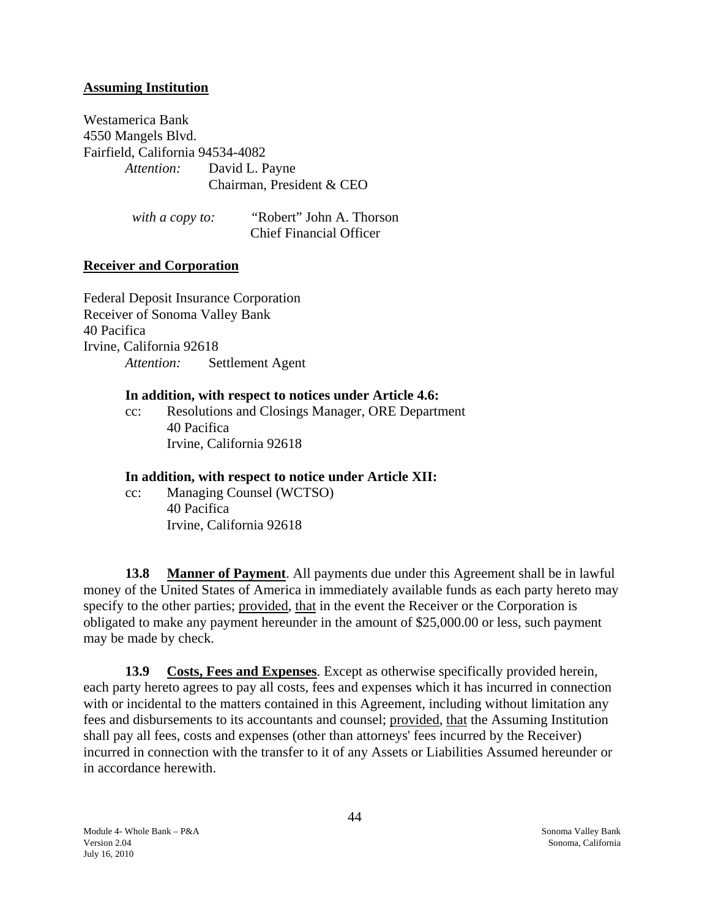#### <span id="page-44-0"></span>**Assuming Institution**

Westamerica Bank 4550 Mangels Blvd. Fairfield, California 94534-4082 *Attention:* David L. Payne Chairman, President & CEO

> *with a copy to: "*Robert" John A. Thorson Chief Financial Officer

#### **Receiver and Corporation**

Federal Deposit Insurance Corporation Receiver of Sonoma Valley Bank 40 Pacifica Irvine, California 92618 *Attention:* Settlement Agent

#### **In addition, with respect to notices under Article 4.6:**

cc: Resolutions and Closings Manager, ORE Department 40 Pacifica Irvine, California 92618

#### **In addition, with respect to notice under Article XII:**

cc: Managing Counsel (WCTSO) 40 Pacifica Irvine, California 92618

**13.8 Manner of Payment**. All payments due under this Agreement shall be in lawful money of the United States of America in immediately available funds as each party hereto may specify to the other parties; provided, that in the event the Receiver or the Corporation is obligated to make any payment hereunder in the amount of \$25,000.00 or less, such payment may be made by check.

**13.9 Costs, Fees and Expenses**. Except as otherwise specifically provided herein, each party hereto agrees to pay all costs, fees and expenses which it has incurred in connection with or incidental to the matters contained in this Agreement, including without limitation any fees and disbursements to its accountants and counsel; provided, that the Assuming Institution shall pay all fees, costs and expenses (other than attorneys' fees incurred by the Receiver) incurred in connection with the transfer to it of any Assets or Liabilities Assumed hereunder or in accordance herewith.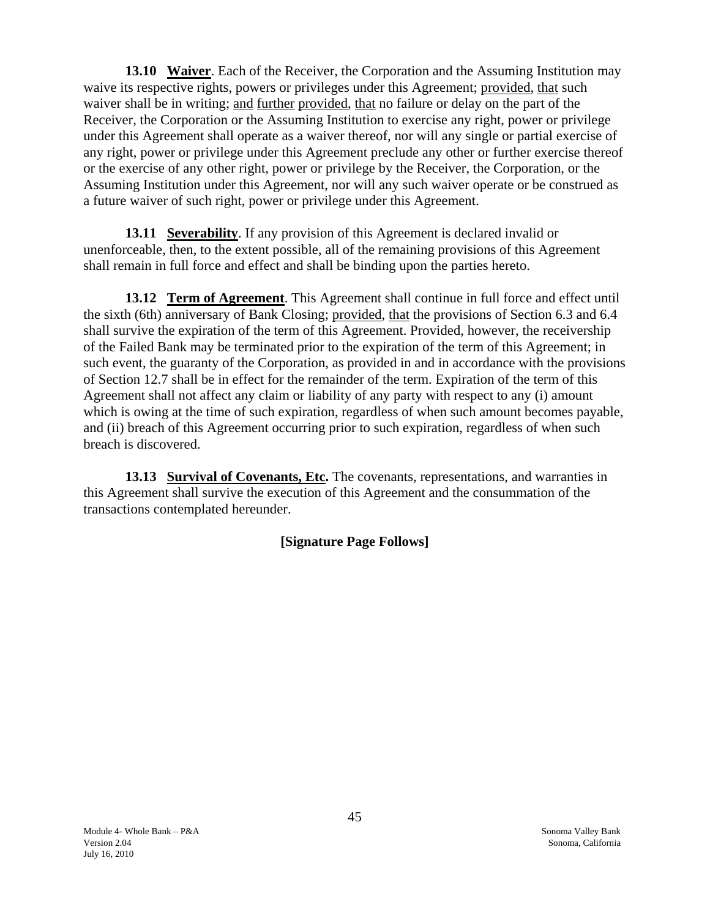<span id="page-45-0"></span> **13.10 Waiver**. Each of the Receiver, the Corporation and the Assuming Institution may waive its respective rights, powers or privileges under this Agreement; provided, that such waiver shall be in writing; and further provided, that no failure or delay on the part of the Receiver, the Corporation or the Assuming Institution to exercise any right, power or privilege under this Agreement shall operate as a waiver thereof, nor will any single or partial exercise of any right, power or privilege under this Agreement preclude any other or further exercise thereof or the exercise of any other right, power or privilege by the Receiver, the Corporation, or the Assuming Institution under this Agreement, nor will any such waiver operate or be construed as a future waiver of such right, power or privilege under this Agreement.

**13.11 Severability**. If any provision of this Agreement is declared invalid or unenforceable, then, to the extent possible, all of the remaining provisions of this Agreement shall remain in full force and effect and shall be binding upon the parties hereto.

**13.12 Term of Agreement**. This Agreement shall continue in full force and effect until the sixth (6th) anniversary of Bank Closing; provided, that the provisions of Section 6.3 and 6.4 shall survive the expiration of the term of this Agreement. Provided, however, the receivership of the Failed Bank may be terminated prior to the expiration of the term of this Agreement; in such event, the guaranty of the Corporation, as provided in and in accordance with the provisions of Section 12.7 shall be in effect for the remainder of the term. Expiration of the term of this Agreement shall not affect any claim or liability of any party with respect to any (i) amount which is owing at the time of such expiration, regardless of when such amount becomes payable, and (ii) breach of this Agreement occurring prior to such expiration, regardless of when such breach is discovered.

**13.13 Survival of Covenants, Etc.** The covenants, representations, and warranties in this Agreement shall survive the execution of this Agreement and the consummation of the transactions contemplated hereunder.

# **[Signature Page Follows]**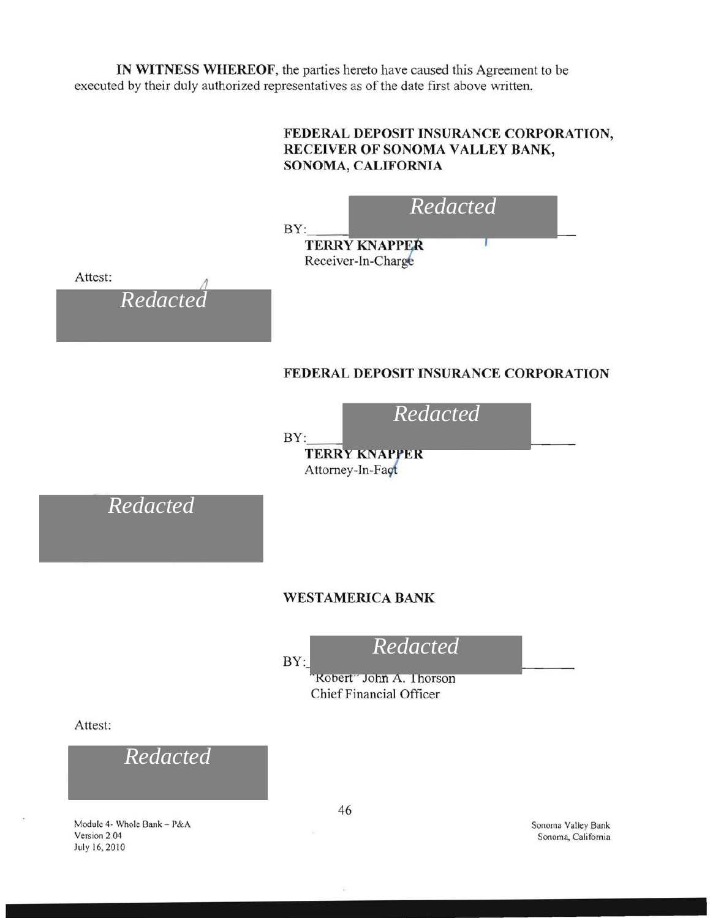**IN WITNESS WHEREOF,** the parties hereto have caused this Agreement to be executed by their duly authorized representatives as of the date first above written.



July 16, 2010

Sonoma, California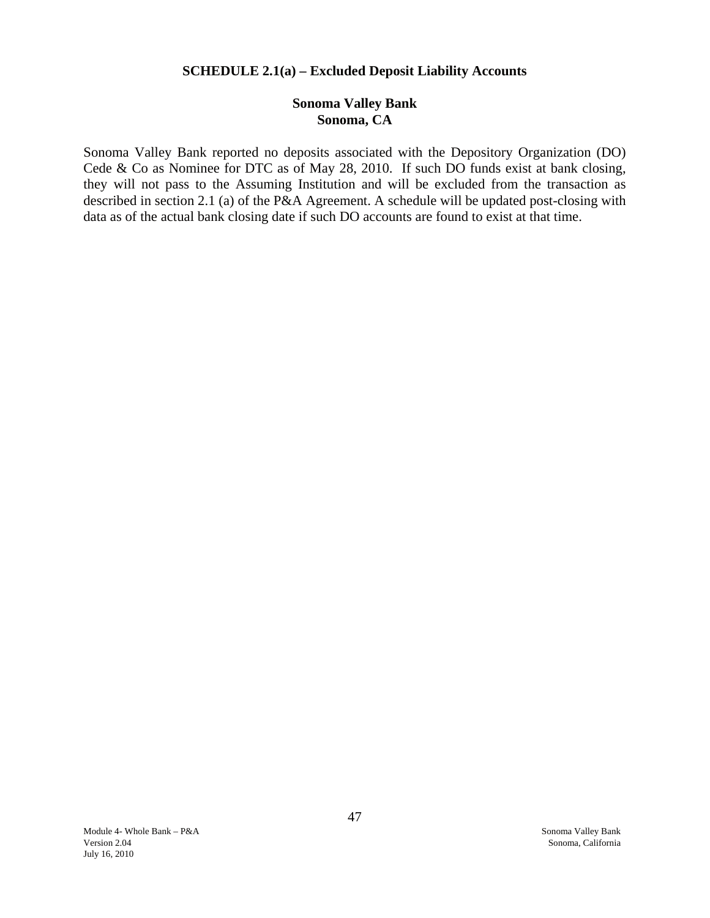#### **SCHEDULE 2.1(a) – Excluded Deposit Liability Accounts**

## **Sonoma Valley Bank Sonoma, CA**

<span id="page-47-0"></span>Sonoma Valley Bank reported no deposits associated with the Depository Organization (DO) Cede & Co as Nominee for DTC as of May 28, 2010. If such DO funds exist at bank closing, they will not pass to the Assuming Institution and will be excluded from the transaction as described in section 2.1 (a) of the P&A Agreement. A schedule will be updated post-closing with data as of the actual bank closing date if such DO accounts are found to exist at that time.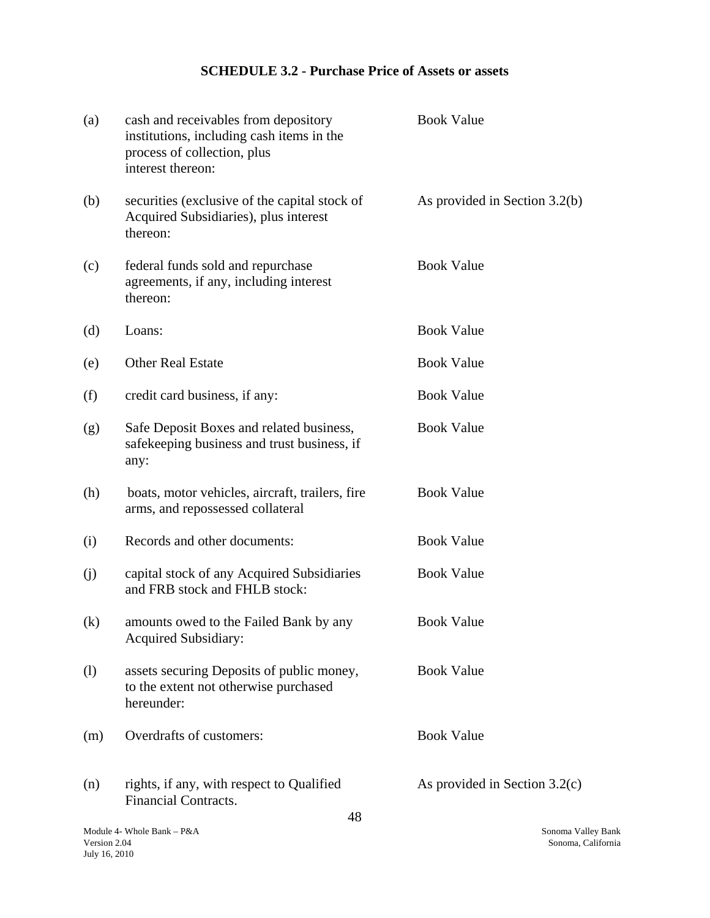# **SCHEDULE 3.2 - Purchase Price of Assets or assets**

| (a)                        | cash and receivables from depository<br>institutions, including cash items in the<br>process of collection, plus<br>interest thereon: | <b>Book Value</b>               |
|----------------------------|---------------------------------------------------------------------------------------------------------------------------------------|---------------------------------|
| (b)                        | securities (exclusive of the capital stock of<br>Acquired Subsidiaries), plus interest<br>thereon:                                    | As provided in Section 3.2(b)   |
| (c)                        | federal funds sold and repurchase<br>agreements, if any, including interest<br>thereon:                                               | <b>Book Value</b>               |
| (d)                        | Loans:                                                                                                                                | <b>Book Value</b>               |
| (e)                        | <b>Other Real Estate</b>                                                                                                              | <b>Book Value</b>               |
| (f)                        | credit card business, if any:                                                                                                         | <b>Book Value</b>               |
| (g)                        | Safe Deposit Boxes and related business,<br>safekeeping business and trust business, if<br>any:                                       | <b>Book Value</b>               |
| (h)                        | boats, motor vehicles, aircraft, trailers, fire<br>arms, and repossessed collateral                                                   | <b>Book Value</b>               |
| (i)                        | Records and other documents:                                                                                                          | <b>Book Value</b>               |
| (j)                        | capital stock of any Acquired Subsidiaries<br>and FRB stock and FHLB stock:                                                           | <b>Book Value</b>               |
| $\left( k\right)$          | amounts owed to the Failed Bank by any<br><b>Acquired Subsidiary:</b>                                                                 | <b>Book Value</b>               |
| $\left( \mathbf{l}\right)$ | assets securing Deposits of public money,<br>to the extent not otherwise purchased<br>hereunder:                                      | <b>Book Value</b>               |
| (m)                        | Overdrafts of customers:                                                                                                              | <b>Book Value</b>               |
| (n)                        | rights, if any, with respect to Qualified<br>Financial Contracts.<br>4 റ                                                              | As provided in Section $3.2(c)$ |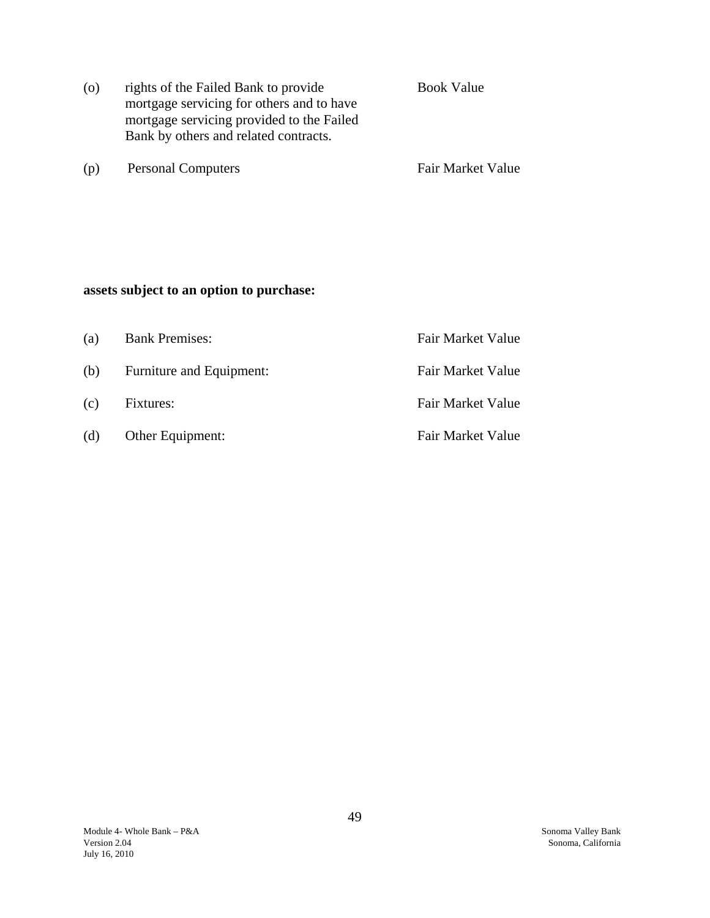| $\overline{O}$ | rights of the Failed Bank to provide<br>mortgage servicing for others and to have<br>mortgage servicing provided to the Failed<br>Bank by others and related contracts. | <b>Book Value</b> |
|----------------|-------------------------------------------------------------------------------------------------------------------------------------------------------------------------|-------------------|
| (p)            | <b>Personal Computers</b>                                                                                                                                               | Fair Market Value |

# **assets subject to an option to purchase:**

| (a) | <b>Bank Premises:</b>    | Fair Market Value |
|-----|--------------------------|-------------------|
| (b) | Furniture and Equipment: | Fair Market Value |
| (c) | Fixtures:                | Fair Market Value |
| (d) | Other Equipment:         | Fair Market Value |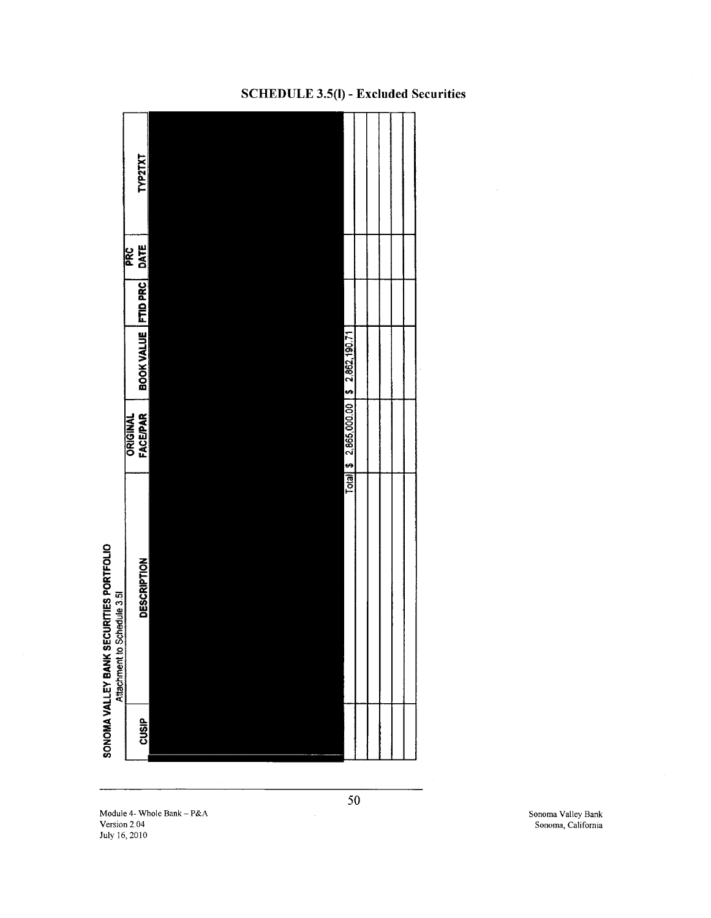

## SCHEDULE 3.5(1) - Excluded Securities

Module 4- Whole Bank - P&A Sonoma Valley Bank - P&A Sonoma Valley Bank Sonoma Valley Bank Sonoma Valley Bank Sonoma Valley Bank Sonoma Valley Bank Sonoma Valley Bank Sonoma Valley Bank Sonoma Valley Bank Sonoma Valley Bank July 16,2010

Sonoma, California

50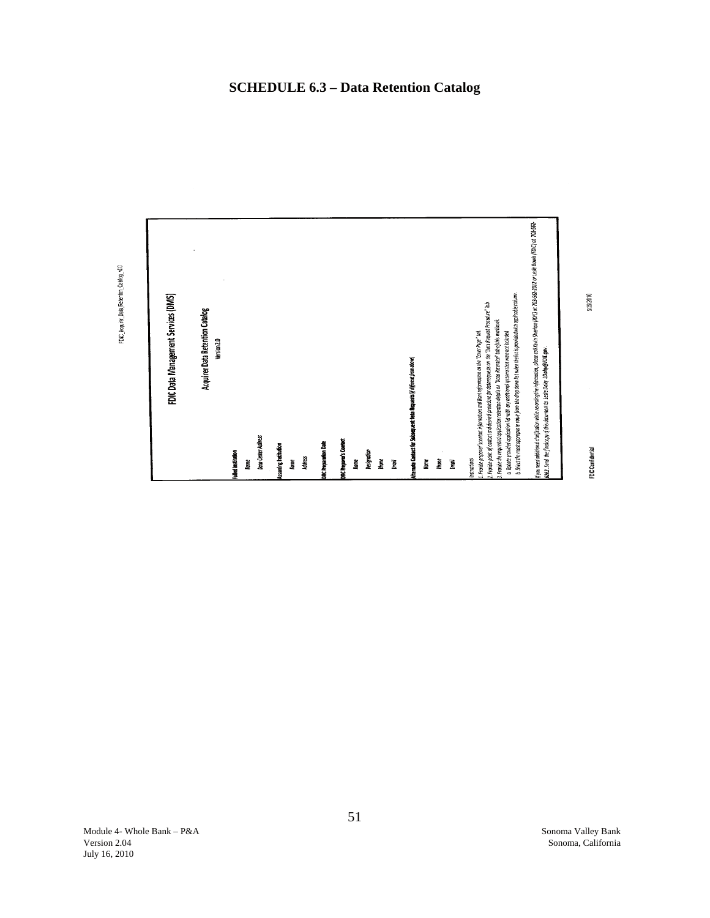<span id="page-51-0"></span>

51

FDIC\_Acquirer\_Data\_Retention\_Catalog\_v20

 $57502010$ 

FDIC Confidential

**SCHEDULE 6.3 – Data Retention Catalog**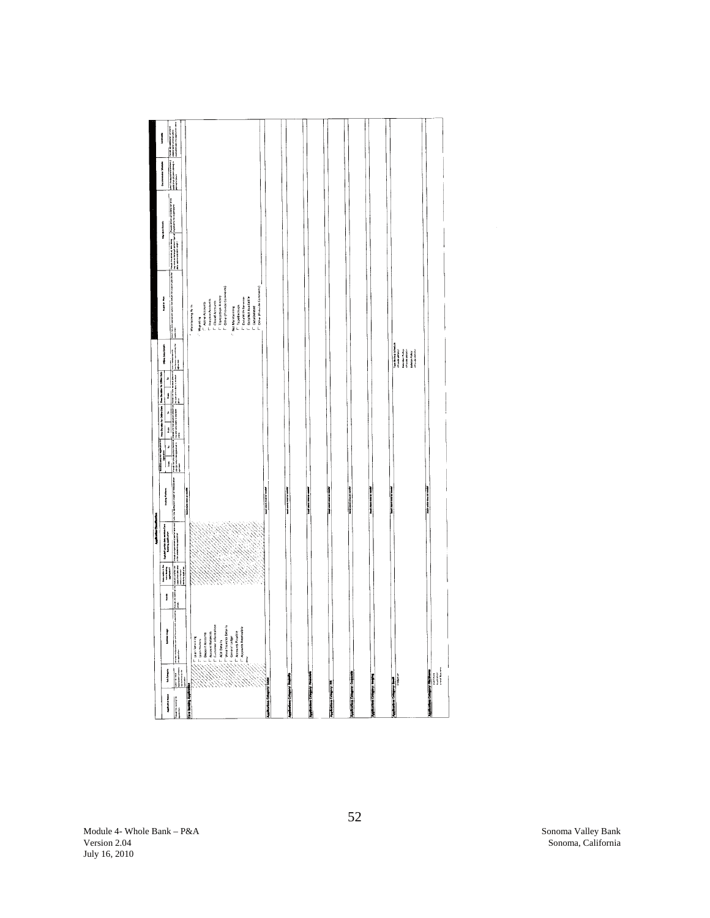|                                                                                                                                                                                                                                                                                                                                                                                                                                                                                                                                                                                                                                                                                                                                    |        | Application Chandlers                                                                                                                                                                                                                                                                                                          |                                      |                                                                                      |                                                            |                                                                                              |                                                                                                                           |                 |                       |                                                      |
|------------------------------------------------------------------------------------------------------------------------------------------------------------------------------------------------------------------------------------------------------------------------------------------------------------------------------------------------------------------------------------------------------------------------------------------------------------------------------------------------------------------------------------------------------------------------------------------------------------------------------------------------------------------------------------------------------------------------------------|--------|--------------------------------------------------------------------------------------------------------------------------------------------------------------------------------------------------------------------------------------------------------------------------------------------------------------------------------|--------------------------------------|--------------------------------------------------------------------------------------|------------------------------------------------------------|----------------------------------------------------------------------------------------------|---------------------------------------------------------------------------------------------------------------------------|-----------------|-----------------------|------------------------------------------------------|
|                                                                                                                                                                                                                                                                                                                                                                                                                                                                                                                                                                                                                                                                                                                                    |        |                                                                                                                                                                                                                                                                                                                                |                                      | <b>The Country of Manufacturers</b><br>ļ                                             | The Dundan for Orders Data They Building for Orders Data   | Office Data Data:                                                                            | į                                                                                                                         | Maraton Details | Decembration Schools  | Community                                            |
| <b>The Second Contract</b><br><b>Mariament</b><br><b><i><u>Agriculture</u></i></b>                                                                                                                                                                                                                                                                                                                                                                                                                                                                                                                                                                                                                                                 | I<br>j | $\begin{bmatrix} 1 & 0 & 0 & 0 \\ 0 & 0 & 0 & 0 \\ 0 & 0 & 0 & 0 \\ 0 & 0 & 0 & 0 \\ 0 & 0 & 0 & 0 \\ 0 & 0 & 0 & 0 \\ 0 & 0 & 0 & 0 \\ 0 & 0 & 0 & 0 \\ 0 & 0 & 0 & 0 \\ 0 & 0 & 0 & 0 \\ 0 & 0 & 0 & 0 \\ 0 & 0 & 0 & 0 & 0 \\ 0 & 0 & 0 & 0 & 0 \\ 0 & 0 & 0 & 0 & 0 \\ 0 & 0 & 0 & 0 & 0 & 0 \\ 0 & 0 & 0 & 0 & 0 & 0 \\ $ | North Mary Property                  | ê<br>Į                                                                               | Î<br>ė<br>ľ                                                | ė                                                                                            |                                                                                                                           |                 |                       | Procedure and additional Council                     |
| creating the dealership and they are avoid belowed by<br>An application<br>$\begin{tabular}{ c c } \hline \quad \quad & \quad \quad & \quad \quad \\ \hline \quad \quad & \quad \quad & \quad \quad \\ \hline \quad \quad & \quad \quad & \quad \quad \\ \hline \quad \quad & \quad \quad & \quad \quad \\ \hline \quad \quad & \quad \quad & \quad \quad \\ \hline \quad \quad & \quad \quad & \quad \quad \\ \hline \quad \quad & \quad \quad & \quad \quad \\ \hline \quad \quad & \quad \quad & \quad \quad \\ \hline \end{tabular}$<br>$\frac{1}{\sigma_{\text{max}}\left( \mathcal{L} \right) } \leq \frac{1}{\sigma_{\text{max}}\left( \mathcal{L} \right) } \leq \frac{1}{\sigma_{\text{max}}\left( \mathcal{L} \right) }$ |        | <br>  sunde en regulation ( particulate real   sells like definition made of the high-later)<br>  also can be real system                                                                                                                                                                                                      |                                      | Avenue the Lone designati beginn if<br>copylig was a the application of<br>operation | <b>The Contract of Section</b><br><b>Property are form</b> | anisana kama sarawa kuma pano kama manamata<br>matan - kusa awa dan awaka - kusa manamata sa | uncia masi populare sua informazione il proventi "franco i menori e si si con con la mascaria in contra menori<br>Approva |                 | <b>Alle Andrews (</b> | a aim ada (4) spieziko<br>where is its creative plan |
|                                                                                                                                                                                                                                                                                                                                                                                                                                                                                                                                                                                                                                                                                                                                    |        |                                                                                                                                                                                                                                                                                                                                | Want sure you as a mother            |                                                                                      |                                                            |                                                                                              |                                                                                                                           |                 |                       |                                                      |
| Card Banding Application                                                                                                                                                                                                                                                                                                                                                                                                                                                                                                                                                                                                                                                                                                           |        |                                                                                                                                                                                                                                                                                                                                |                                      |                                                                                      |                                                            |                                                                                              | Maintaining As-Is                                                                                                         |                 |                       |                                                      |
| F. Wan Servicing<br>F. Wan History                                                                                                                                                                                                                                                                                                                                                                                                                                                                                                                                                                                                                                                                                                 |        |                                                                                                                                                                                                                                                                                                                                |                                      |                                                                                      |                                                            |                                                                                              | <b>Mugating</b>                                                                                                           |                 |                       |                                                      |
| Deposit Accounts                                                                                                                                                                                                                                                                                                                                                                                                                                                                                                                                                                                                                                                                                                                   |        |                                                                                                                                                                                                                                                                                                                                |                                      |                                                                                      |                                                            |                                                                                              | F Active Accounts                                                                                                         |                 |                       |                                                      |
| <b>F</b> Customer Information<br>IT Account Balances                                                                                                                                                                                                                                                                                                                                                                                                                                                                                                                                                                                                                                                                               |        |                                                                                                                                                                                                                                                                                                                                |                                      |                                                                                      |                                                            |                                                                                              | <sup>F</sup> Insclive Accounts                                                                                            |                 |                       |                                                      |
| IT ACH Details                                                                                                                                                                                                                                                                                                                                                                                                                                                                                                                                                                                                                                                                                                                     |        |                                                                                                                                                                                                                                                                                                                                |                                      |                                                                                      |                                                            |                                                                                              | F. Closed Accounts<br>F. Transaction History                                                                              |                 |                       |                                                      |
| "Wire Transfer Details                                                                                                                                                                                                                                                                                                                                                                                                                                                                                                                                                                                                                                                                                                             |        |                                                                                                                                                                                                                                                                                                                                |                                      |                                                                                      |                                                            |                                                                                              | F Other (Provide Comments)                                                                                                |                 |                       |                                                      |
|                                                                                                                                                                                                                                                                                                                                                                                                                                                                                                                                                                                                                                                                                                                                    |        |                                                                                                                                                                                                                                                                                                                                |                                      |                                                                                      |                                                            |                                                                                              | C. Not Maletaining                                                                                                        |                 |                       |                                                      |
| i General Ledger<br>F. Accounts Payable                                                                                                                                                                                                                                                                                                                                                                                                                                                                                                                                                                                                                                                                                            |        |                                                                                                                                                                                                                                                                                                                                |                                      |                                                                                      |                                                            |                                                                                              | F' TapeBackups                                                                                                            |                 |                       |                                                      |
| F Accounts Receivable                                                                                                                                                                                                                                                                                                                                                                                                                                                                                                                                                                                                                                                                                                              |        |                                                                                                                                                                                                                                                                                                                                |                                      |                                                                                      |                                                            |                                                                                              | F' Data With Servicer                                                                                                     |                 |                       |                                                      |
| a<br>S                                                                                                                                                                                                                                                                                                                                                                                                                                                                                                                                                                                                                                                                                                                             |        |                                                                                                                                                                                                                                                                                                                                |                                      |                                                                                      |                                                            |                                                                                              | <b>Data Not Available</b>                                                                                                 |                 |                       |                                                      |
|                                                                                                                                                                                                                                                                                                                                                                                                                                                                                                                                                                                                                                                                                                                                    |        |                                                                                                                                                                                                                                                                                                                                |                                      |                                                                                      |                                                            |                                                                                              | IT Other (Provide Comments)<br>F Data Deleted                                                                             |                 |                       |                                                      |
|                                                                                                                                                                                                                                                                                                                                                                                                                                                                                                                                                                                                                                                                                                                                    |        |                                                                                                                                                                                                                                                                                                                                | <b>Barbara and Service Committee</b> |                                                                                      |                                                            |                                                                                              |                                                                                                                           |                 |                       |                                                      |
| <b>Applications Cotagory: Loans</b>                                                                                                                                                                                                                                                                                                                                                                                                                                                                                                                                                                                                                                                                                                |        |                                                                                                                                                                                                                                                                                                                                |                                      |                                                                                      |                                                            |                                                                                              |                                                                                                                           |                 |                       |                                                      |
|                                                                                                                                                                                                                                                                                                                                                                                                                                                                                                                                                                                                                                                                                                                                    |        |                                                                                                                                                                                                                                                                                                                                |                                      |                                                                                      |                                                            |                                                                                              |                                                                                                                           |                 |                       |                                                      |
| <b>Applications Catagory: Deposits</b>                                                                                                                                                                                                                                                                                                                                                                                                                                                                                                                                                                                                                                                                                             |        |                                                                                                                                                                                                                                                                                                                                | have any company manual              |                                                                                      |                                                            |                                                                                              |                                                                                                                           |                 |                       |                                                      |
|                                                                                                                                                                                                                                                                                                                                                                                                                                                                                                                                                                                                                                                                                                                                    |        |                                                                                                                                                                                                                                                                                                                                |                                      |                                                                                      |                                                            |                                                                                              |                                                                                                                           |                 |                       |                                                      |
| <b>Louisman Crimpsy: Remotels</b>                                                                                                                                                                                                                                                                                                                                                                                                                                                                                                                                                                                                                                                                                                  |        |                                                                                                                                                                                                                                                                                                                                | <b>The Second Second Second</b>      |                                                                                      |                                                            |                                                                                              |                                                                                                                           |                 |                       |                                                      |
|                                                                                                                                                                                                                                                                                                                                                                                                                                                                                                                                                                                                                                                                                                                                    |        |                                                                                                                                                                                                                                                                                                                                |                                      |                                                                                      |                                                            |                                                                                              |                                                                                                                           |                 |                       |                                                      |
|                                                                                                                                                                                                                                                                                                                                                                                                                                                                                                                                                                                                                                                                                                                                    |        |                                                                                                                                                                                                                                                                                                                                | hope can can as a simple             |                                                                                      |                                                            |                                                                                              |                                                                                                                           |                 |                       |                                                      |
| Applications Category Hill                                                                                                                                                                                                                                                                                                                                                                                                                                                                                                                                                                                                                                                                                                         |        |                                                                                                                                                                                                                                                                                                                                |                                      |                                                                                      |                                                            |                                                                                              |                                                                                                                           |                 |                       |                                                      |
|                                                                                                                                                                                                                                                                                                                                                                                                                                                                                                                                                                                                                                                                                                                                    |        |                                                                                                                                                                                                                                                                                                                                |                                      |                                                                                      |                                                            |                                                                                              |                                                                                                                           |                 |                       |                                                      |
| <b>Authors Company</b> Corporate                                                                                                                                                                                                                                                                                                                                                                                                                                                                                                                                                                                                                                                                                                   |        |                                                                                                                                                                                                                                                                                                                                | <b>Mark of Continuous State</b>      |                                                                                      |                                                            |                                                                                              |                                                                                                                           |                 |                       |                                                      |
|                                                                                                                                                                                                                                                                                                                                                                                                                                                                                                                                                                                                                                                                                                                                    |        |                                                                                                                                                                                                                                                                                                                                |                                      |                                                                                      |                                                            |                                                                                              |                                                                                                                           |                 |                       |                                                      |
| <b>Applications Company Insurance</b>                                                                                                                                                                                                                                                                                                                                                                                                                                                                                                                                                                                                                                                                                              |        |                                                                                                                                                                                                                                                                                                                                |                                      |                                                                                      |                                                            |                                                                                              |                                                                                                                           |                 |                       |                                                      |
|                                                                                                                                                                                                                                                                                                                                                                                                                                                                                                                                                                                                                                                                                                                                    |        |                                                                                                                                                                                                                                                                                                                                |                                      |                                                                                      |                                                            |                                                                                              |                                                                                                                           |                 |                       |                                                      |
|                                                                                                                                                                                                                                                                                                                                                                                                                                                                                                                                                                                                                                                                                                                                    |        |                                                                                                                                                                                                                                                                                                                                | the property of the color            |                                                                                      |                                                            |                                                                                              |                                                                                                                           |                 |                       |                                                      |
| Production<br><b>Application Catagory fauth</b>                                                                                                                                                                                                                                                                                                                                                                                                                                                                                                                                                                                                                                                                                    |        |                                                                                                                                                                                                                                                                                                                                |                                      |                                                                                      |                                                            |                                                                                              |                                                                                                                           |                 |                       |                                                      |
|                                                                                                                                                                                                                                                                                                                                                                                                                                                                                                                                                                                                                                                                                                                                    |        |                                                                                                                                                                                                                                                                                                                                |                                      |                                                                                      |                                                            |                                                                                              |                                                                                                                           |                 |                       |                                                      |
|                                                                                                                                                                                                                                                                                                                                                                                                                                                                                                                                                                                                                                                                                                                                    |        |                                                                                                                                                                                                                                                                                                                                |                                      |                                                                                      |                                                            |                                                                                              |                                                                                                                           |                 |                       |                                                      |
|                                                                                                                                                                                                                                                                                                                                                                                                                                                                                                                                                                                                                                                                                                                                    |        |                                                                                                                                                                                                                                                                                                                                |                                      |                                                                                      |                                                            |                                                                                              |                                                                                                                           |                 |                       |                                                      |
|                                                                                                                                                                                                                                                                                                                                                                                                                                                                                                                                                                                                                                                                                                                                    |        |                                                                                                                                                                                                                                                                                                                                | -------                              |                                                                                      |                                                            |                                                                                              |                                                                                                                           |                 |                       |                                                      |
|                                                                                                                                                                                                                                                                                                                                                                                                                                                                                                                                                                                                                                                                                                                                    |        |                                                                                                                                                                                                                                                                                                                                |                                      |                                                                                      |                                                            |                                                                                              |                                                                                                                           |                 |                       |                                                      |
| <b>Applications Company Play Branch</b><br>Application<br>Accessory<br>The Play Branch Branch                                                                                                                                                                                                                                                                                                                                                                                                                                                                                                                                                                                                                                      |        |                                                                                                                                                                                                                                                                                                                                |                                      |                                                                                      |                                                            |                                                                                              |                                                                                                                           |                 |                       |                                                      |
|                                                                                                                                                                                                                                                                                                                                                                                                                                                                                                                                                                                                                                                                                                                                    |        |                                                                                                                                                                                                                                                                                                                                |                                      |                                                                                      |                                                            |                                                                                              |                                                                                                                           |                 |                       |                                                      |
|                                                                                                                                                                                                                                                                                                                                                                                                                                                                                                                                                                                                                                                                                                                                    |        |                                                                                                                                                                                                                                                                                                                                |                                      |                                                                                      |                                                            |                                                                                              |                                                                                                                           |                 |                       |                                                      |

Module 4- Whole Bank – P&A Sonoma Valley Bank July 16, 2010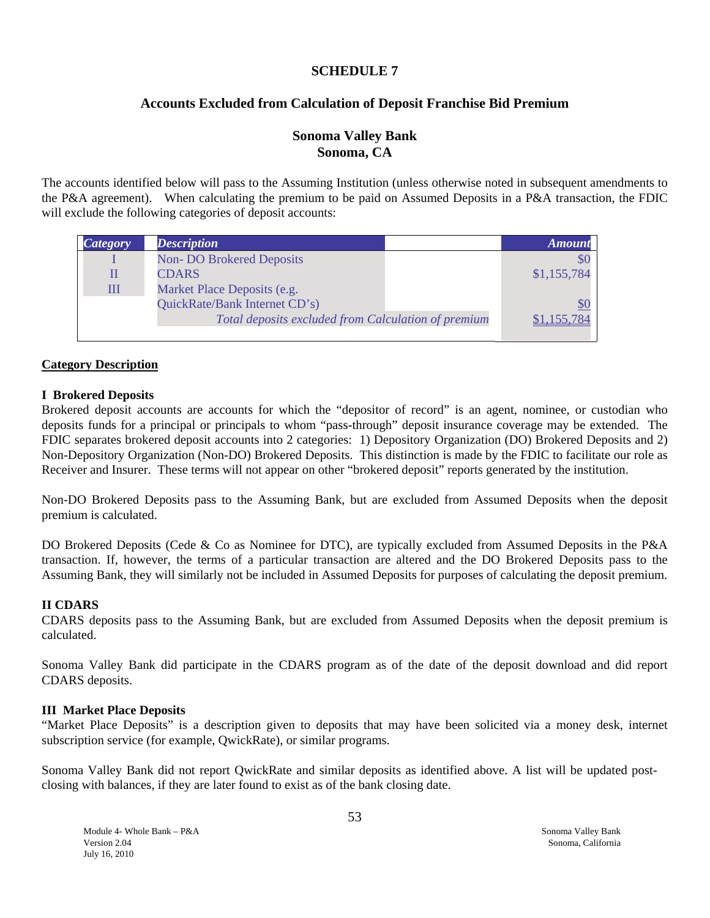#### **SCHEDULE 7**

#### **Accounts Excluded from Calculation of Deposit Franchise Bid Premium**

#### **Sonoma Valley Bank Sonoma, CA**

The accounts identified below will pass to the Assuming Institution (unless otherwise noted in subsequent amendments to the P&A agreement). When calculating the premium to be paid on Assumed Deposits in a P&A transaction, the FDIC will exclude the following categories of deposit accounts:

| <i>Category</i> | <b>Description</b>                                  | <b>Amount</b> |
|-----------------|-----------------------------------------------------|---------------|
|                 | <b>Non-DO Brokered Deposits</b>                     | \$0           |
|                 | <b>CDARS</b>                                        | \$1,155,784   |
| Ш               | Market Place Deposits (e.g.                         |               |
|                 | QuickRate/Bank Internet CD's)                       |               |
|                 | Total deposits excluded from Calculation of premium | 155.784       |
|                 |                                                     |               |

#### **Category Description**

#### **I Brokered Deposits**

Brokered deposit accounts are accounts for which the "depositor of record" is an agent, nominee, or custodian who deposits funds for a principal or principals to whom "pass-through" deposit insurance coverage may be extended. The FDIC separates brokered deposit accounts into 2 categories: 1) Depository Organization (DO) Brokered Deposits and 2) Non-Depository Organization (Non-DO) Brokered Deposits. This distinction is made by the FDIC to facilitate our role as Receiver and Insurer. These terms will not appear on other "brokered deposit" reports generated by the institution.

Non-DO Brokered Deposits pass to the Assuming Bank, but are excluded from Assumed Deposits when the deposit premium is calculated.

DO Brokered Deposits (Cede & Co as Nominee for DTC), are typically excluded from Assumed Deposits in the P&A transaction. If, however, the terms of a particular transaction are altered and the DO Brokered Deposits pass to the Assuming Bank, they will similarly not be included in Assumed Deposits for purposes of calculating the deposit premium.

#### **II CDARS**

CDARS deposits pass to the Assuming Bank, but are excluded from Assumed Deposits when the deposit premium is calculated.

Sonoma Valley Bank did participate in the CDARS program as of the date of the deposit download and did report CDARS deposits.

#### **III Market Place Deposits**

"Market Place Deposits" is a description given to deposits that may have been solicited via a money desk, internet subscription service (for example, QwickRate), or similar programs.

Sonoma Valley Bank did not report QwickRate and similar deposits as identified above. A list will be updated postclosing with balances, if they are later found to exist as of the bank closing date.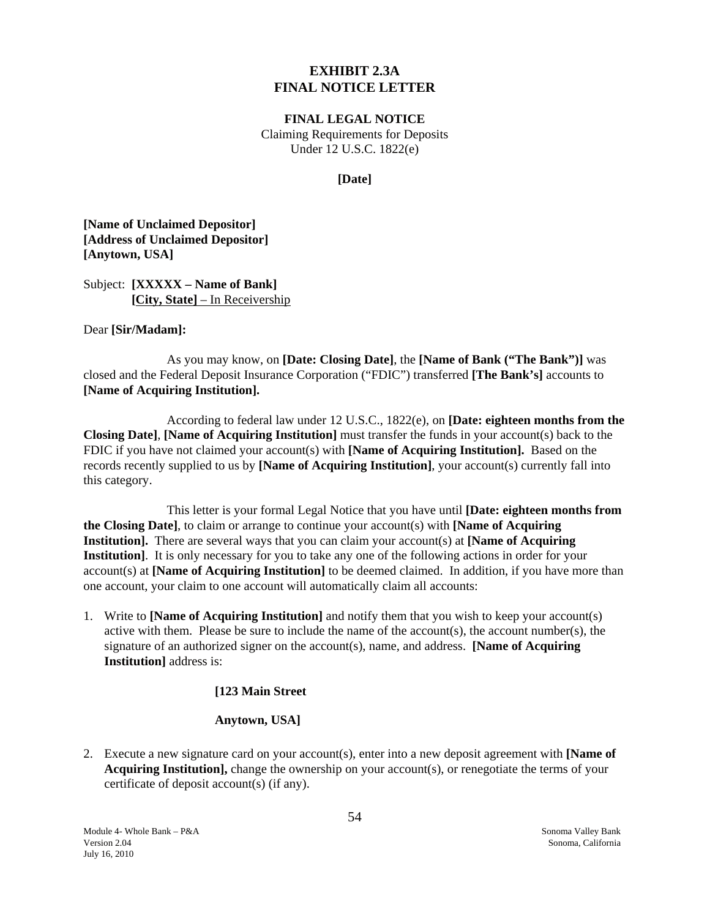## **EXHIBIT 2.3A FINAL NOTICE LETTER**

#### **FINAL LEGAL NOTICE**

Claiming Requirements for Deposits Under 12 U.S.C. 1822(e)

#### **[Date]**

<span id="page-54-0"></span>**[Name of Unclaimed Depositor] [Address of Unclaimed Depositor] [Anytown, USA]** 

Subject: **[XXXXX – Name of Bank] [City, State]** – In Receivership

Dear **[Sir/Madam]:** 

As you may know, on **[Date: Closing Date]**, the **[Name of Bank ("The Bank")]** was closed and the Federal Deposit Insurance Corporation ("FDIC") transferred **[The Bank's]** accounts to **[Name of Acquiring Institution].** 

According to federal law under 12 U.S.C., 1822(e), on **[Date: eighteen months from the Closing Date]**, **[Name of Acquiring Institution]** must transfer the funds in your account(s) back to the FDIC if you have not claimed your account(s) with **[Name of Acquiring Institution].** Based on the records recently supplied to us by **[Name of Acquiring Institution]**, your account(s) currently fall into this category.

This letter is your formal Legal Notice that you have until **[Date: eighteen months from the Closing Date]**, to claim or arrange to continue your account(s) with **[Name of Acquiring Institution].** There are several ways that you can claim your account(s) at **[Name of Acquiring Institution]**. It is only necessary for you to take any one of the following actions in order for your account(s) at **[Name of Acquiring Institution]** to be deemed claimed. In addition, if you have more than one account, your claim to one account will automatically claim all accounts:

1. Write to **[Name of Acquiring Institution**] and notify them that you wish to keep your account(s) active with them. Please be sure to include the name of the account(s), the account number(s), the signature of an authorized signer on the account(s), name, and address. **[Name of Acquiring Institution]** address is:

#### **[123 Main Street**

#### **Anytown, USA]**

2. Execute a new signature card on your account(s), enter into a new deposit agreement with **[Name of Acquiring Institution],** change the ownership on your account(s), or renegotiate the terms of your certificate of deposit account(s) (if any).

Module 4- Whole Bank – P&A Sonoma Valley Bank Version 2.04 Sonoma, California July 16, 2010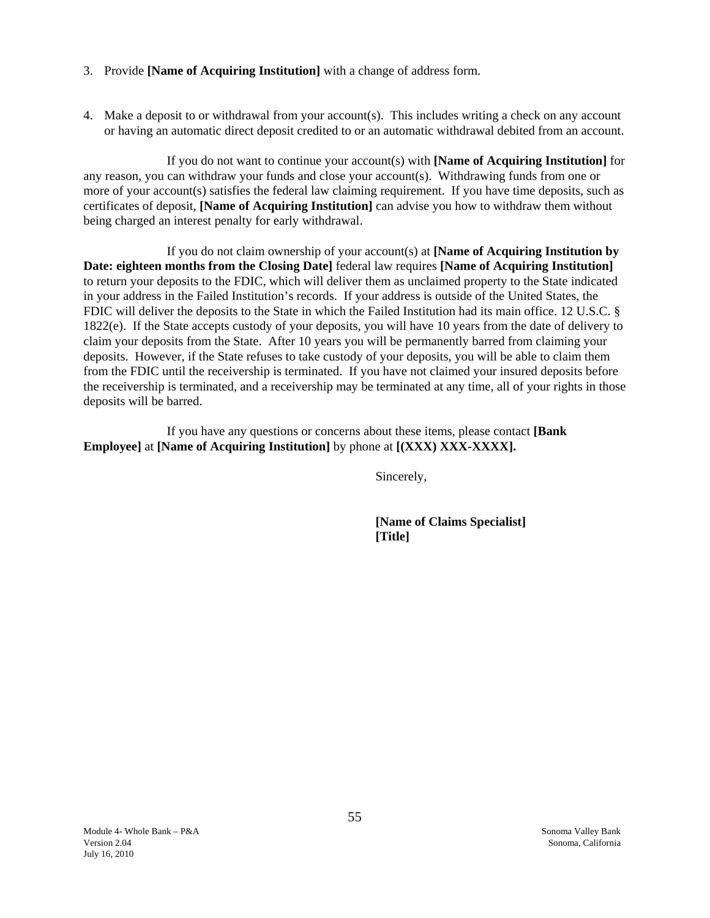- 3. Provide **[Name of Acquiring Institution]** with a change of address form.
- 4. Make a deposit to or withdrawal from your account(s). This includes writing a check on any account or having an automatic direct deposit credited to or an automatic withdrawal debited from an account.

If you do not want to continue your account(s) with **[Name of Acquiring Institution]** for any reason, you can withdraw your funds and close your account(s). Withdrawing funds from one or more of your account(s) satisfies the federal law claiming requirement. If you have time deposits, such as certificates of deposit, **[Name of Acquiring Institution]** can advise you how to withdraw them without being charged an interest penalty for early withdrawal.

If you do not claim ownership of your account(s) at **[Name of Acquiring Institution by Date: eighteen months from the Closing Date]** federal law requires **[Name of Acquiring Institution]**  to return your deposits to the FDIC, which will deliver them as unclaimed property to the State indicated in your address in the Failed Institution's records. If your address is outside of the United States, the FDIC will deliver the deposits to the State in which the Failed Institution had its main office. 12 U.S.C. § 1822(e). If the State accepts custody of your deposits, you will have 10 years from the date of delivery to claim your deposits from the State. After 10 years you will be permanently barred from claiming your deposits. However, if the State refuses to take custody of your deposits, you will be able to claim them from the FDIC until the receivership is terminated. If you have not claimed your insured deposits before the receivership is terminated, and a receivership may be terminated at any time, all of your rights in those deposits will be barred.

If you have any questions or concerns about these items, please contact **[Bank Employee]** at **[Name of Acquiring Institution]** by phone at **[(XXX) XXX-XXXX].** 

Sincerely,

**[Name of Claims Specialist] [Title]**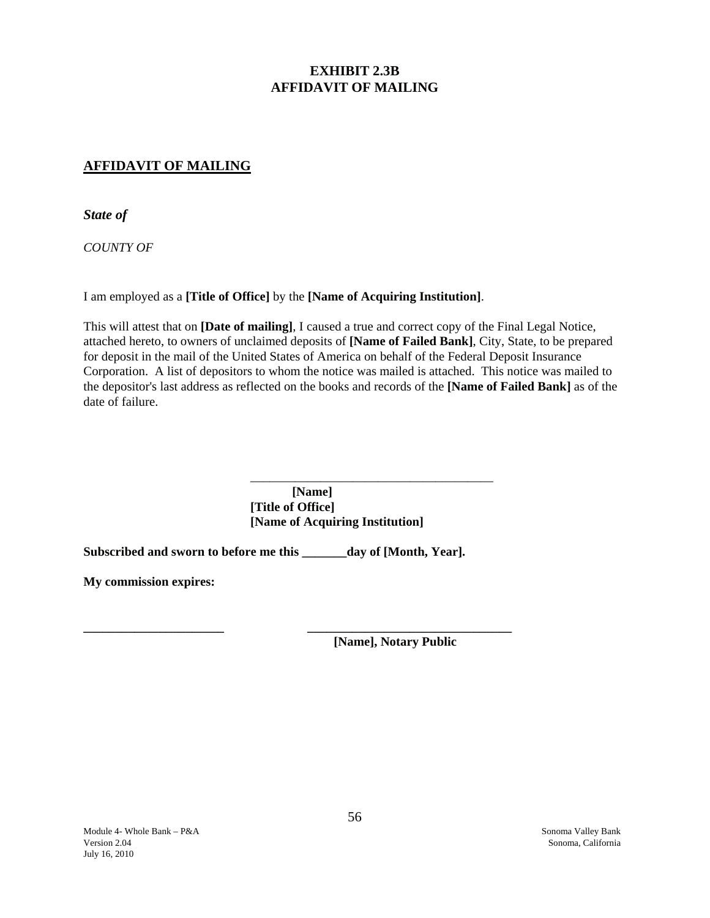# **EXHIBIT 2.3B AFFIDAVIT OF MAILING**

## <span id="page-56-0"></span>**AFFIDAVIT OF MAILING**

*State of* 

*COUNTY OF* 

I am employed as a **[Title of Office]** by the **[Name of Acquiring Institution]**.

This will attest that on **[Date of mailing]**, I caused a true and correct copy of the Final Legal Notice, attached hereto, to owners of unclaimed deposits of **[Name of Failed Bank]**, City, State, to be prepared for deposit in the mail of the United States of America on behalf of the Federal Deposit Insurance Corporation. A list of depositors to whom the notice was mailed is attached. This notice was mailed to the depositor's last address as reflected on the books and records of the **[Name of Failed Bank]** as of the date of failure.

> **[Name] [Title of Office] [Name of Acquiring Institution]**

**Subscribed and sworn to before me this \_\_\_\_\_\_\_day of [Month, Year].** 

 $\overline{\phantom{a}}$  ,  $\overline{\phantom{a}}$  ,  $\overline{\phantom{a}}$  ,  $\overline{\phantom{a}}$  ,  $\overline{\phantom{a}}$  ,  $\overline{\phantom{a}}$  ,  $\overline{\phantom{a}}$  ,  $\overline{\phantom{a}}$  ,  $\overline{\phantom{a}}$  ,  $\overline{\phantom{a}}$  ,  $\overline{\phantom{a}}$  ,  $\overline{\phantom{a}}$  ,  $\overline{\phantom{a}}$  ,  $\overline{\phantom{a}}$  ,  $\overline{\phantom{a}}$  ,  $\overline{\phantom{a}}$ 

**My commission expires:** 

**\_\_\_\_\_\_\_\_\_\_\_\_\_\_\_\_\_\_\_\_\_\_ \_\_\_\_\_\_\_\_\_\_\_\_\_\_\_\_\_\_\_\_\_\_\_\_\_\_\_\_\_\_\_\_ [Name], Notary Public**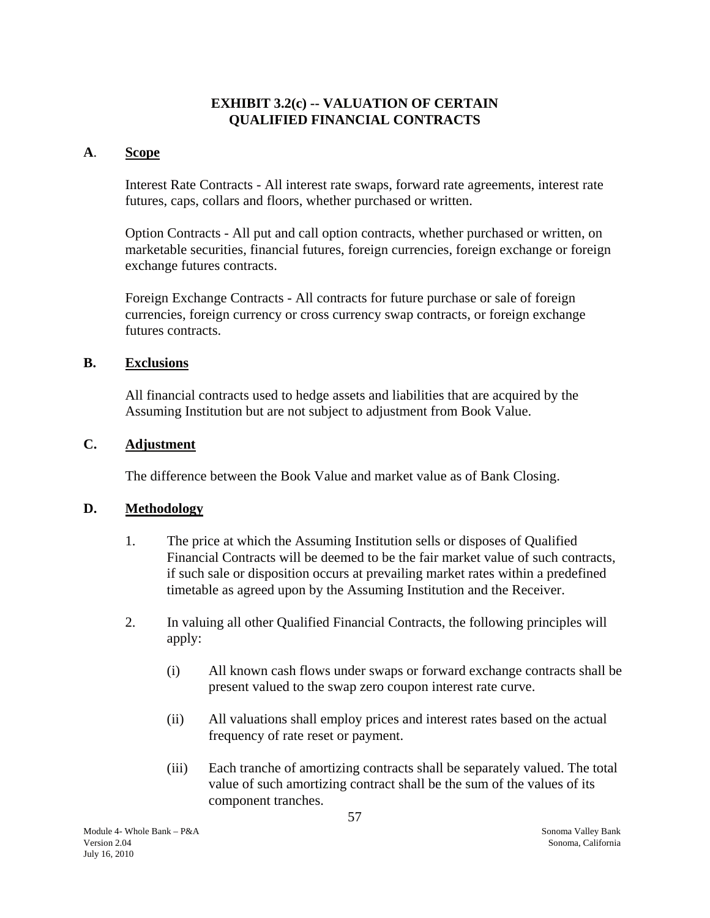## **EXHIBIT 3.2(c) -- VALUATION OF CERTAIN QUALIFIED FINANCIAL CONTRACTS**

#### <span id="page-57-0"></span>**A**. **Scope**

Interest Rate Contracts - All interest rate swaps, forward rate agreements, interest rate futures, caps, collars and floors, whether purchased or written.

Option Contracts - All put and call option contracts, whether purchased or written, on marketable securities, financial futures, foreign currencies, foreign exchange or foreign exchange futures contracts.

Foreign Exchange Contracts - All contracts for future purchase or sale of foreign currencies, foreign currency or cross currency swap contracts, or foreign exchange futures contracts.

#### **B. Exclusions**

All financial contracts used to hedge assets and liabilities that are acquired by the Assuming Institution but are not subject to adjustment from Book Value.

#### **C.** Adjustment

The difference between the Book Value and market value as of Bank Closing.

## **D. Methodology**

- 1. The price at which the Assuming Institution sells or disposes of Qualified Financial Contracts will be deemed to be the fair market value of such contracts, if such sale or disposition occurs at prevailing market rates within a predefined timetable as agreed upon by the Assuming Institution and the Receiver.
- 2. In valuing all other Qualified Financial Contracts, the following principles will apply:
	- (i) All known cash flows under swaps or forward exchange contracts shall be present valued to the swap zero coupon interest rate curve.
	- (ii) All valuations shall employ prices and interest rates based on the actual frequency of rate reset or payment.
	- (iii) Each tranche of amortizing contracts shall be separately valued. The total value of such amortizing contract shall be the sum of the values of its component tranches.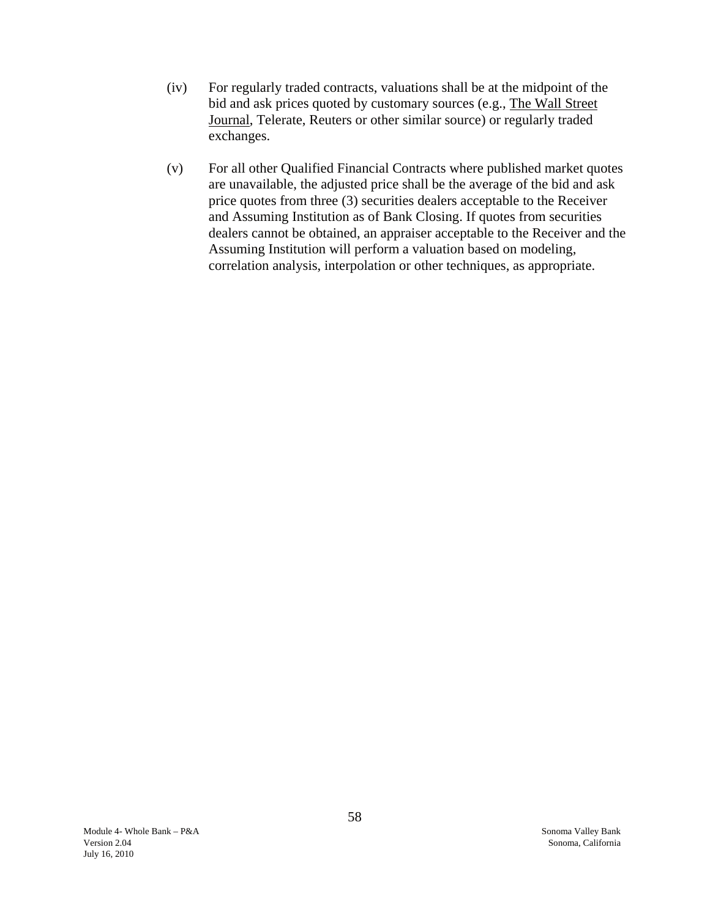- (iv) For regularly traded contracts, valuations shall be at the midpoint of the bid and ask prices quoted by customary sources (e.g., The Wall Street Journal, Telerate, Reuters or other similar source) or regularly traded exchanges.
- (v) For all other Qualified Financial Contracts where published market quotes are unavailable, the adjusted price shall be the average of the bid and ask price quotes from three (3) securities dealers acceptable to the Receiver and Assuming Institution as of Bank Closing. If quotes from securities dealers cannot be obtained, an appraiser acceptable to the Receiver and the Assuming Institution will perform a valuation based on modeling, correlation analysis, interpolation or other techniques, as appropriate.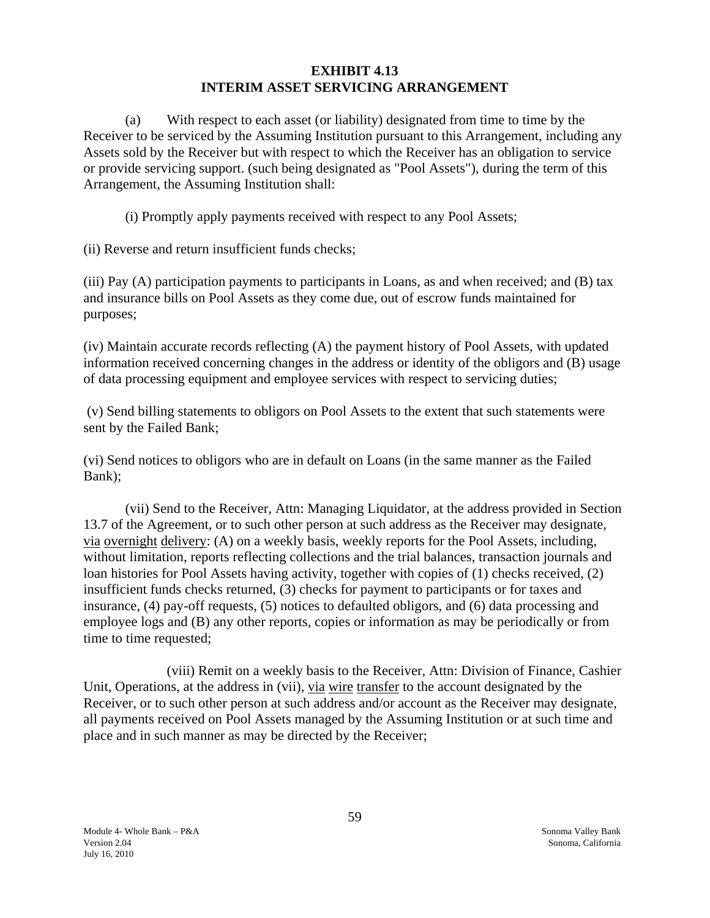## **EXHIBIT 4.13 INTERIM ASSET SERVICING ARRANGEMENT**

<span id="page-59-0"></span>(a) With respect to each asset (or liability) designated from time to time by the Receiver to be serviced by the Assuming Institution pursuant to this Arrangement, including any Assets sold by the Receiver but with respect to which the Receiver has an obligation to service or provide servicing support. (such being designated as "Pool Assets"), during the term of this Arrangement, the Assuming Institution shall:

(i) Promptly apply payments received with respect to any Pool Assets;

(ii) Reverse and return insufficient funds checks;

(iii) Pay (A) participation payments to participants in Loans, as and when received; and (B) tax and insurance bills on Pool Assets as they come due, out of escrow funds maintained for purposes;

(iv) Maintain accurate records reflecting (A) the payment history of Pool Assets, with updated information received concerning changes in the address or identity of the obligors and (B) usage of data processing equipment and employee services with respect to servicing duties;

(v) Send billing statements to obligors on Pool Assets to the extent that such statements were sent by the Failed Bank;

(vi) Send notices to obligors who are in default on Loans (in the same manner as the Failed Bank);

(vii) Send to the Receiver, Attn: Managing Liquidator, at the address provided in Section 13.7 of the Agreement, or to such other person at such address as the Receiver may designate, via overnight delivery: (A) on a weekly basis, weekly reports for the Pool Assets, including, without limitation, reports reflecting collections and the trial balances, transaction journals and loan histories for Pool Assets having activity, together with copies of (1) checks received, (2) insufficient funds checks returned, (3) checks for payment to participants or for taxes and insurance, (4) pay-off requests, (5) notices to defaulted obligors, and (6) data processing and employee logs and (B) any other reports, copies or information as may be periodically or from time to time requested;

(viii) Remit on a weekly basis to the Receiver, Attn: Division of Finance, Cashier Unit, Operations, at the address in (vii), via wire transfer to the account designated by the Receiver, or to such other person at such address and/or account as the Receiver may designate, all payments received on Pool Assets managed by the Assuming Institution or at such time and place and in such manner as may be directed by the Receiver;